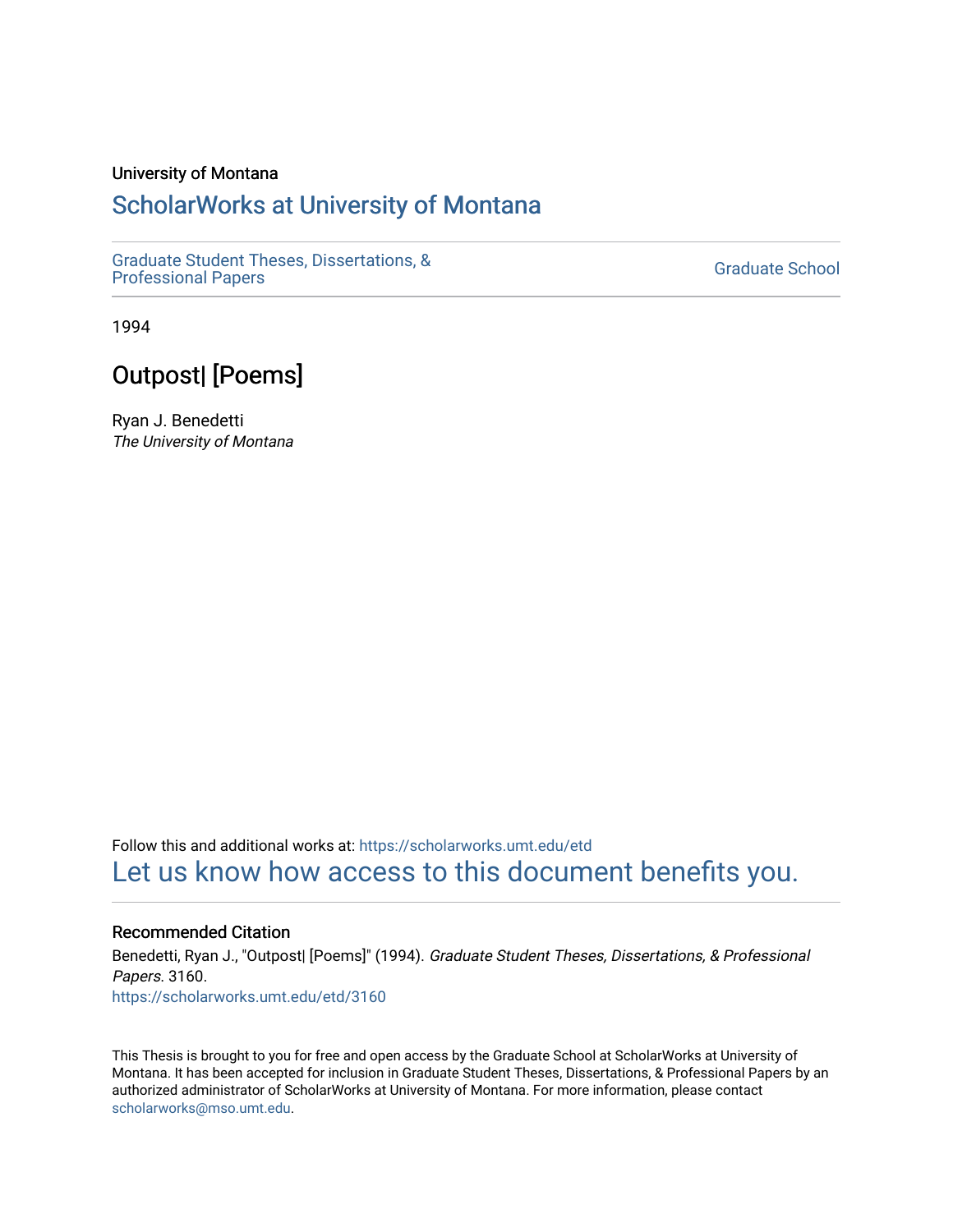#### University of Montana

### [ScholarWorks at University of Montana](https://scholarworks.umt.edu/)

[Graduate Student Theses, Dissertations, &](https://scholarworks.umt.edu/etd) Graduate Student Theses, Dissertations, & Contract Controller Controller Graduate School [Professional Papers](https://scholarworks.umt.edu/etd)

1994

### Outpost| [Poems]

Ryan J. Benedetti The University of Montana

Follow this and additional works at: [https://scholarworks.umt.edu/etd](https://scholarworks.umt.edu/etd?utm_source=scholarworks.umt.edu%2Fetd%2F3160&utm_medium=PDF&utm_campaign=PDFCoverPages)  [Let us know how access to this document benefits you.](https://goo.gl/forms/s2rGfXOLzz71qgsB2) 

Recommended Citation Benedetti, Ryan J., "Outpost| [Poems]" (1994). Graduate Student Theses, Dissertations, & Professional Papers. 3160. [https://scholarworks.umt.edu/etd/3160](https://scholarworks.umt.edu/etd/3160?utm_source=scholarworks.umt.edu%2Fetd%2F3160&utm_medium=PDF&utm_campaign=PDFCoverPages)

This Thesis is brought to you for free and open access by the Graduate School at ScholarWorks at University of Montana. It has been accepted for inclusion in Graduate Student Theses, Dissertations, & Professional Papers by an authorized administrator of ScholarWorks at University of Montana. For more information, please contact [scholarworks@mso.umt.edu.](mailto:scholarworks@mso.umt.edu)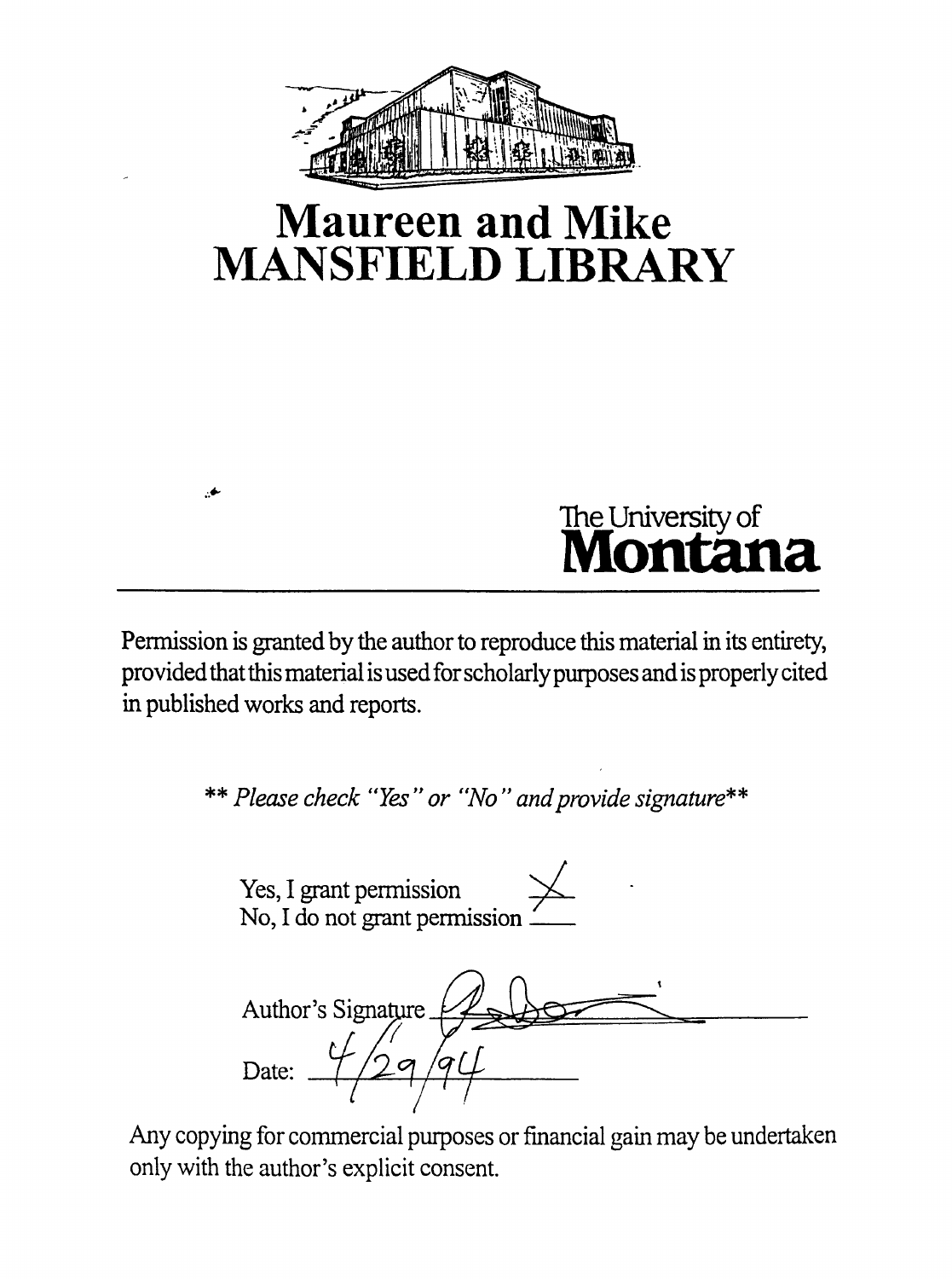

# **Maureen and Mike MANSFIELD LIBRARY**

# **The University of Montana**

Permission is granted by the author to reproduce this material in its entirety, provided that this material is used for scholarly purposes and is properly cited in published works and reports.

 $\bullet$ 

**\*\*** *Please check "Yes " or "No " and provide signature*

Yes, I grant permission No, I do not grant permission\_\_\_ Author's Signature Date:  $\frac{4}{2}$  9/9

Any copying for commercial purposes or financial gain may be undertaken only with the author's explicit consent.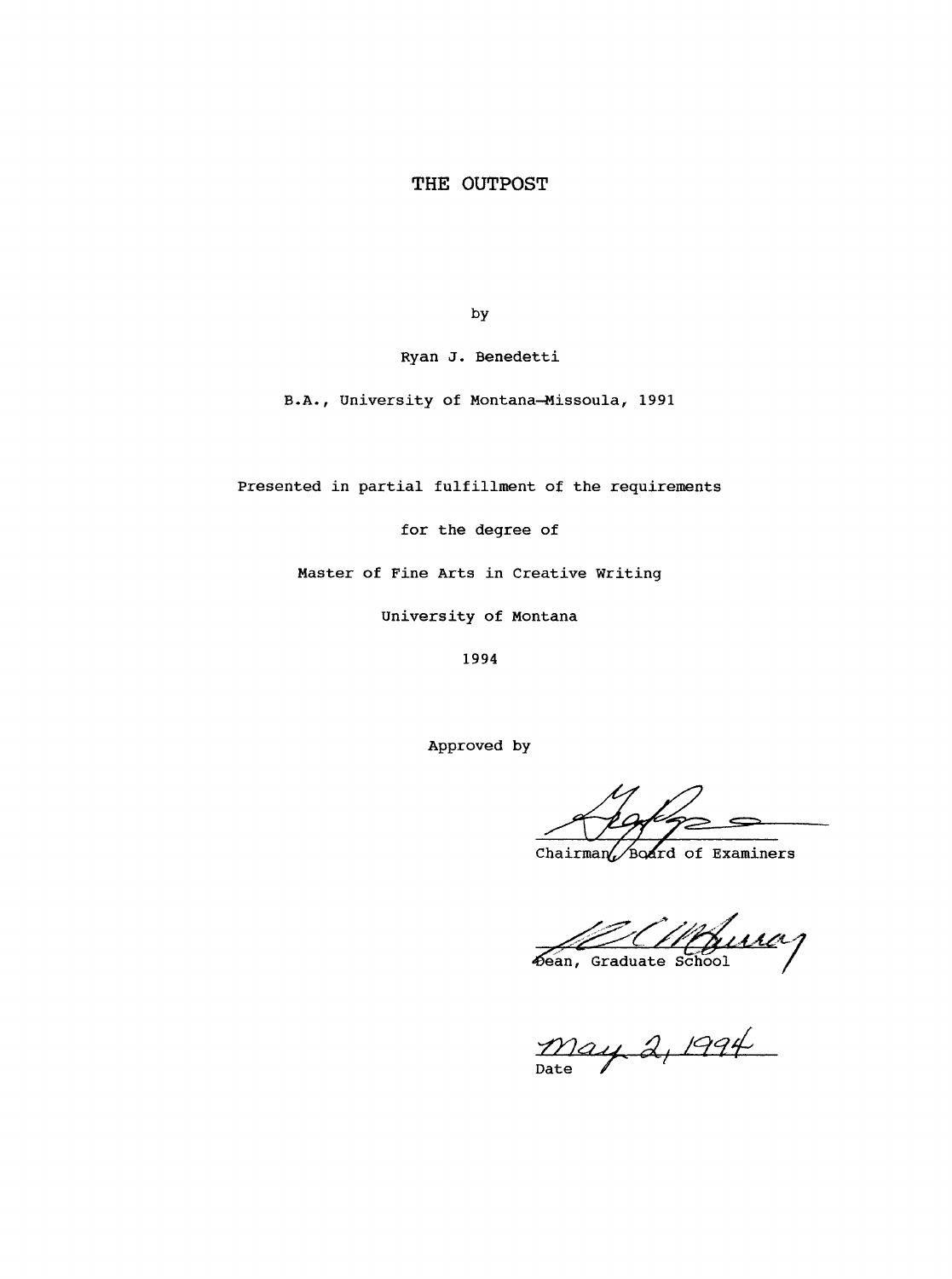#### <span id="page-3-0"></span>**THE OUTPOST**

by

Ryan J. Benedetti

B.A., University of Montana-Missoula, 1991

Presented in partial fulfillment of the requirements

for the degree of

Master of Fine Arts in Creative Writing

University of Montana

1994

Approved by

Chairman Board of Examiners

 $\mathcal{L}/\mathcal{L}$ 

*â,* Date  $\ell$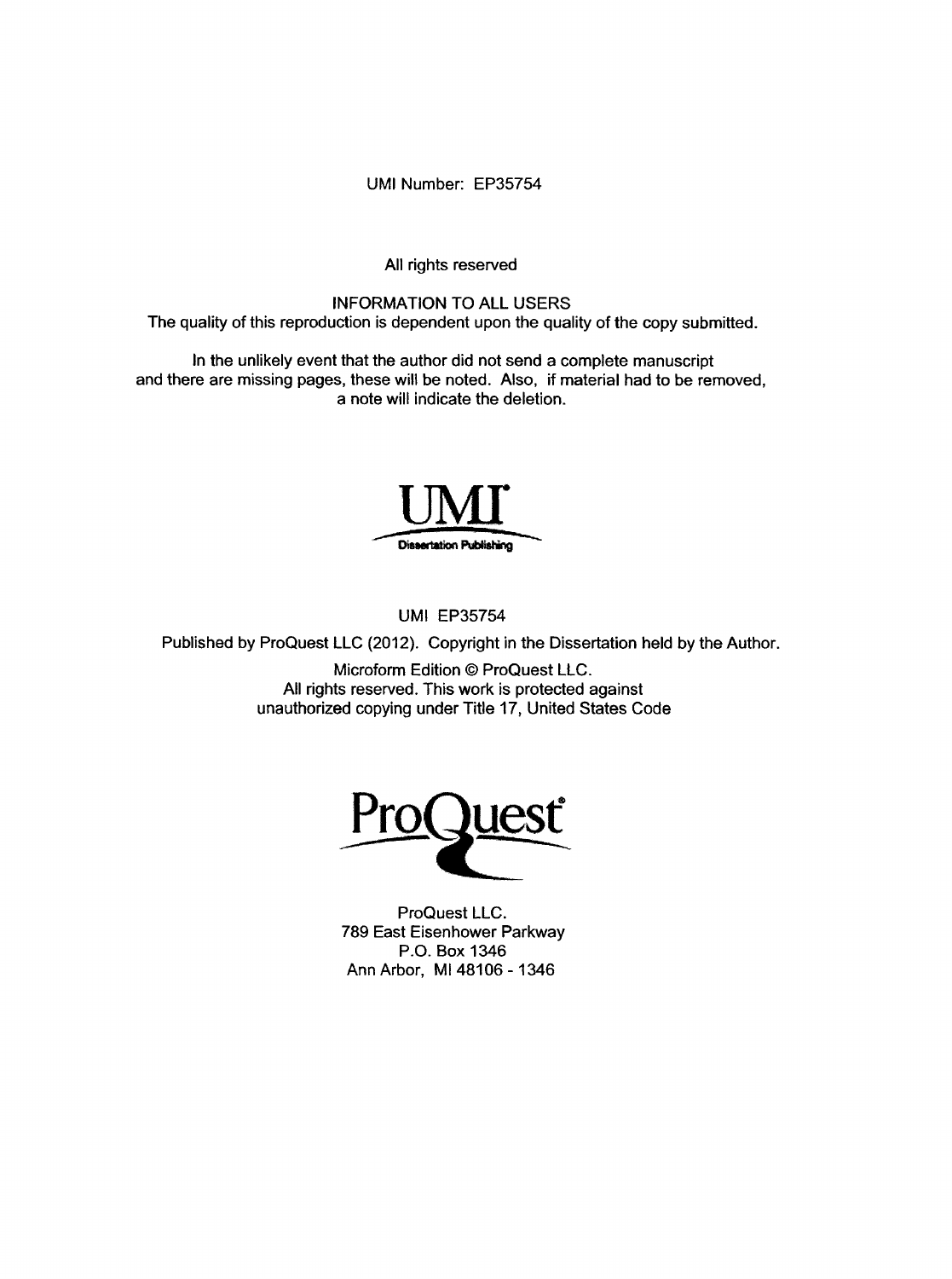UMI Number: EP35754

All rights reserved

INFORMATION TO ALL USERS The quality of this reproduction is dependent upon the quality of the copy submitted.

In the unlikely event that the author did not send a complete manuscript and there are missing pages, these will be noted. Also, if material had to be removed, a note will indicate the deletion.



UMI EP35754

Published by ProQuest LLC (2012). Copyright in the Dissertation held by the Author.

Microform Edition © ProQuest LLC. All rights reserved. This work is protected against unauthorized copying under Title 17, United States Code



ProQuest LLC. 789 East Eisenhower Parkway P.O. Box 1346 Ann Arbor, Ml 48106 - 1346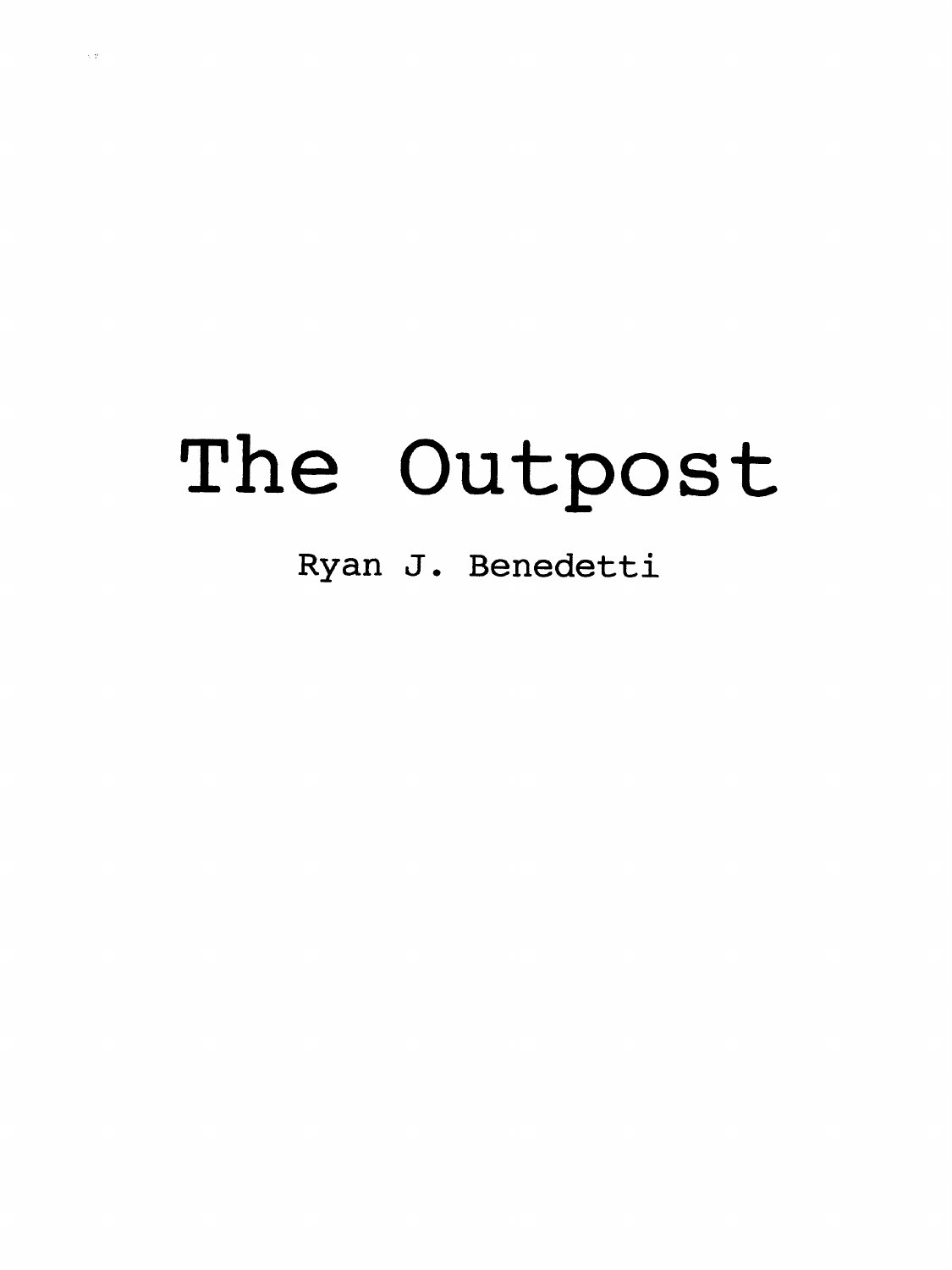# **The Outpost**

**Ryan J . Benedetti**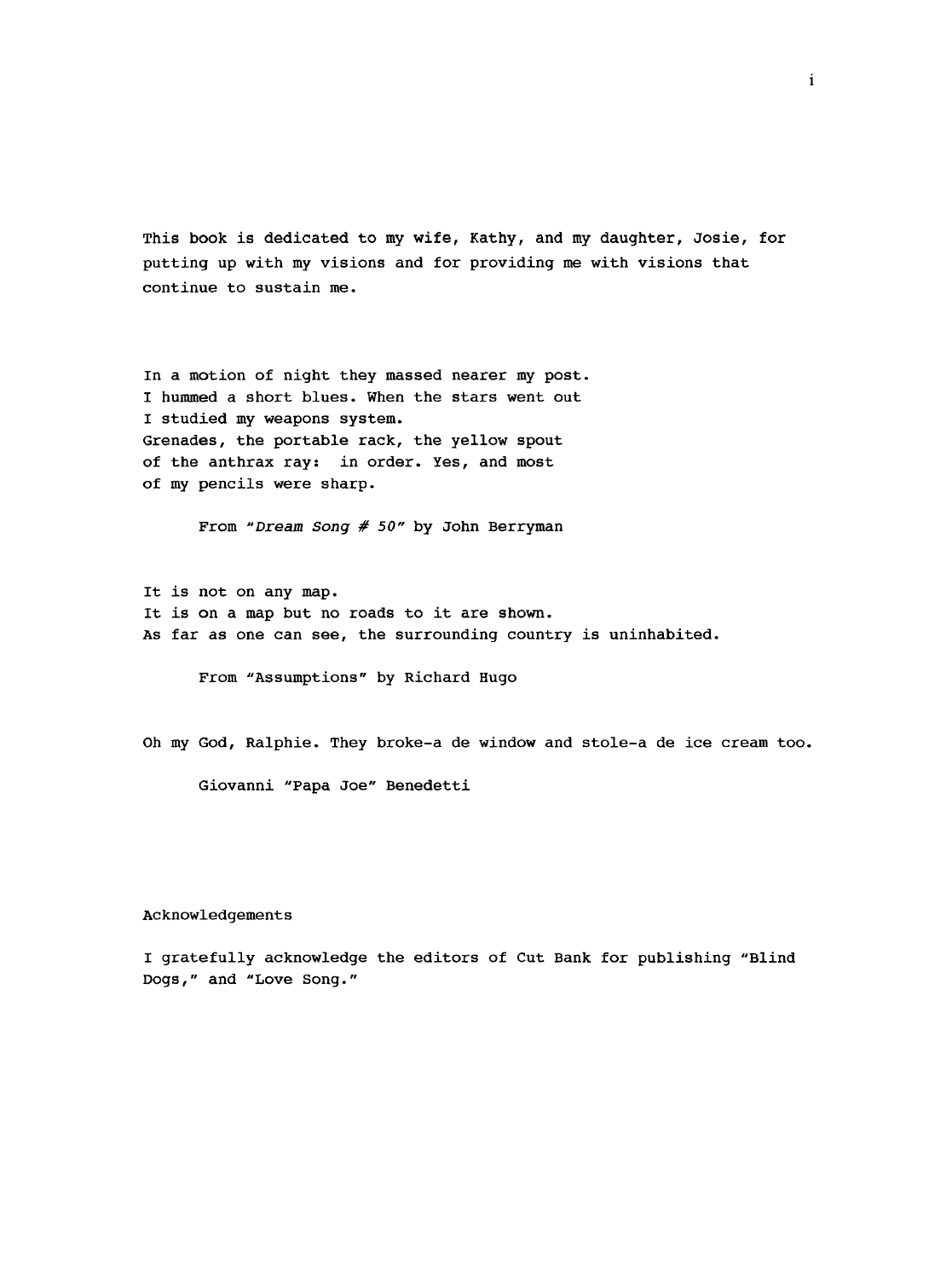This book is dedicated to my wife, Kathy, and my daughter, Josie, for putting up with my visions and for providing me with visions that continue to sustain me.

In a motion of night they massed nearer my post. I hummed a short blues. When the stars went out I studied my weapons system. Grenades, the portable rack, the yellow spout of the anthrax ray: in order. Yes, and most of my pencils were sharp.

From *"Dream Song* # *50"* by John Berryman

It is not on any map. It is on a map but no roads to it are shown. As far as one can see, the surrounding country is uninhabited.

From "Assumptions" by Richard Hugo

Oh my God, Ralphie. They broke-a de window and stole-a de ice cream too.

Giovanni "Papa Joe" Benedetti

#### Acknowledgements

I gratefully acknowledge the editors of Cut Bank for publishing "Blind Dogs," and "Love Song."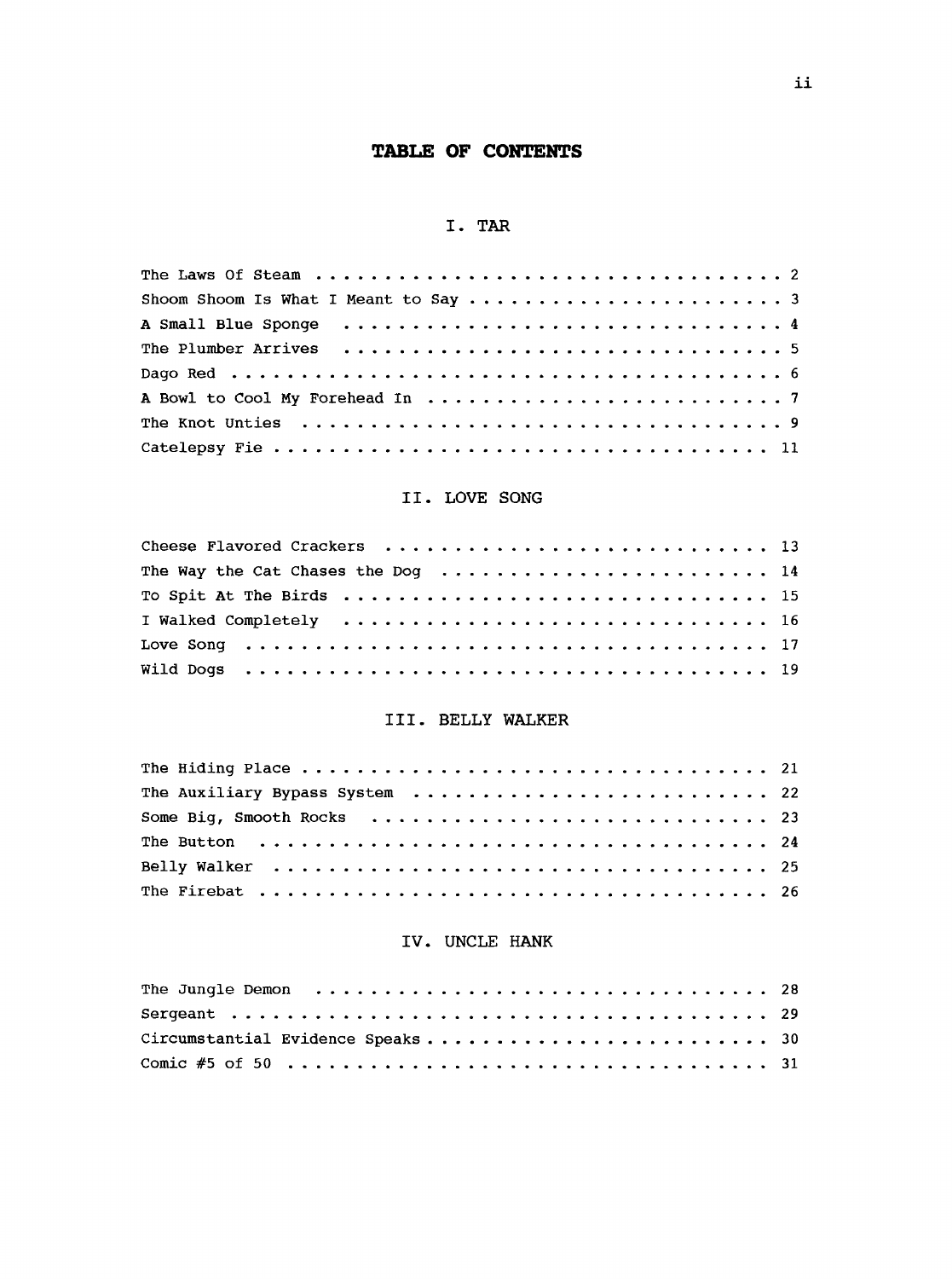### **TABLE OF CONTENTS**

#### **I. TAR**

### **II. LOVE SONG**

| The Way the Cat Chases the Dog  14 |  |
|------------------------------------|--|
|                                    |  |
|                                    |  |
|                                    |  |
|                                    |  |

#### **III. BELLY WALKER**

| The Auxiliary Bypass System  22                                           |  |
|---------------------------------------------------------------------------|--|
|                                                                           |  |
| The Button $\dots\dots\dots\dots\dots\dots\dots\dots\dots\dots\dots\dots$ |  |
|                                                                           |  |
|                                                                           |  |

#### **IV. UNCLE HANK**

| Comic #5 of 50 $\dots\dots\dots\dots\dots\dots\dots\dots\dots\dots\dots\dots\dots\dots$ 31 |  |
|--------------------------------------------------------------------------------------------|--|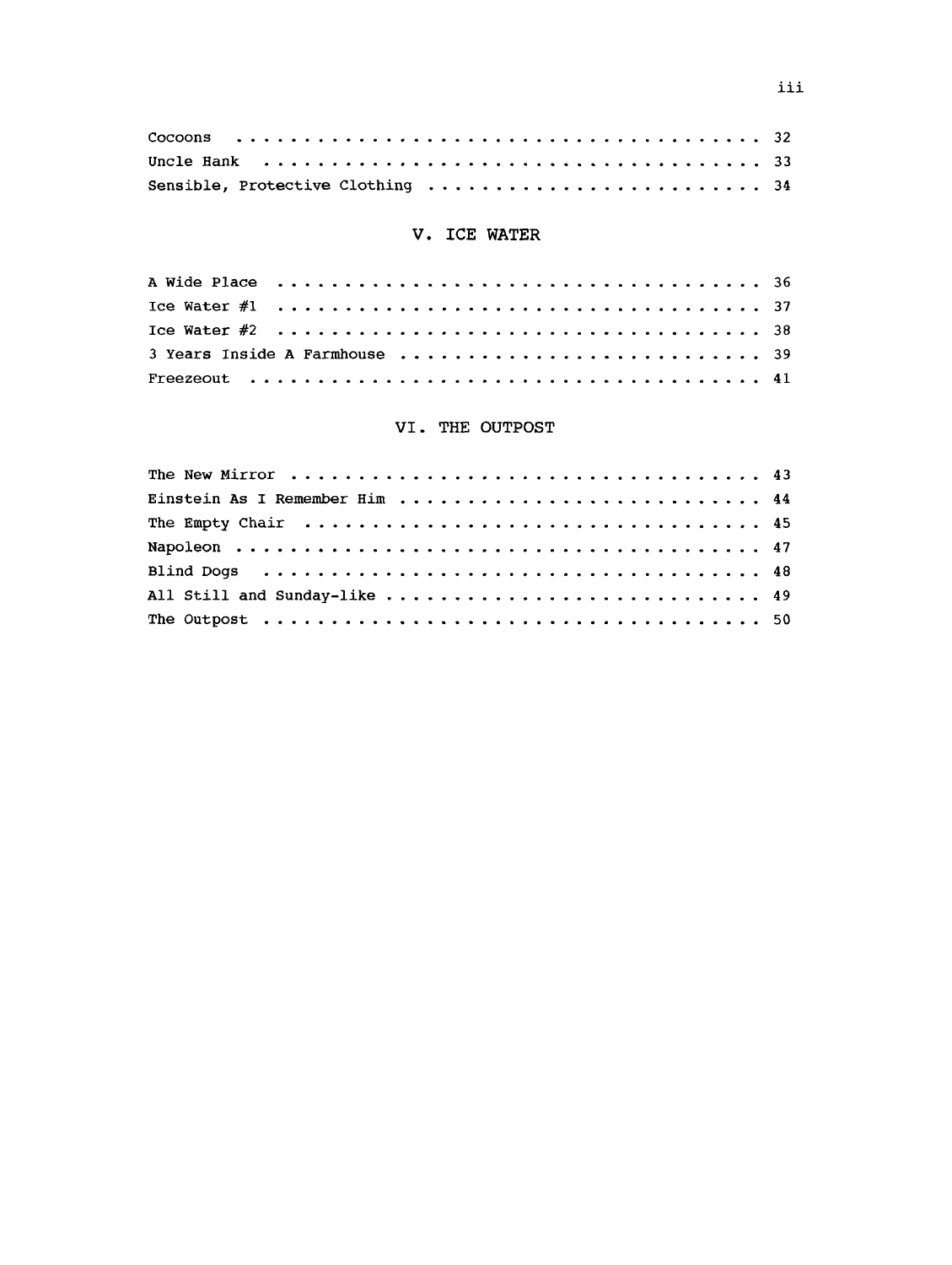#### V. ICE WATER

| Ice Water $#1 \ldots \ldots \ldots \ldots \ldots \ldots \ldots \ldots \ldots \ldots \ldots \ldots$ |  |  |  |  |  |  |  |  |  |  |  |  |  |  |  |  |
|----------------------------------------------------------------------------------------------------|--|--|--|--|--|--|--|--|--|--|--|--|--|--|--|--|
|                                                                                                    |  |  |  |  |  |  |  |  |  |  |  |  |  |  |  |  |
|                                                                                                    |  |  |  |  |  |  |  |  |  |  |  |  |  |  |  |  |
|                                                                                                    |  |  |  |  |  |  |  |  |  |  |  |  |  |  |  |  |

#### VI. THE OUTPOST

| All Still and Sunday-like  49 |  |
|-------------------------------|--|
|                               |  |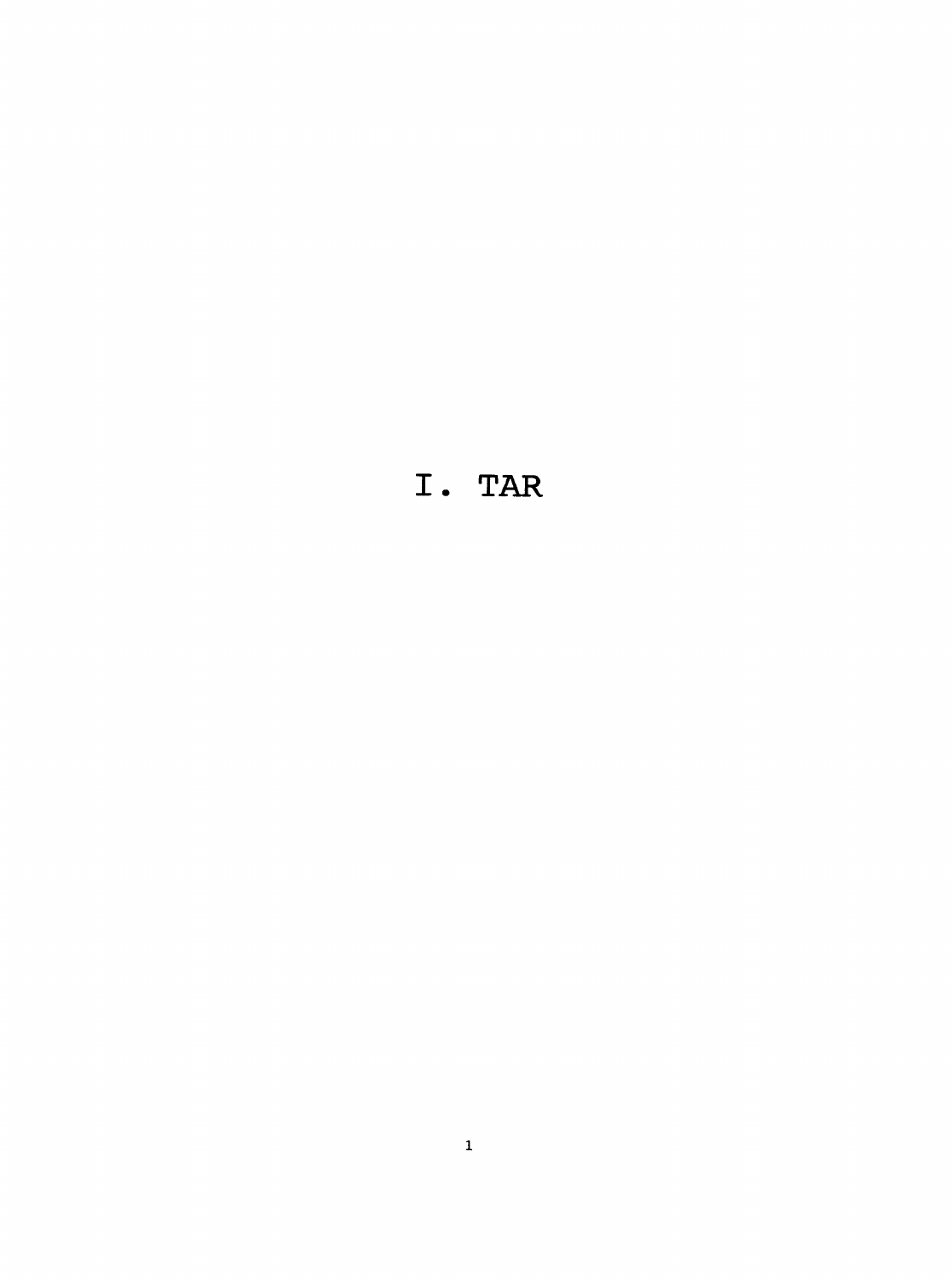### **I. TAR**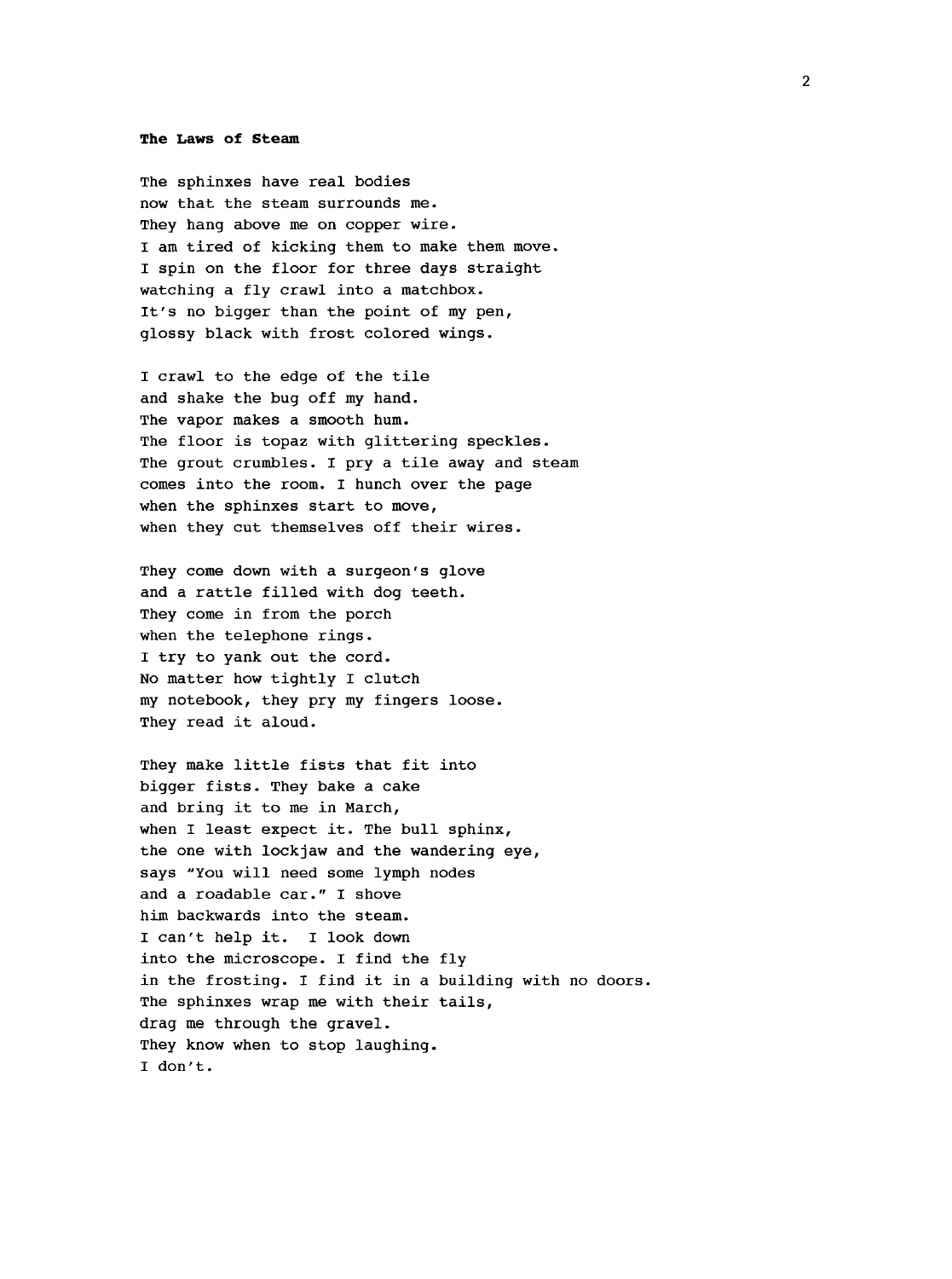#### **The Laws of Steam**

The sphinxes have real bodies now that the steam surrounds me. They hang above me on copper wire. I am tired of kicking them to make them move. I spin on the floor for three days straight watching a fly crawl into a matchbox. It's no bigger than the point of my pen, glossy black with frost colored wings.

I crawl to the edge of the tile and shake the bug off my hand. The vapor makes a smooth hum. The floor is topaz with glittering speckles. The grout crumbles. I pry a tile away and steam comes into the room. I hunch over the page when the sphinxes start to move, when they cut themselves off their wires.

They come down with a surgeon's glove and a rattle filled with dog teeth. They come in from the porch when the telephone rings. I try to yank out the cord. No matter how tightly I clutch my notebook, they pry my fingers loose. They read it aloud.

They make little fists that fit into bigger fists. They bake a cake and bring it to me in March, when I least expect it. The bull sphinx, the one with lockjaw and the wandering eye, says "You will need some lymph nodes and a roadable car." I shove him backwards into the steam. I can't help it. I look down into the microscope. I find the fly in the frosting. I find it in a building with no doors. The sphinxes wrap me with their tails, drag me through the gravel. They know when to stop laughing. I don't.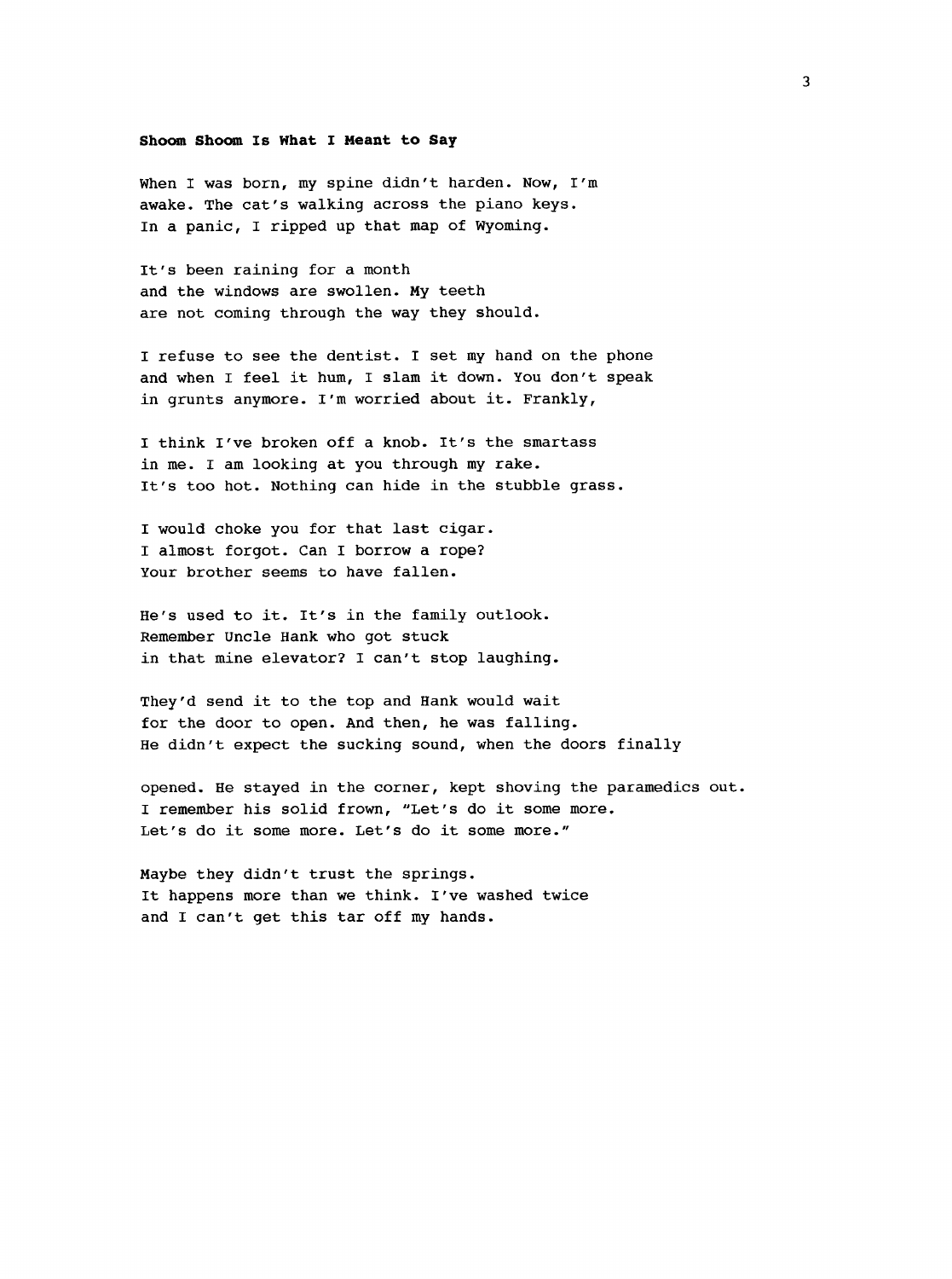#### Shoom Shoom Is What I Meant to Say

When I was born, my spine didn't harden. Now, I'm awake. The cat's walking across the piano keys. In a panic, I ripped up that map of Wyoming.

It's been raining for a month and the windows are swollen. My teeth are not coming through the way they should.

I refuse to see the dentist. I set my hand on the phone and when I feel it hum, I slam it down. You don't speak in grunts anymore. I'm worried about it. Frankly,

I think I've broken off a knob. It's the smartass in me. I am looking at you through my rake. It's too hot. Nothing can hide in the stubble grass.

I would choke you for that last cigar. I almost forgot. Can I borrow a rope? Your brother seems to have fallen.

He's used to it. It's in the family outlook. Remember Uncle Hank who got stuck in that mine elevator? I can't stop laughing.

They'd send it to the top and Hank would wait for the door to open. And then, he was falling. He didn't expect the sucking sound, when the doors finally

opened. He stayed in the corner, kept shoving the paramedics out. I remember his solid frown, "Let's do it some more. Let's do it some more. Let's do it some more."

Maybe they didn't trust the springs. It happens more than we think. I've washed twice and I can't get this tar off my hands.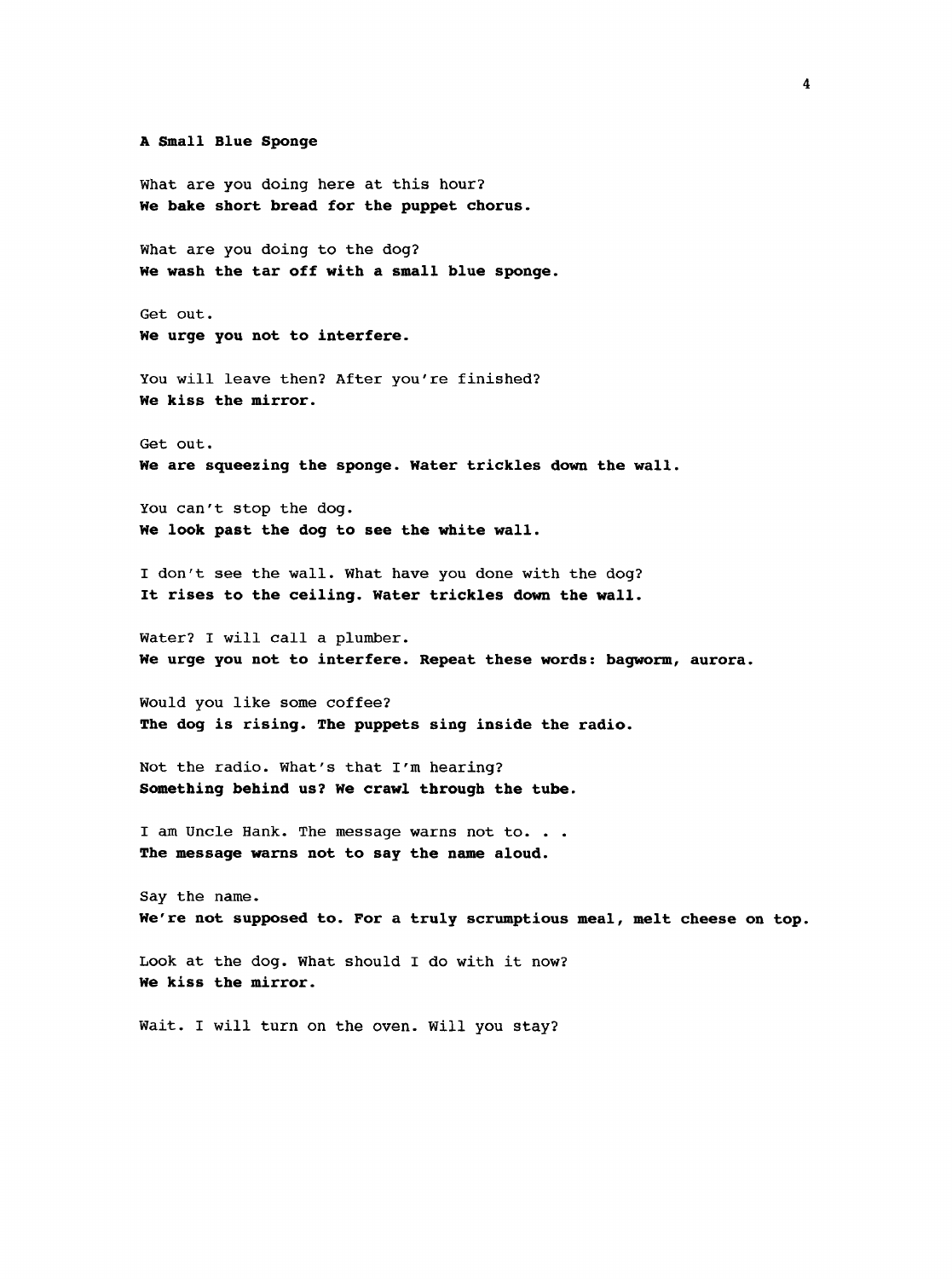#### **A Small Blue Sponge**

What are you doing here at this hour? **We bake short bread for the puppet chorus.**

What are you doing to the dog? **He wash the tar off with a small blue sponge.**

Get out. **We urge you not to interfere.**

You will leave then? After you're finished? **We kiss the mirror.**

Get out. **We are squeezing the sponge. Water trickles down the wall.**

You can't stop the dog. **We look past the dog to see the white wall.**

I don't see the wall. What have you done with the dog? **It rises to the ceiling. Water trickles down the wall.**

Water? I will call a plumber. **We urge you not to interfere. Repeat these words : bagworm, aurora.**

Would you like some coffee? **The dog is rising. The puppets sing inside the radio.**

Not the radio, what's that I'm hearing? **Something behind us? We crawl through the tube.**

I am Uncle Hank. The message warns not to. . . **The message warns not to say the name aloud.**

Say the name. We're not supposed to. For a truly scrumptious meal, melt cheese on top.

Look at the dog. What should I do with it now? **We kiss the mirror.**

Wait. I will turn on the oven. Will you stay?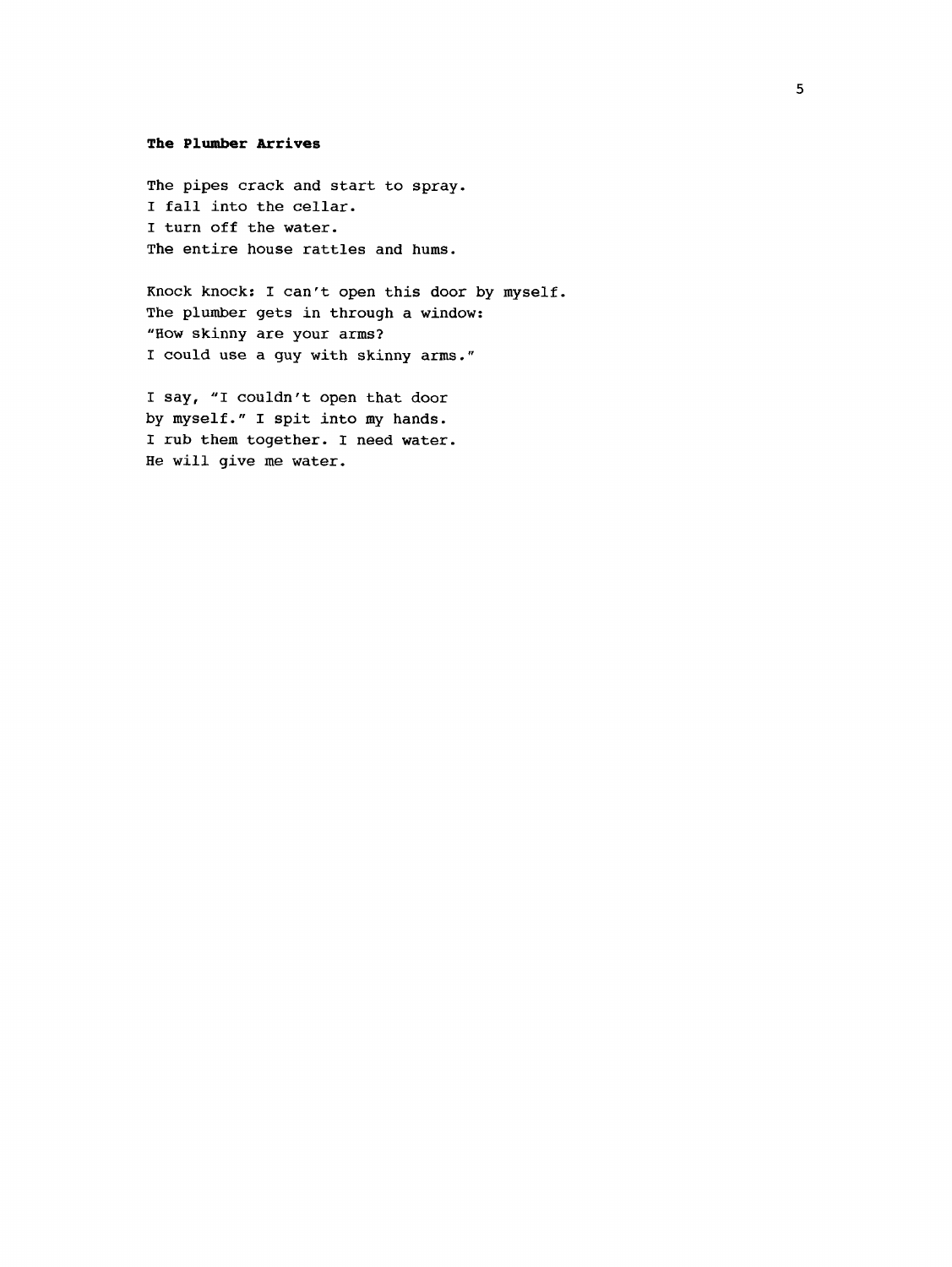#### **The Plumber Arrives**

The pipes crack and start to spray. I fall into the cellar. I turn off the water. The entire house rattles and hums.

Knock knock; I can't open this door by myself. The plumber gets in through a window: "How skinny are your arms? I could use a guy with skinny arms."

I say, "I couldn't open that door by myself." I spit into my hands. I rub them together. I need water. He will give me water.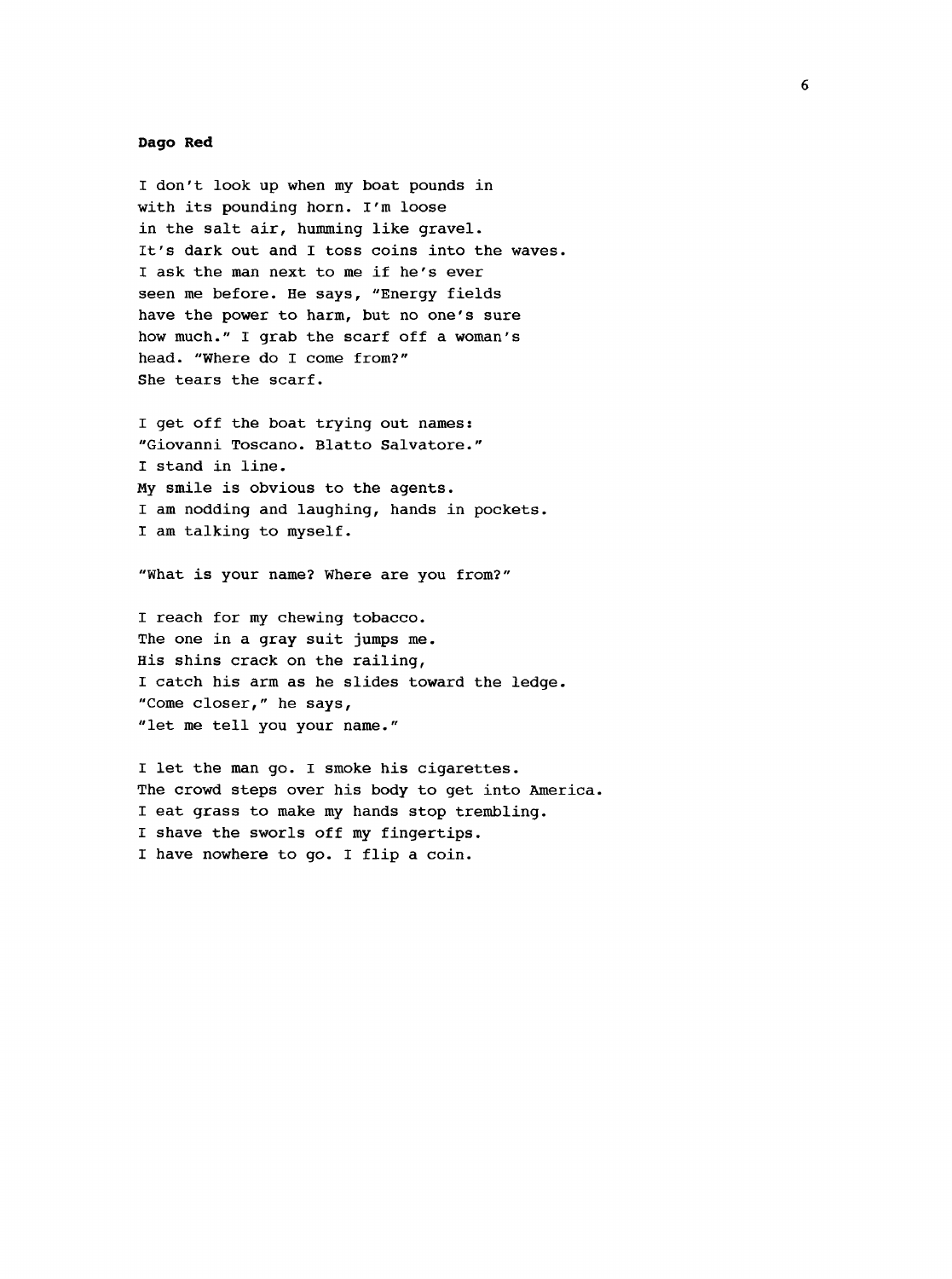#### **Dago Red**

I don't look up when my boat pounds in with its pounding horn. I'm loose in the salt air, humming like gravel. It's dark out and I toss coins into the waves. I ask the man next to me if he's ever seen me before. He says, "Energy fields have the power to harm, but no one's sure how much." I grab the scarf off a woman's head. "Where do I come from?" She tears the scarf.

I get off the boat trying out names: "Giovanni Toscano. Blatto Salvatore." I stand in line. My smile is obvious to the agents. I am nodding and laughing, hands in pockets. I am talking to myself.

"What is your name? Where are you from?"

I reach for my chewing tobacco. The one in a gray suit jumps me. His shins crack on the railing, I catch his arm as he slides toward the ledge. "Come closer," he says, "let me tell you your name."

I let the man go. I smoke his cigarettes. The crowd steps over his body to get into America. I eat grass to make my hands stop trembling. I shave the sworls off my fingertips. I have nowhere to go. I flip a coin.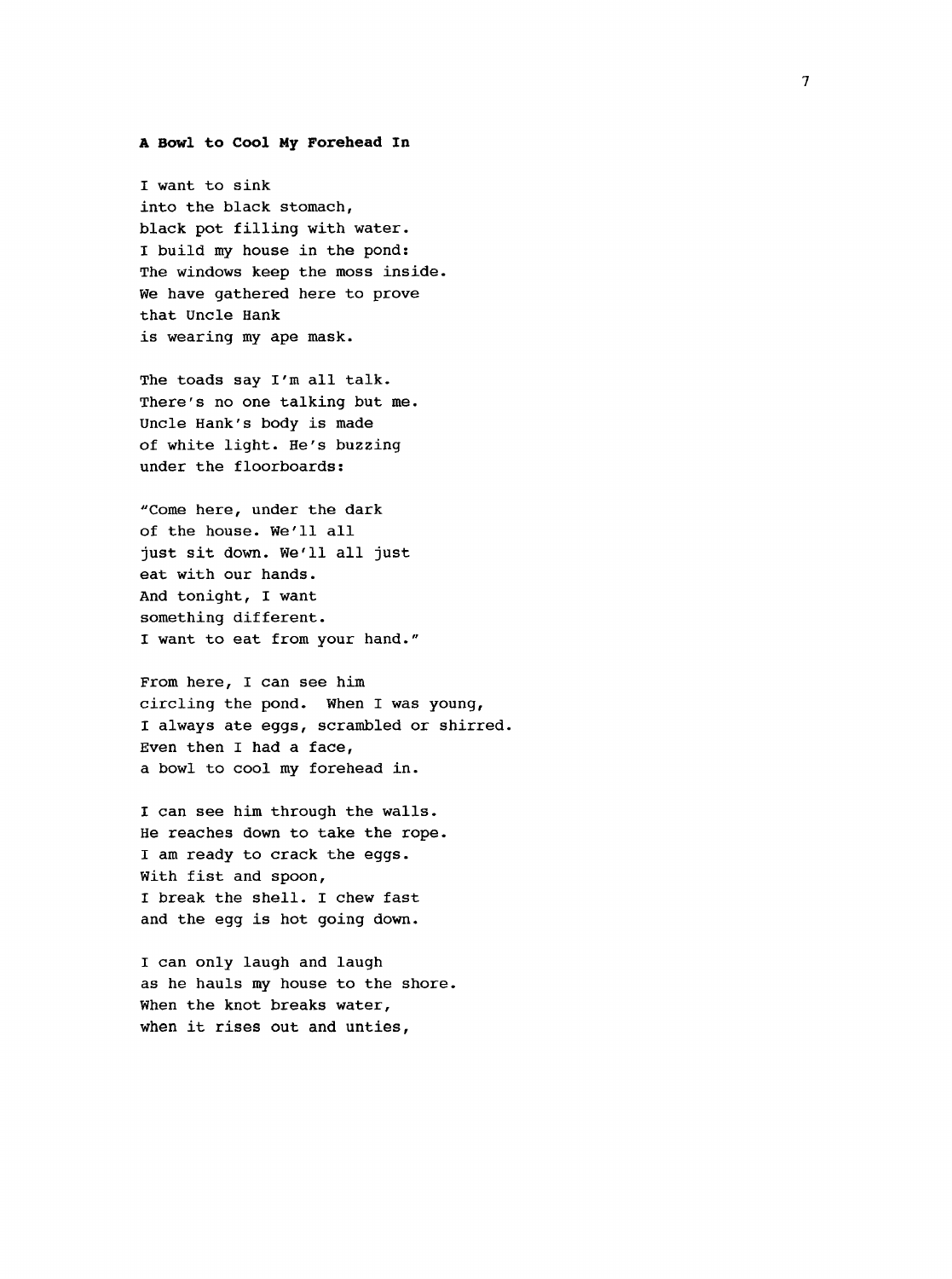#### <span id="page-15-0"></span>**A Bowl to Cool My Forehead In**

I want to sink into the black stomach, black pot filling with water. I build my house in the pond: The windows keep the moss inside. We have gathered here to prove that Uncle Hank is wearing my ape mask.

The toads say I'm all talk. There's no one talking but me. Uncle Hank's body is made of white light. He's buzzing under the floorboards:

"Come here, under the dark of the house. We'll all just sit down. We'll all just eat with our hands. And tonight, I want something different. I want to eat from your hand."

From here, I can see him circling the pond. When I was young, I always ate eggs, scrambled or shirred. Even then I had a face, a bowl to cool my forehead in.

I can see him through the walls. He reaches down to take the rope. I am ready to crack the eggs. With fist and spoon, I break the shell. I chew fast and the egg is hot going down.

I can only laugh and laugh as he hauls my house to the shore. When the knot breaks water, when it rises out and unties,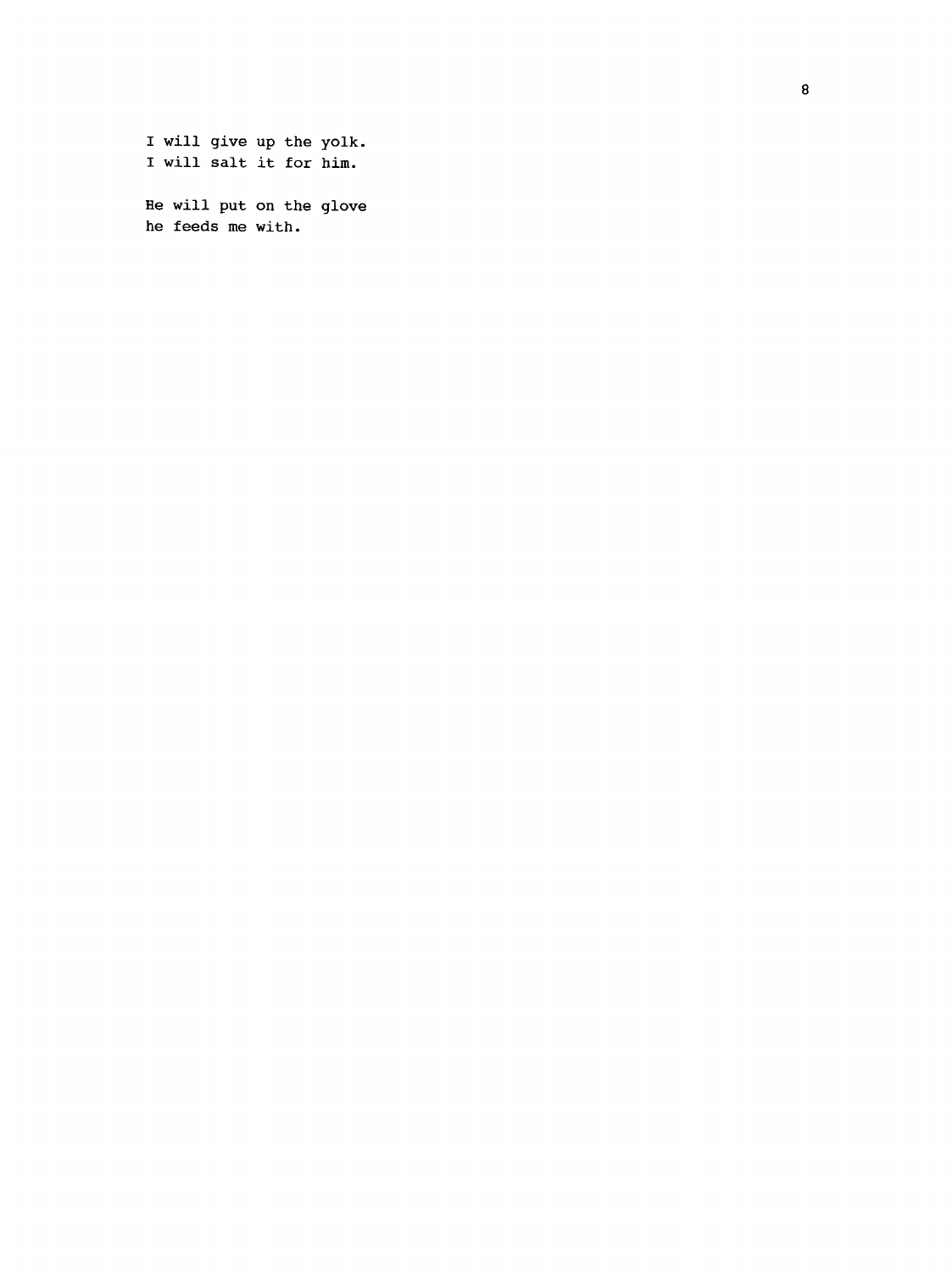I will give up the yolk. I will salt it for him. He will put on the glove

he feeds me with.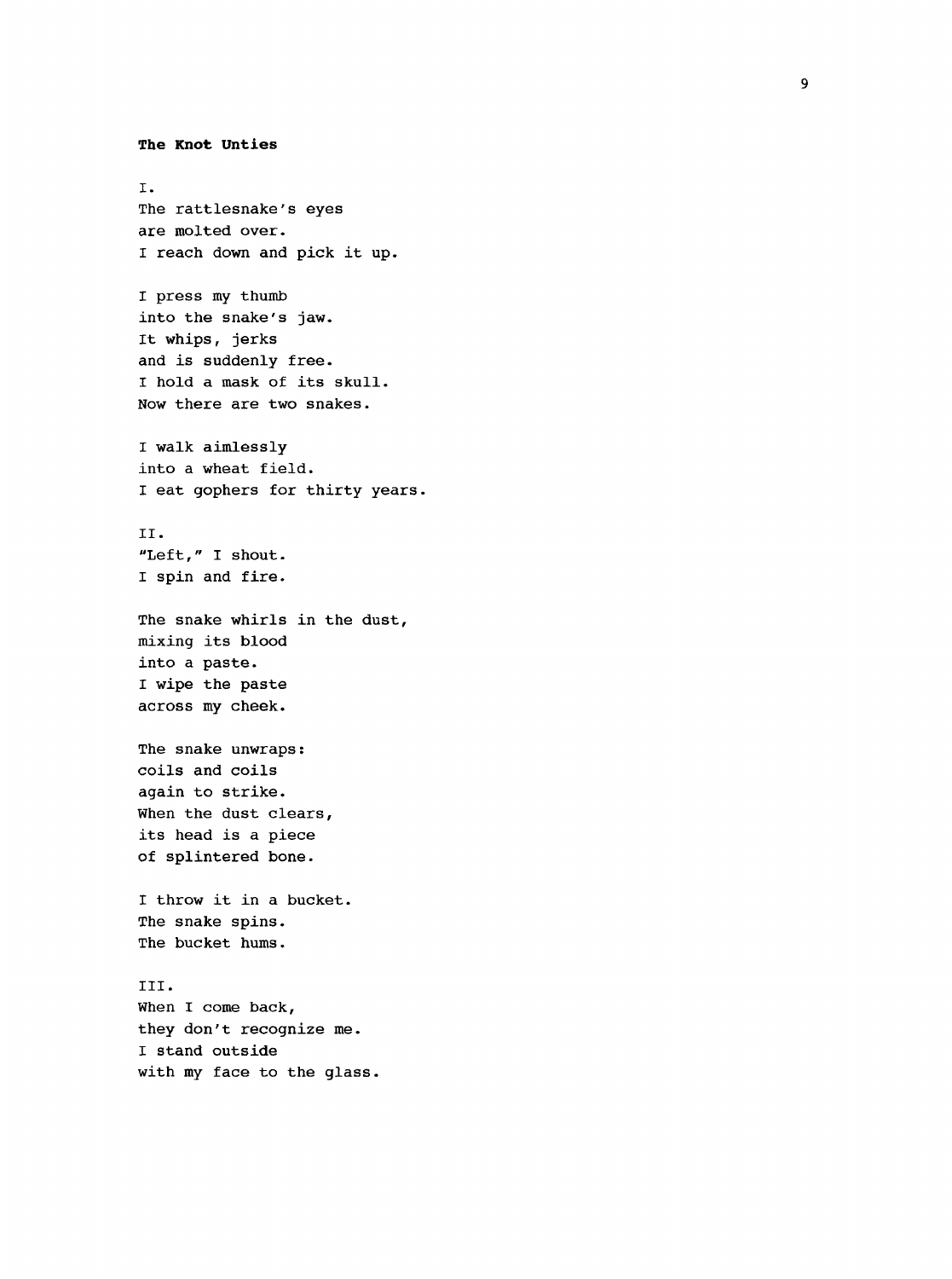```
The Knot Unties
I.
The rattlesnake's eyes 
are molted over.
I reach down and pick it up.
I press my thumb 
into the snake's jaw.
It whips, jerks 
and is suddenly free.
I hold a mask of its skull.
Now there are two snakes.
I walk aimlessly 
into a wheat field.
I eat gophers for thirty years.
II.
"Left," I shout.
I spin and fire.
The snake whirls in the dust, 
mixing its blood 
into a paste.
I wipe the paste 
across my cheek.
The snake unwraps : 
coils and coils 
again to strike.
When the dust clears, 
its head is a piece 
of splintered bone.
I throw it in a bucket.
The snake spins.
The bucket hums.
III.
When I come back, 
they don't recognize me.
I stand outside
with my face to the glass.
```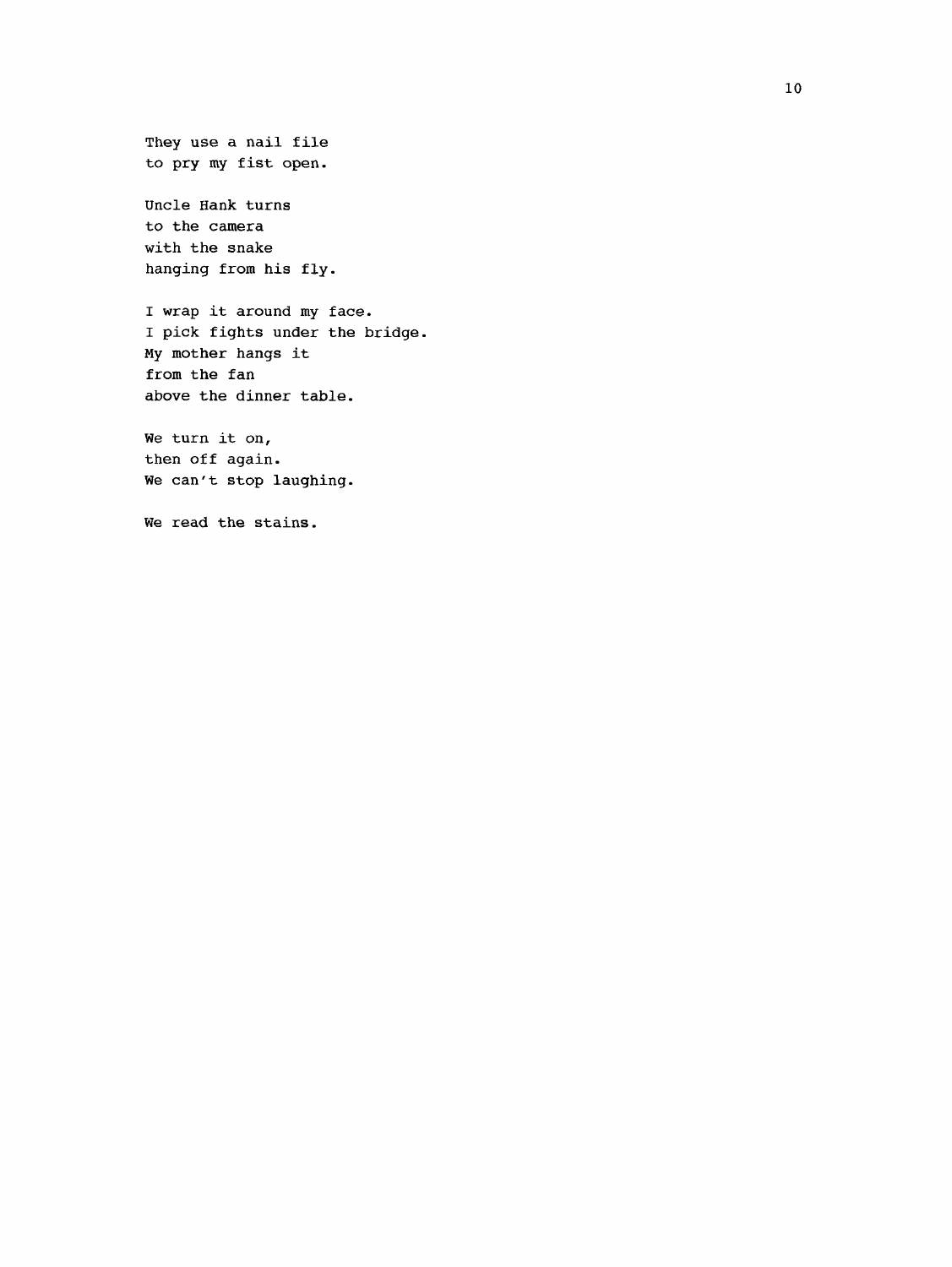They use a nail file to pry my fist open.

Uncle Hank turns to the camera with the snake hanging from his fly.

I wrap it around my face. I pick fights under the bridge. My mother hangs it from the fan above the dinner table.

We turn it on, then off again. We can't stop laughing.

We read the stains.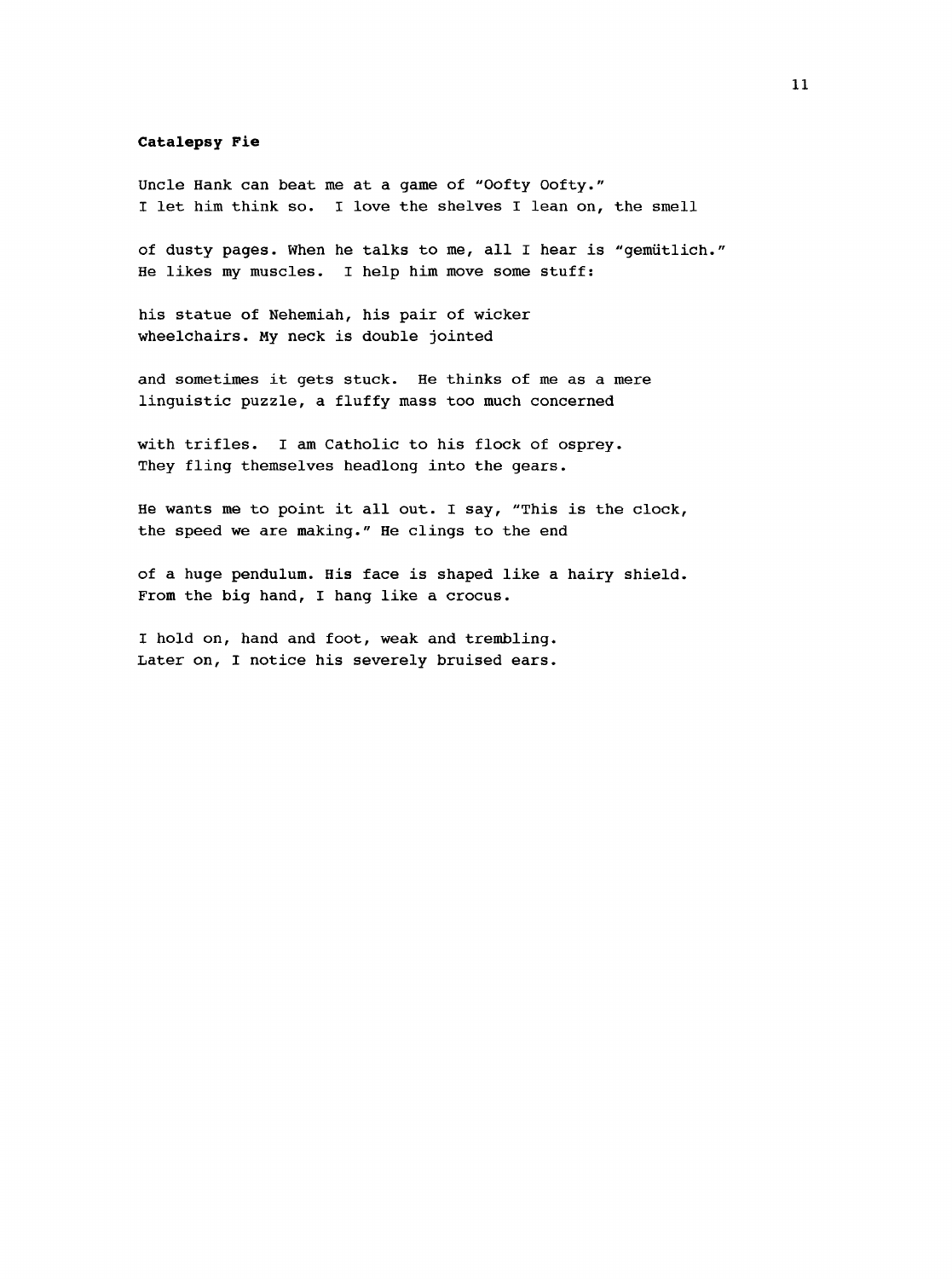#### <span id="page-19-0"></span>**Catalepsy Fie**

Uncle Hank can beat me at a game of "Oofty Oofty." I let him think so. I love the shelves I lean on, the smell

of dusty pages. When he talks to me, all I hear is "gemiitlich." He likes my muscles. I help him move some stuff:

his statue of Nehemiah, his pair of wicker wheelchairs. My neck is double jointed

and sometimes it gets stuck. He thinks of me as a mere linguistic puzzle, a fluffy mass too much concerned

with trifles. I am Catholic to his flock of osprey. They fling themselves headlong into the gears.

He wants me to point it all out. I say, "This is the clock, the speed we are making." He clings to the end

of a huge pendulum. His face is shaped like a hairy shield. From the big hand, I hang like a crocus.

I hold on, hand and foot, weak and trembling. Later on, I notice his severely bruised ears.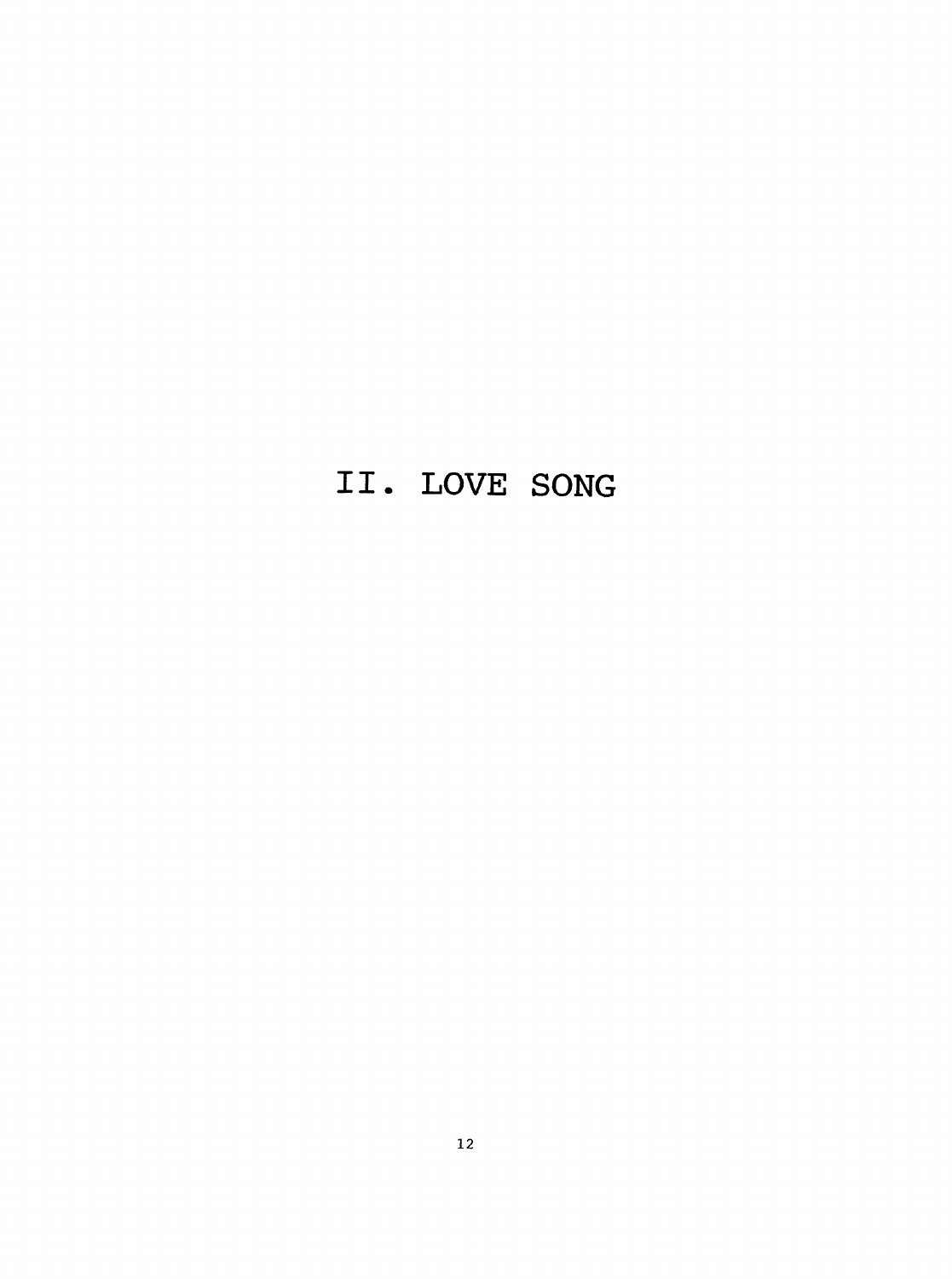# **II. LOVE SONG**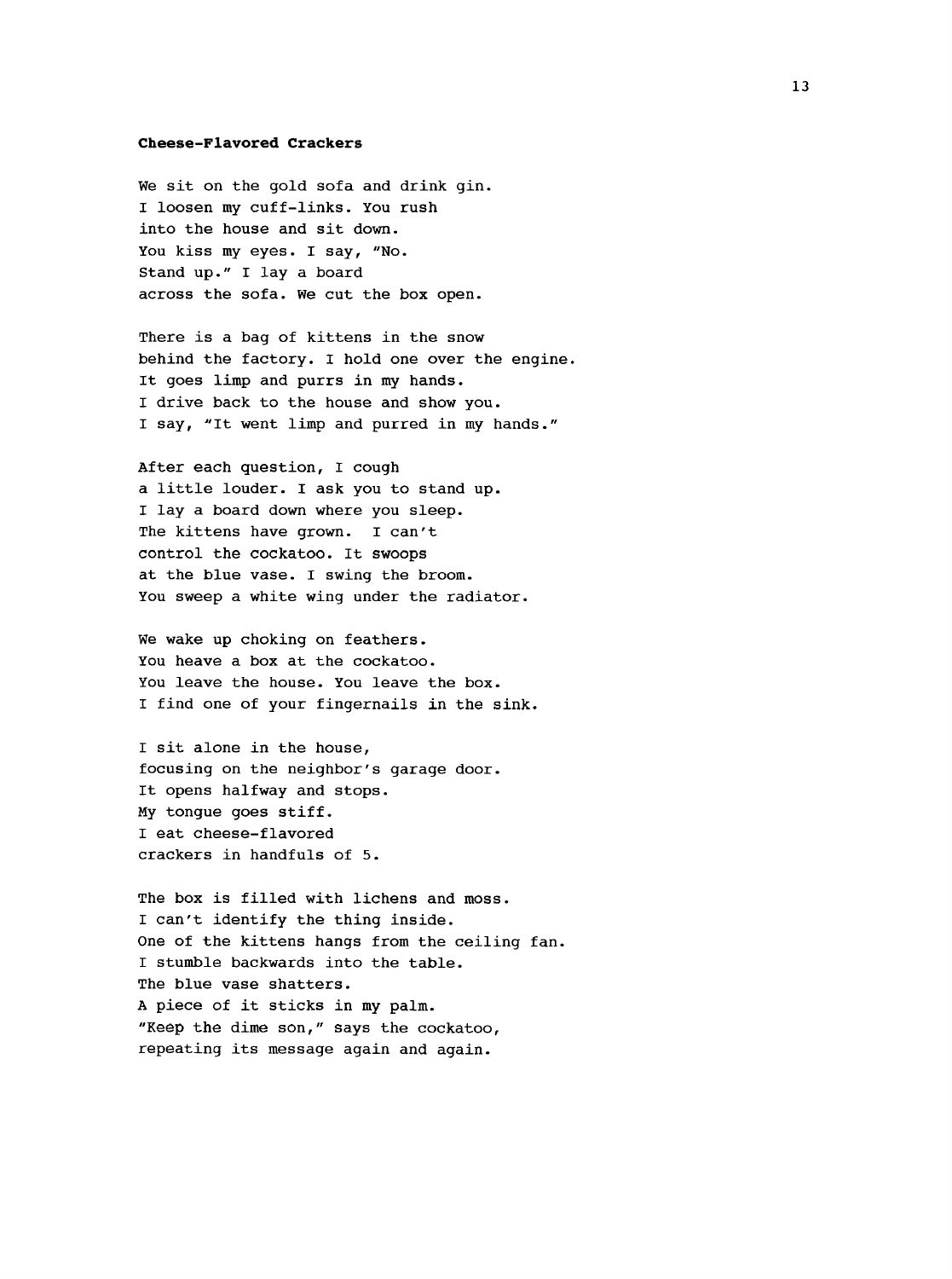#### <span id="page-21-0"></span>**Cheese-Flavored Crackers**

We sit on the gold sofa and drink gin. I loosen my cuff-links. You rush into the house and sit down. You kiss my eyes. I say, "No. Stand up." I lay a board across the sofa. We cut the box open.

There is a bag of kittens in the snow behind the factory. I hold one over the engine. It goes limp and purrs in my hands. I drive back to the house and show you. I say, "It went limp and purred in my hands."

After each question, I cough a little louder. I ask you to stand up. I lay a board down where you sleep. The kittens have grown. I can't control the cockatoo. It swoops at the blue vase. I swing the broom. You sweep a white wing under the radiator.

We wake up choking on feathers. You heave a box at the cockatoo. You leave the house. You leave the box. I find one of your fingernails in the sink.

I sit alone in the house, focusing on the neighbor's garage door. It opens halfway and stops. My tongue goes stiff. I eat cheese-flavored crackers in handfuls of 5.

The box is filled with lichens and moss. I can't identify the thing inside. One of the kittens hangs from the ceiling fan. I stumble backwards into the table. The blue vase shatters. A piece of it sticks in my palm. "Keep the dime son," says the cockatoo, repeating its message again and again.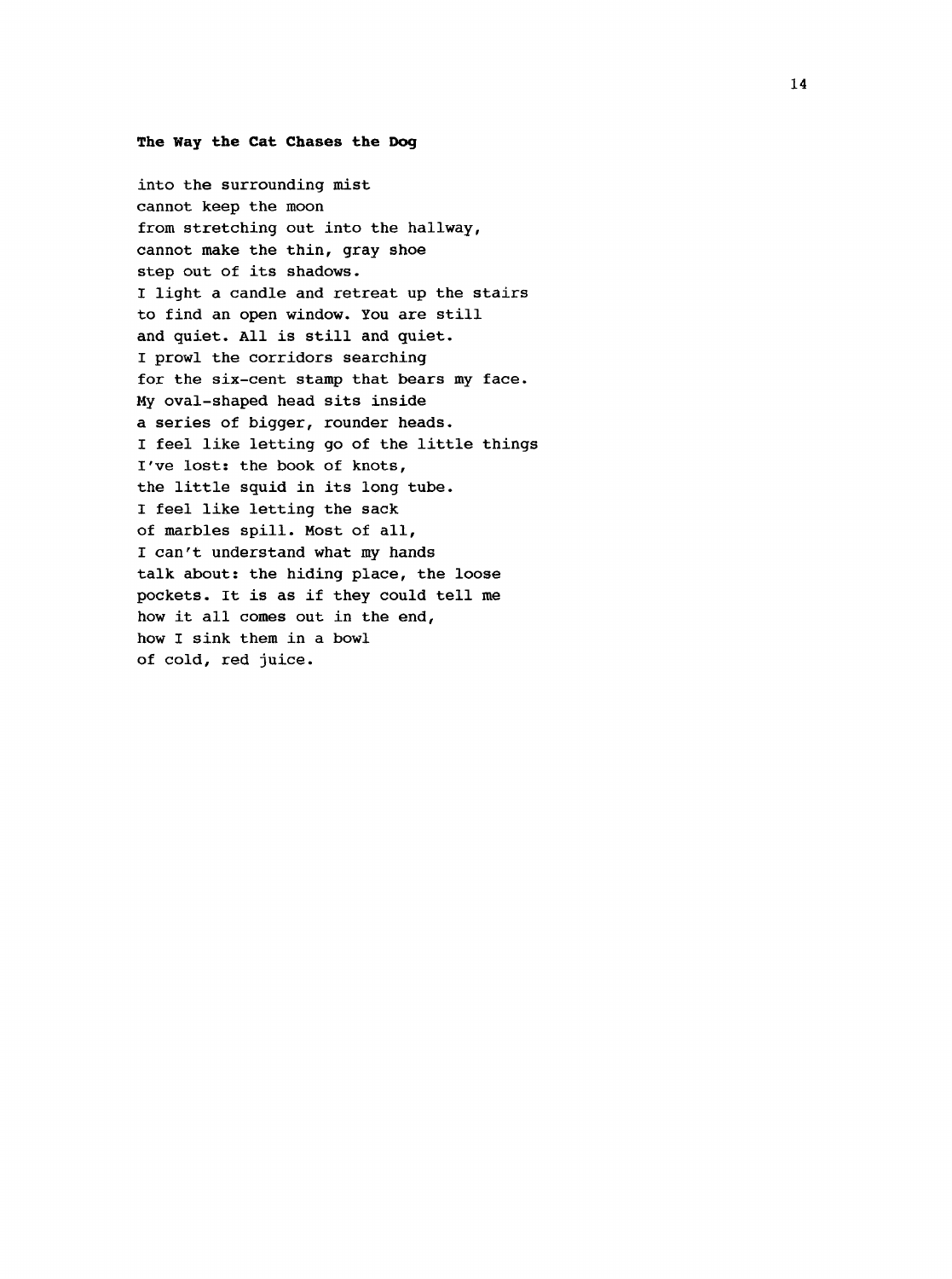#### **The Hay the Cat Chases the Dog**

into the surrounding mist cannot keep the moon from stretching out into the hallway, cannot make the thin, gray shoe step out of its shadows. I light a candle and retreat up the stairs to find an open window. You are still and quiet. All is still and quiet. I prowl the corridors searching for the six-cent stamp that bears my face. My oval-shaped head sits inside a series of bigger, rounder heads. I feel like letting go of the little things I've lost: the book of knots, the little squid in its long tube. I feel like letting the sack of marbles spill. Most of all, I can't understand what my hands talk about: the hiding place, the loose pockets. It is as if they could tell me how it all comes out in the end, how I sink them in a bowl of cold, red juice.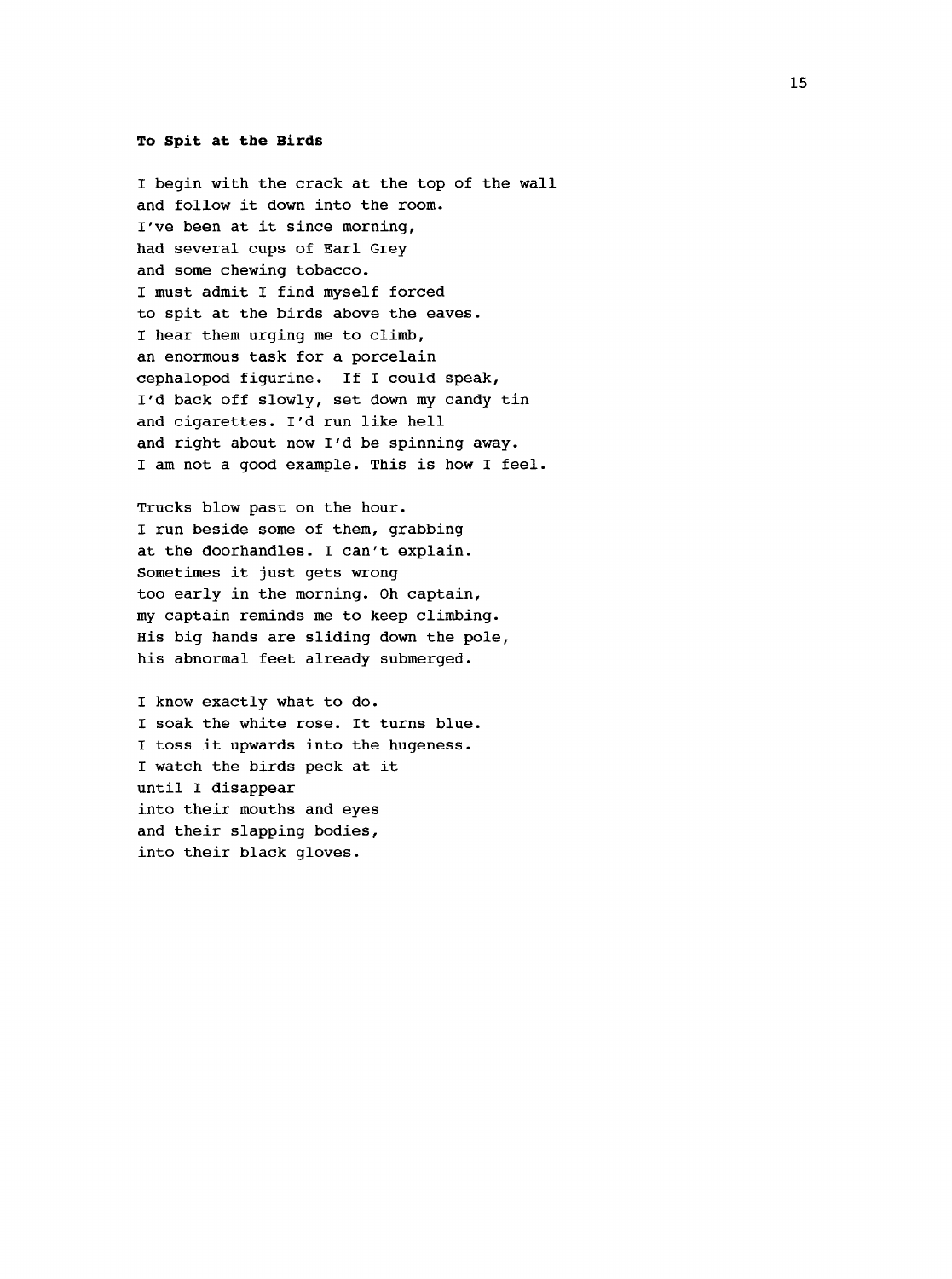#### **To Spit at the Birds**

I begin with the crack at the top of the wall and follow it down into the room. I've been at it since morning, had several cups of Earl Grey and some chewing tobacco. I must admit I find myself forced to spit at the birds above the eaves. I hear them urging me to climb, an enormous task for a porcelain cephalopod figurine. If I could speak. I'd back off slowly, set down my candy tin and cigarettes. I'd run like hell and right about now I'd be spinning away. I am not a good example. This is how I feel.

Trucks blow past on the hour. I run beside some of them, grabbing at the doorhandles. I can't explain. Sometimes it just gets wrong too early in the morning. Oh captain, my captain reminds me to keep climbing. His big hands are sliding down the pole, his abnormal feet already submerged.

I know exactly what to do. I soak the white rose. It turns blue. I toss it upwards into the hugeness. I watch the birds peck at it until I disappear into their mouths and eyes and their slapping bodies, into their black gloves.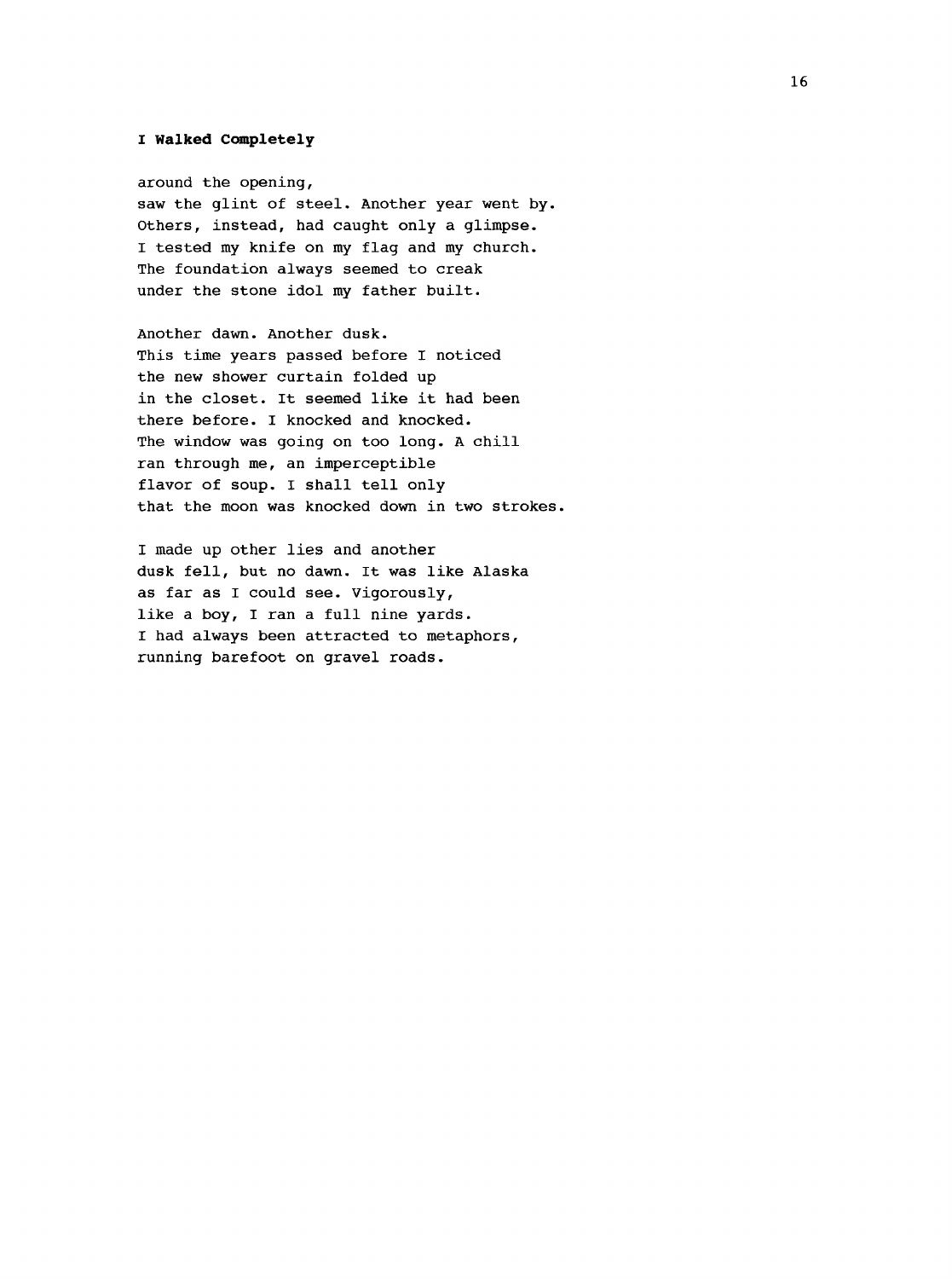#### **I Walked Completely**

around the opening, saw the glint of steel. Another year went by. Others, instead, had caught only a glimpse. I tested my knife on my flag and my church. The foundation always seemed to creak under the stone idol my father built.

Another dawn. Another dusk. This time years passed before I noticed the new shower curtain folded up in the closet. It seemed like it had been there before. I knocked and knocked. The window was going on too long. A chill ran through me, an imperceptible flavor of soup. I shall tell only that the moon was knocked down in two strokes.

I made up other lies and another dusk fell, but no dawn. It was like Alaska as far as I could see. Vigorously, like a boy, I ran a full nine yards. I had always been attracted to metaphors, running barefoot on gravel roads.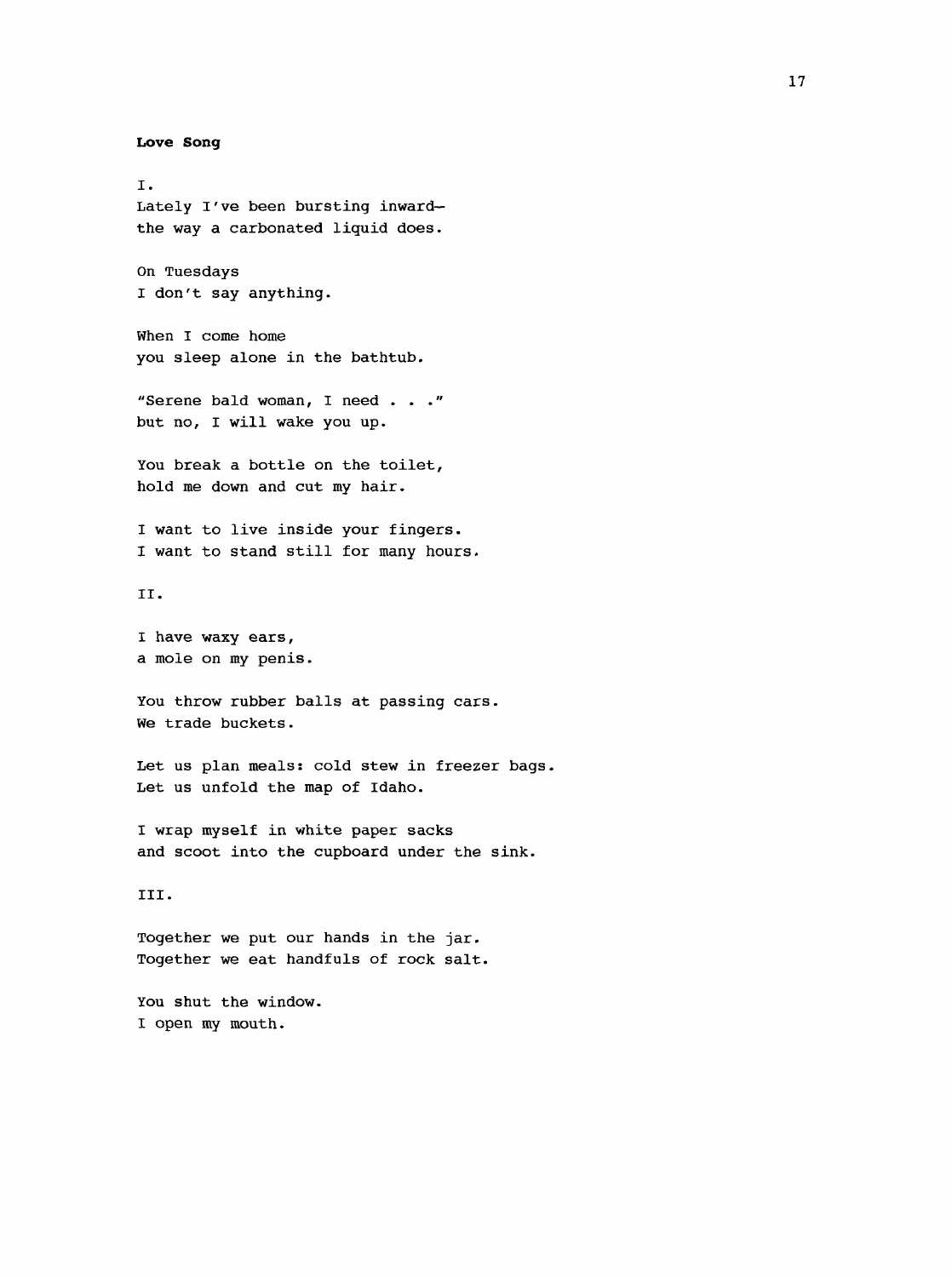<span id="page-25-0"></span>**Love Song**

I. Lately I've been bursting inward the way a carbonated liquid does. On Tuesdays I don't say anything. When I come home you sleep alone in the bathtub. "Serene bald woman, I need ..." but no, I will wake you up. You break a bottle on the toilet, hold me down and cut my hair. I want to live inside your fingers. I want to stand still for many hours. II. I have waxy ears, a mole on my penis. You throw rubber balls at passing cars. We trade buckets. Let us plan meals: cold stew in freezer bags. Let us unfold the map of Idaho. I wrap myself in white paper sacks and scoot into the cupboard under the sink. III. Together we put our hands in the jar. Together we eat handfuls of rock salt. You shut the window.

I open my mouth.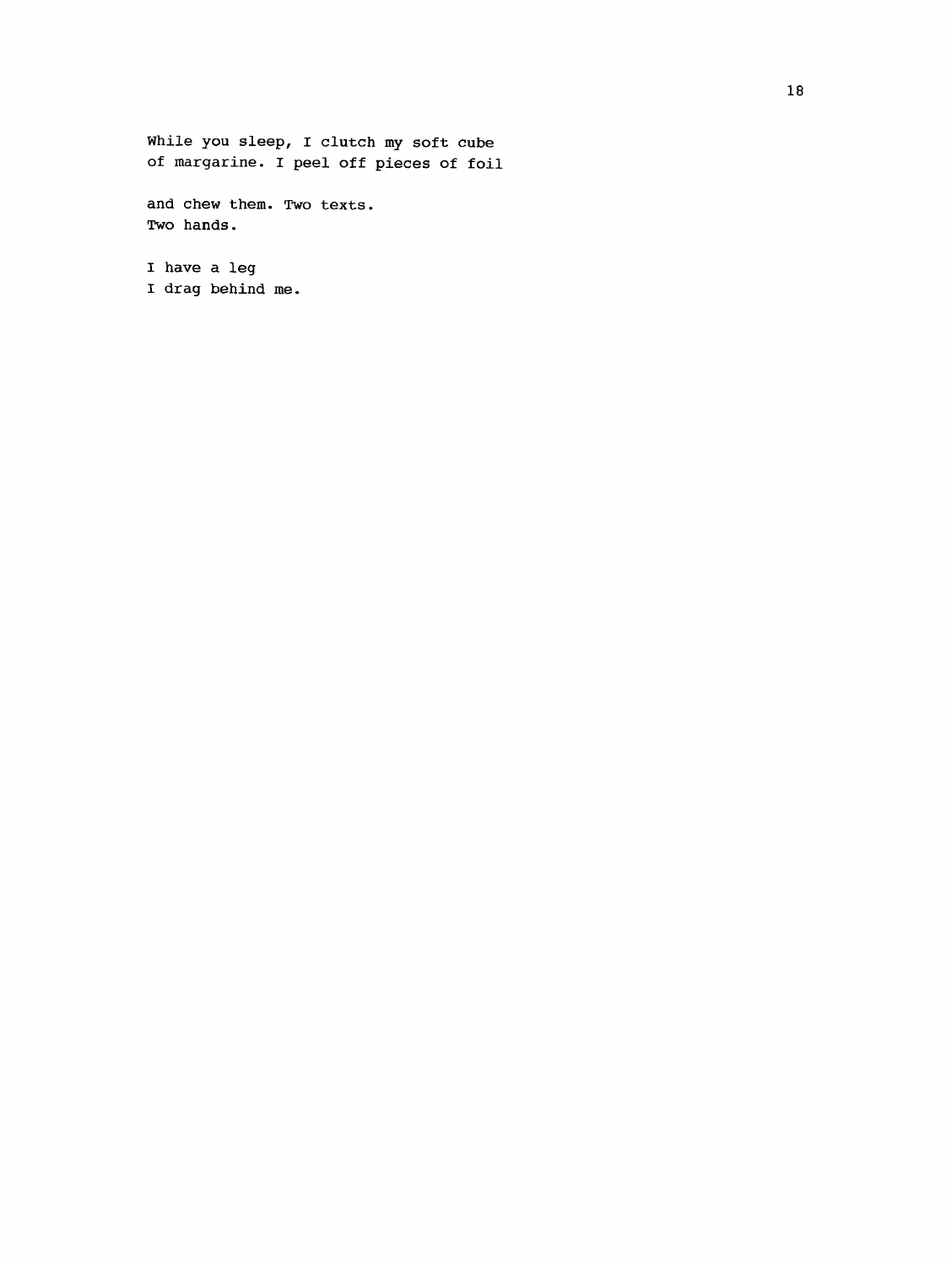While you sleep, I clutch my soft cube of margarine. I peel off pieces of foil

and chew them. Two texts. Two hands.

I have a leg I drag behind me.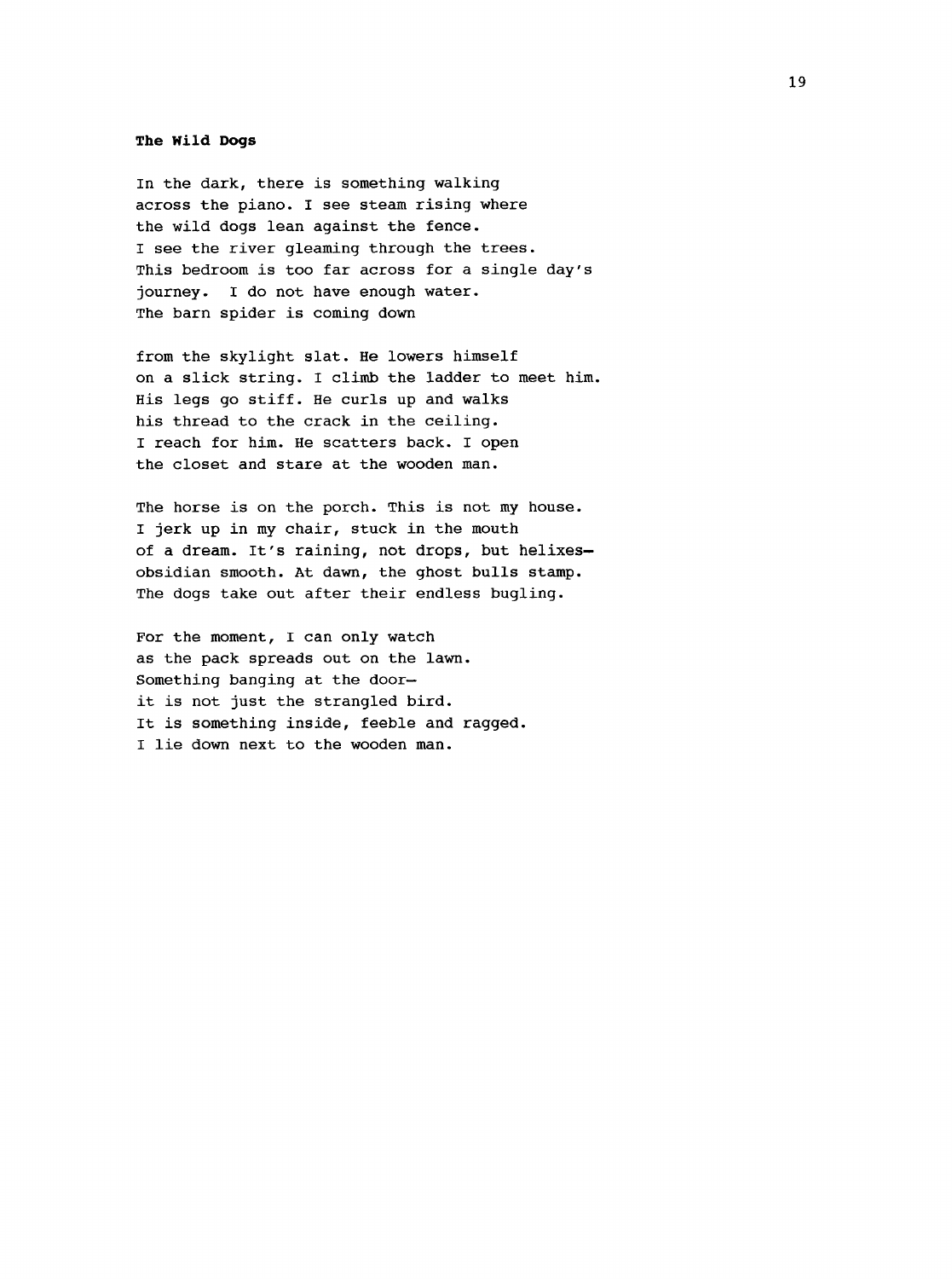#### **The Wild Dogs**

In the dark, there is something walking across the piano. I see steam rising where the wild dogs lean against the fence. I see the river gleaming through the trees. This bedroom is too far across for a single day's journey. I do not have enough water. The barn spider is coming down

from the skylight slat. He lowers himself on a slick string. I climb the ladder to meet him. His legs go stiff. He curls up and walks his thread to the crack in the ceiling. I reach for him. He scatters back. I open the closet and stare at the wooden man.

The horse is on the porch. This is not my house. I jerk up in my chair, stuck in the mouth of a dream. It's raining, not drops, but helixes obsidian smooth. At dawn, the ghost bulls stamp. The dogs take out after their endless bugling.

For the moment, I can only watch as the pack spreads out on the lawn. Something banging at the door it is not just the strangled bird. It is something inside, feeble and ragged. I lie down next to the wooden man.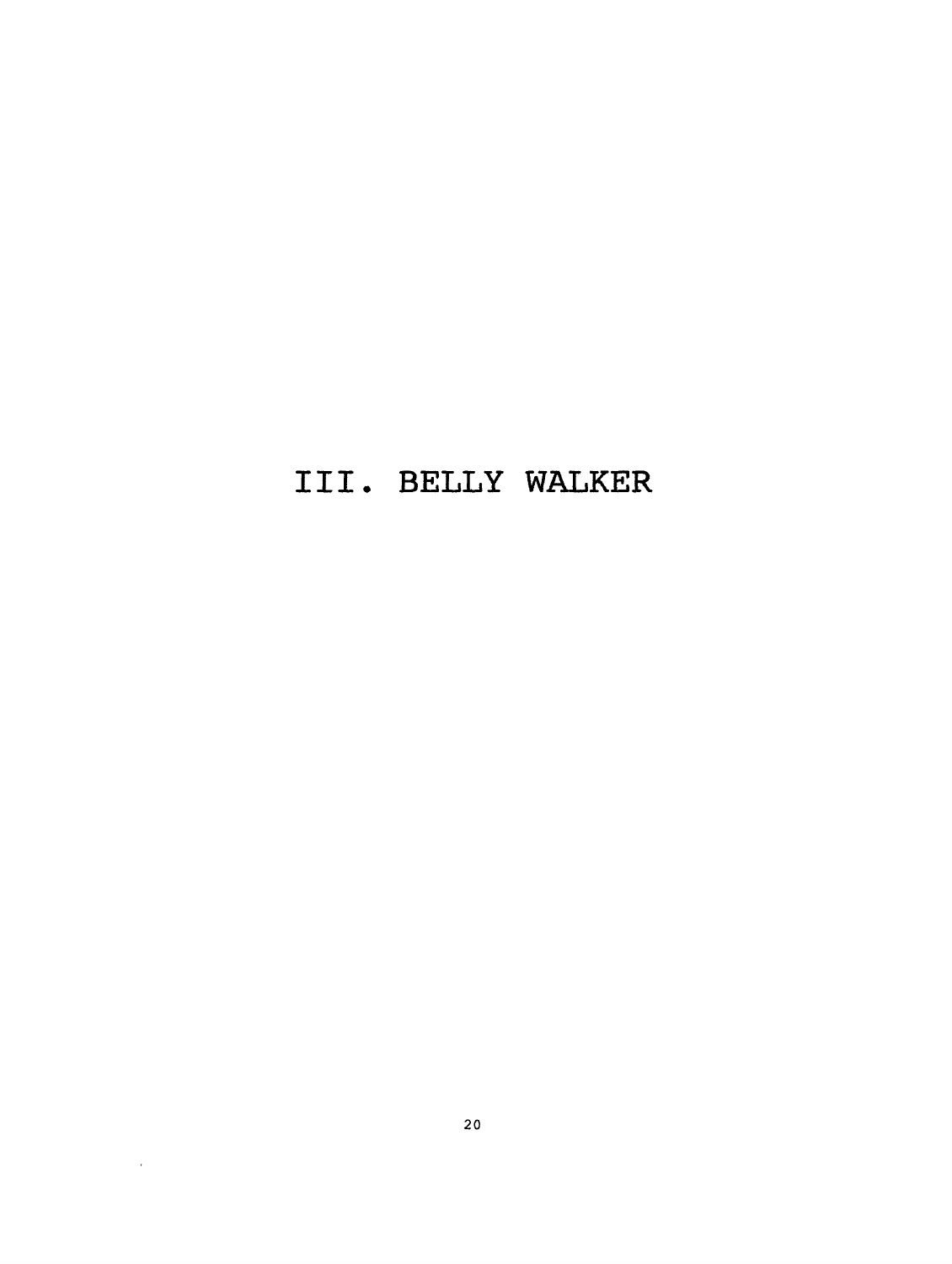### **III. BELLY WALKER**

 $\sim$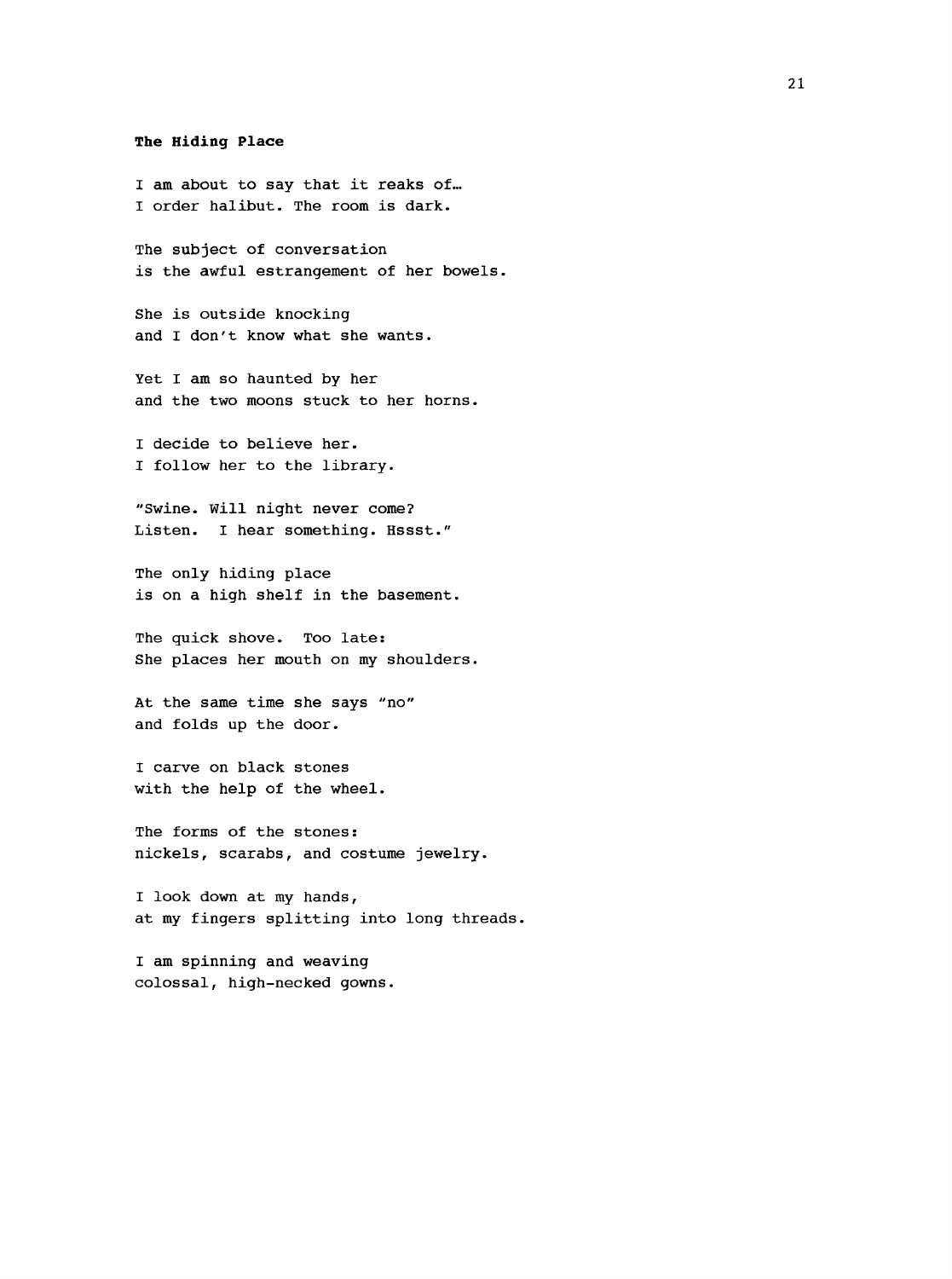#### **The Hiding Place**

I am about to say that it reaks of... I order halibut. The room is dark.

The subject of conversation is the awful estrangement of her bowels.

She is outside knocking and I don't know what she wants.

Yet I am so haunted by her and the two moons stuck to her horns.

I decide to believe her. I follow her to the library.

"Swine. Will night never come? Listen. I hear something. Hssst."

The only hiding place is on a high shelf in the basement.

The guick shove. Too late: She places her mouth on my shoulders.

At the same time she says "no" and folds up the door.

I carve on black stones with the help of the wheel.

The forms of the stones; nickels, scarabs, and costume jewelry.

I look down at my hands, at my fingers splitting into long threads.

I am spinning and weaving colossal, high-necked gowns.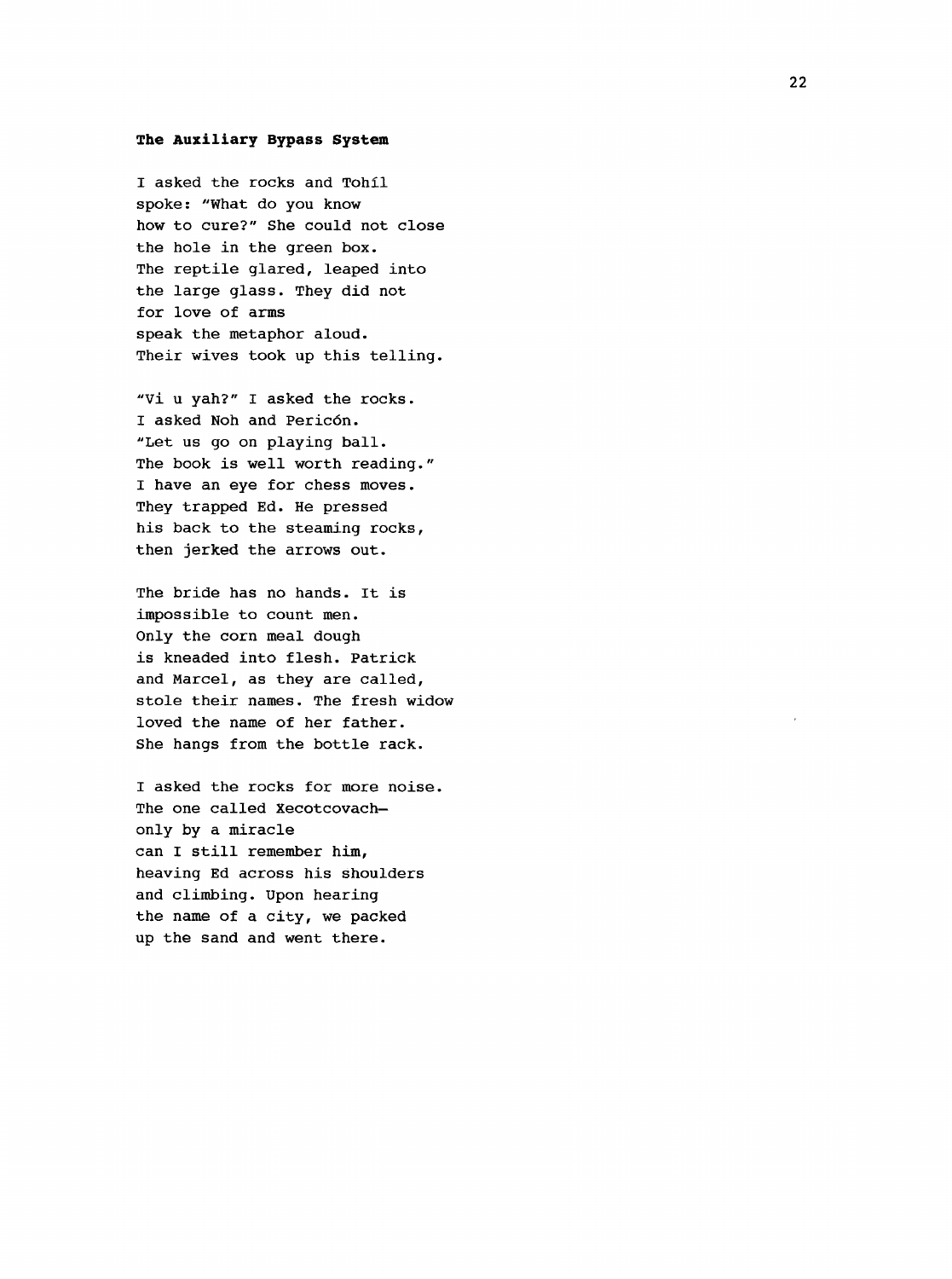#### **The Auxiliary Bypass System**

I asked the rocks and Tohil spoke: "What do you know how to cure?" She could not close the hole in the green box. The reptile glared, leaped into the large glass. They did not for love of arms speak the metaphor aloud. Their wives took up this telling.

"Vi u yah?" I asked the rocks. I asked Noh and Pericôn. "Let us go on playing ball. The book is well worth reading." I have an eye for chess moves. They trapped Ed. He pressed his back to the steaming rocks, then jerked the arrows out.

The bride has no hands. It is impossible to count men. Only the corn meal dough is kneaded into flesh. Patrick and Marcel, as they are called, stole their names. The fresh widow loved the name of her father. She hangs from the bottle rack.

I asked the rocks for more noise. The one called Xecotcovach only by a miracle can I still remember him, heaving Ed across his shoulders and climbing. Upon hearing the name of a city, we packed up the sand and went there.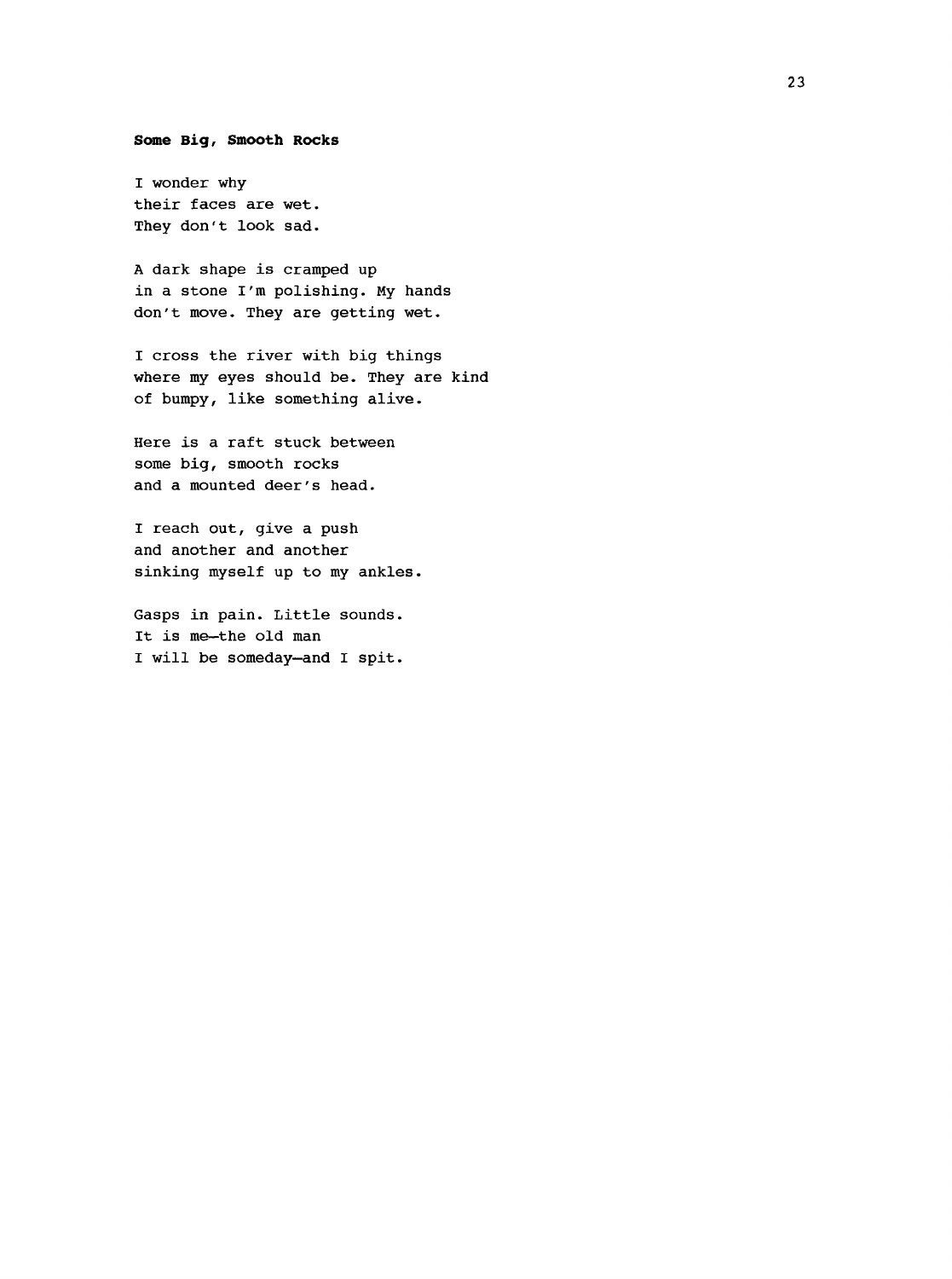#### <span id="page-31-0"></span>**Senne Big, Smooth Rocks**

I wonder why their faces are wet. They don't look sad.

A dark shape is cramped up in a stone I'm polishing. My hands don't move. They are getting wet.

I cross the river with big things where my eyes should be. They are kind of bumpy, like something alive.

Here is a raft stuck between some big, smooth rocks and a mounted deer's head.

I reach out, give a push and another and another sinking myself up to my ankles.

Gasps in pain. Little sounds. It is me—the old man I will be someday—and I spit.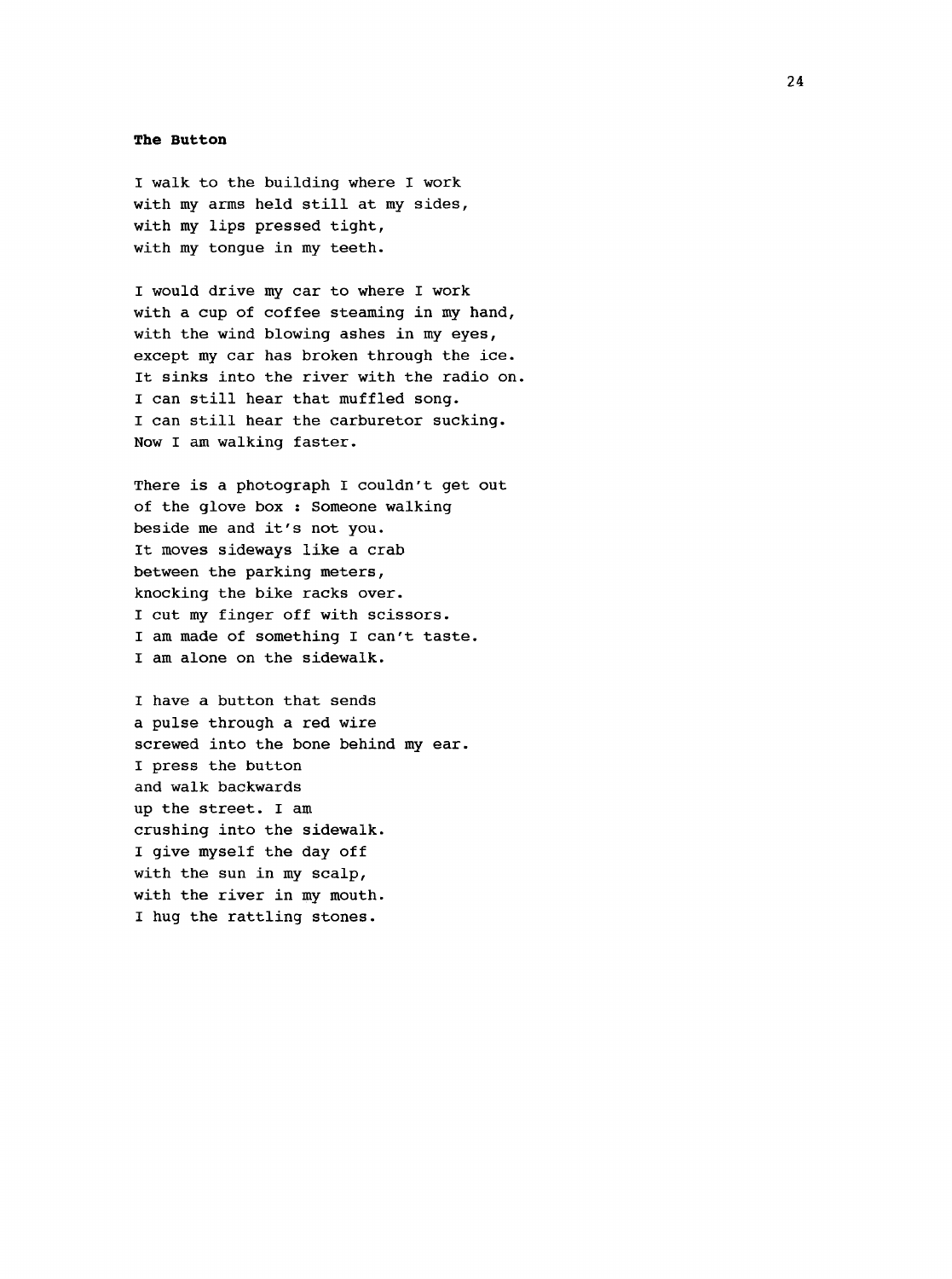#### **The Button**

I walk to the building where I work with my arms held still at my sides, with my lips pressed tight, with my tongue in my teeth.

I would drive my car to where I work with a cup of coffee steaming in my hand, with the wind blowing ashes in my eyes, except my car has broken through the ice. It sinks into the river with the radio on. I can still hear that muffled song. I can still hear the carburetor sucking. Now I am walking faster.

There is a photograph I couldn't get out of the glove box : Someone walking beside me and it's not you. It moves sideways like a crab between the parking meters, knocking the bike racks over. I cut my finger off with scissors. I am made of something I can't taste. I am alone on the sidewalk.

I have a button that sends a pulse through a red wire screwed into the bone behind my ear. I press the button and walk backwards up the street. I am crushing into the sidewalk. I give myself the day off with the sun in my scalp, with the river in my mouth. I hug the rattling stones.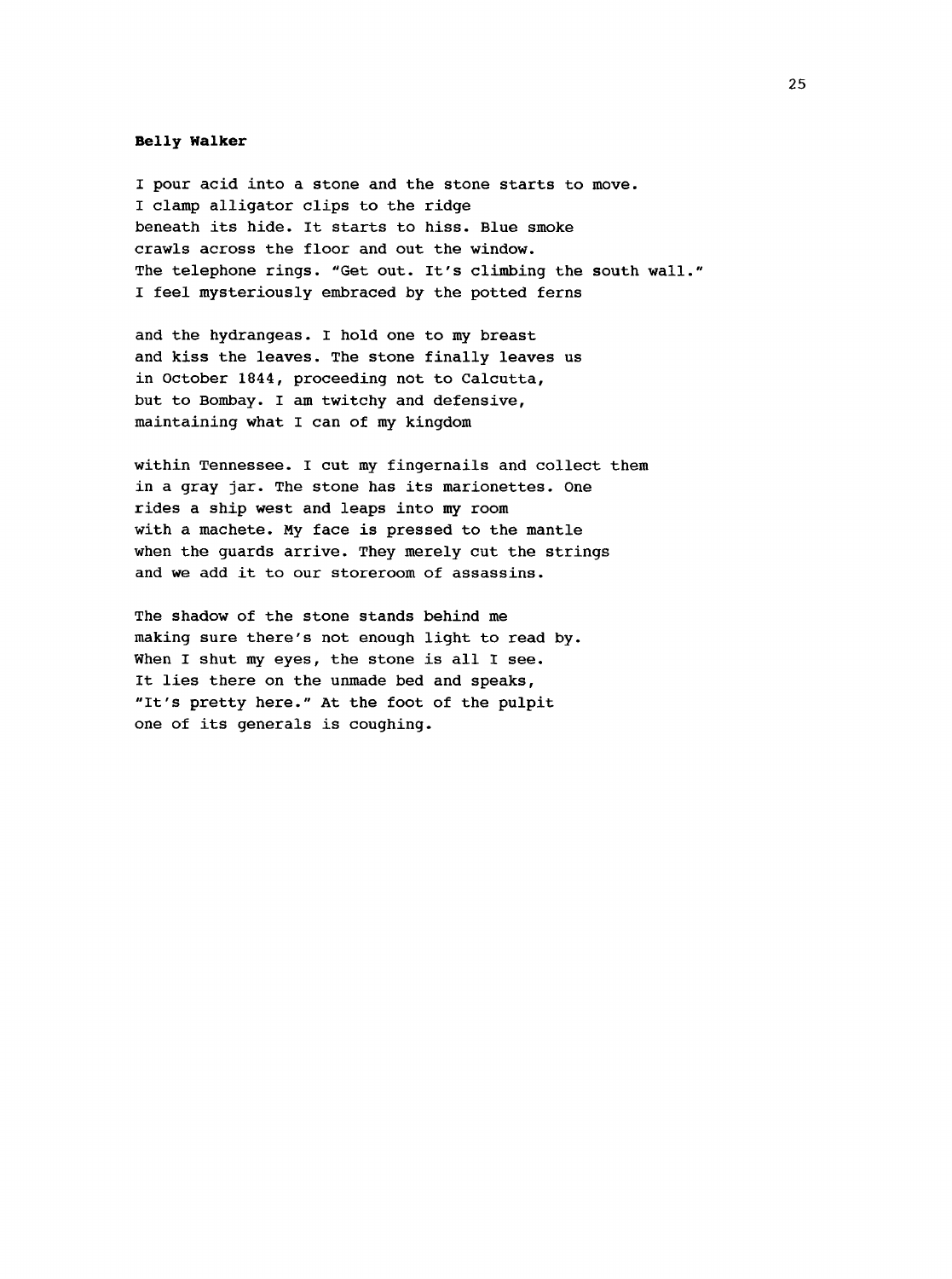#### **Belly Walker**

I pour acid into a stone and the stone starts to move. I clamp alligator clips to the ridge beneath its hide. It starts to hiss. Blue smoke crawls across the floor and out the window. The telephone rings. "Get out. It's climbing the south wall." I feel mysteriously embraced by the potted ferns

and the hydrangeas. I hold one to my breast and kiss the leaves. The stone finally leaves us in October 1844, proceeding not to Calcutta, but to Bombay. I am twitchy and defensive, maintaining what I can of my kingdom

within Tennessee. I cut my fingernails and collect them in a gray jar. The stone has its marionettes. One rides a ship west and leaps into my room with a machete. My face is pressed to the mantle when the guards arrive. They merely cut the strings and we add it to our storeroom of assassins.

The shadow of the stone stands behind me making sure there's not enough light to read by. When I shut my eyes, the stone is all I see. It lies there on the unmade bed and speaks, "It's pretty here." At the foot of the pulpit one of its generals is coughing.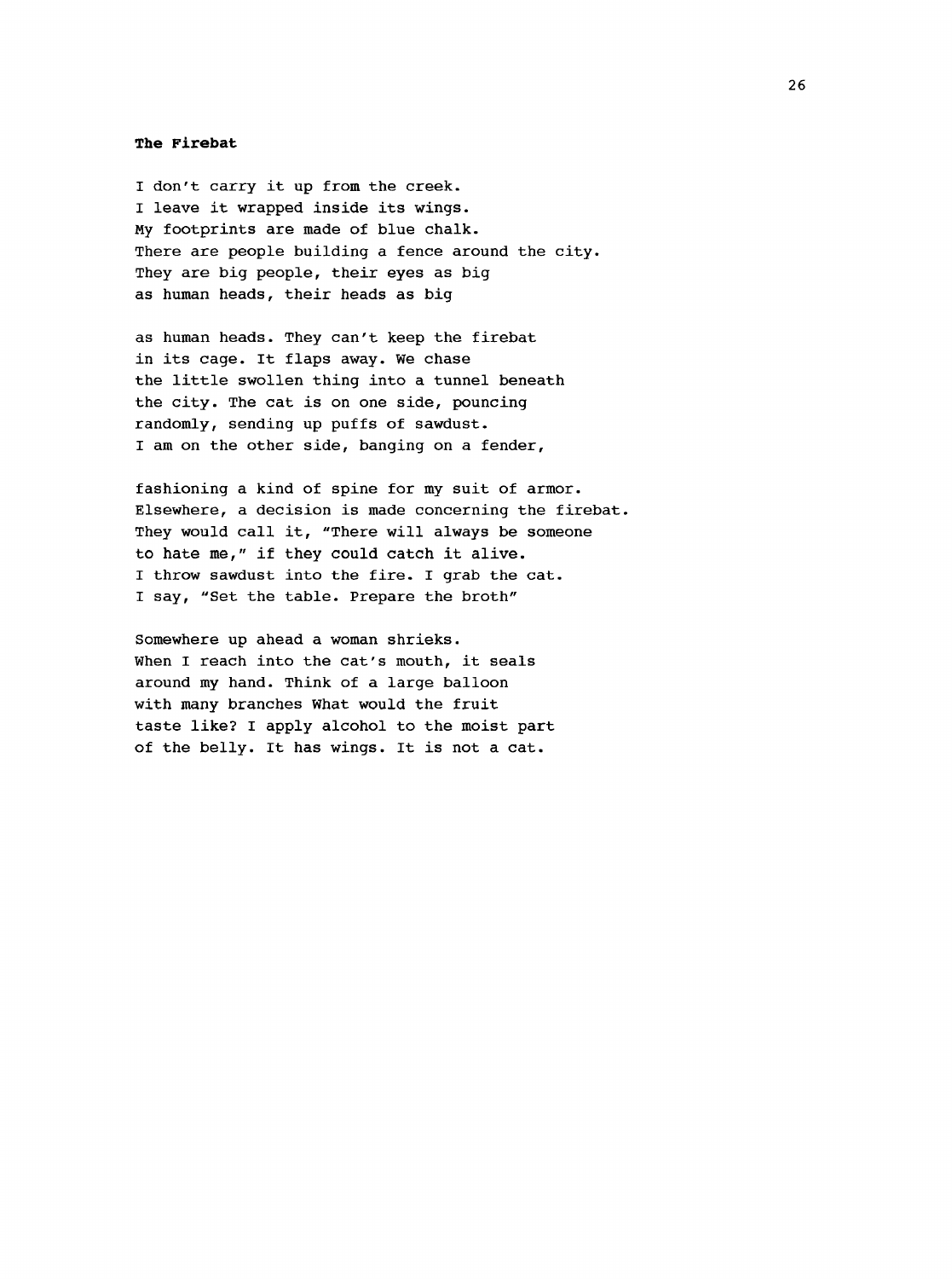#### **The Firebat**

I don't carry it up from the creek. I leave it wrapped inside its wings. My footprints are made of blue chalk. There are people building a fence around the city. They are big people, their eyes as big as human heads, their heads as big

as human heads. They can't keep the firebat in its cage. It flaps away. We chase the little swollen thing into a tunnel beneath the city. The cat is on one side, pouncing randomly, sending up puffs of sawdust. I am on the other side, banging on a fender,

fashioning a kind of spine for my suit of armor. Elsewhere, a decision is made concerning the firebat. They would call it, "There will always be someone to hate me," if they could catch it alive. I throw sawdust into the fire. I grab the cat. I say, "Set the table. Prepare the broth"

Somewhere up ahead a woman shrieks. When I reach into the cat's mouth, it seals around my hand. Think of a large balloon with many branches what would the fruit taste like? I apply alcohol to the moist part of the belly. It has wings. It is not a cat.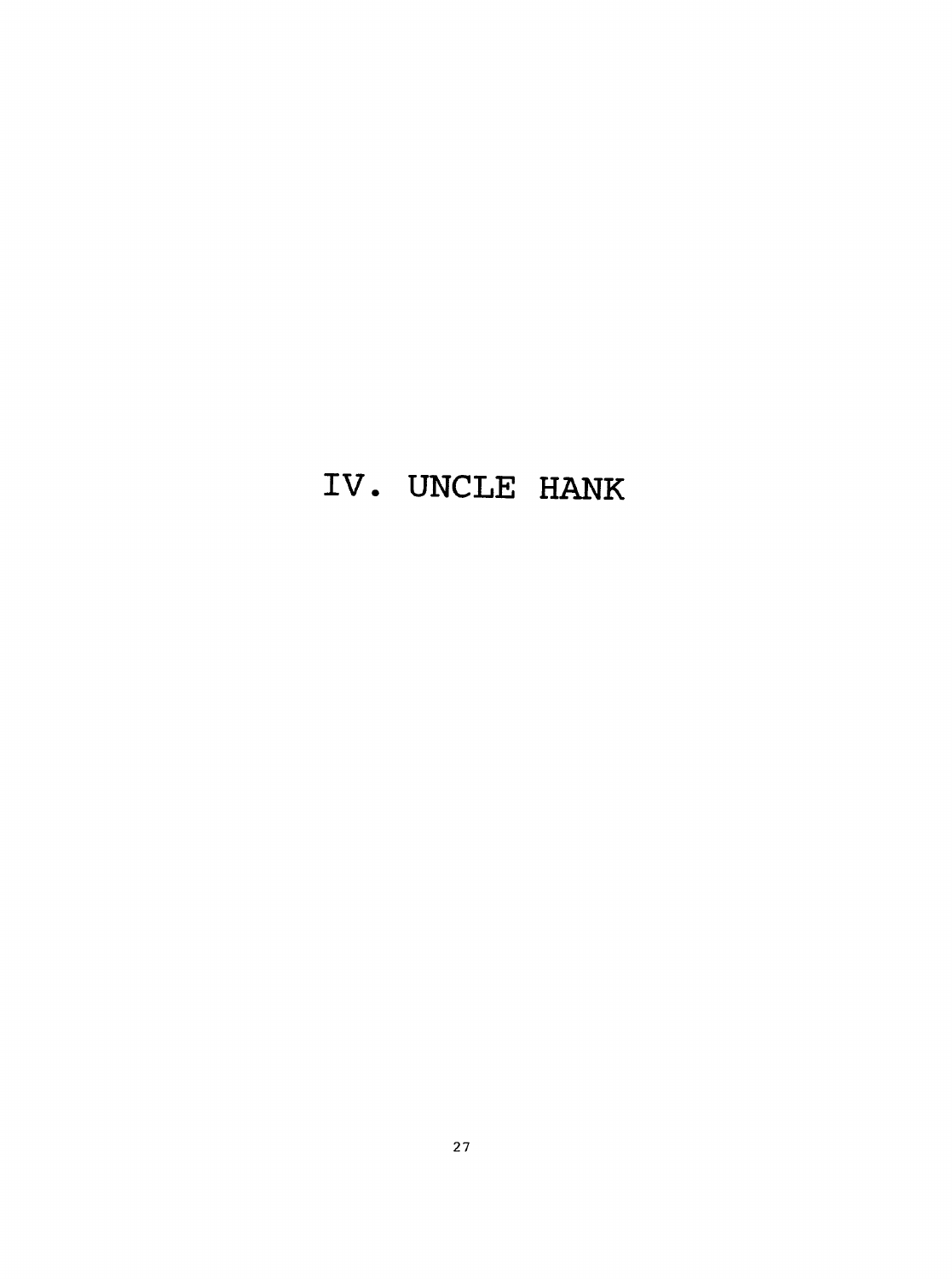### **IV. UNCLE HANK**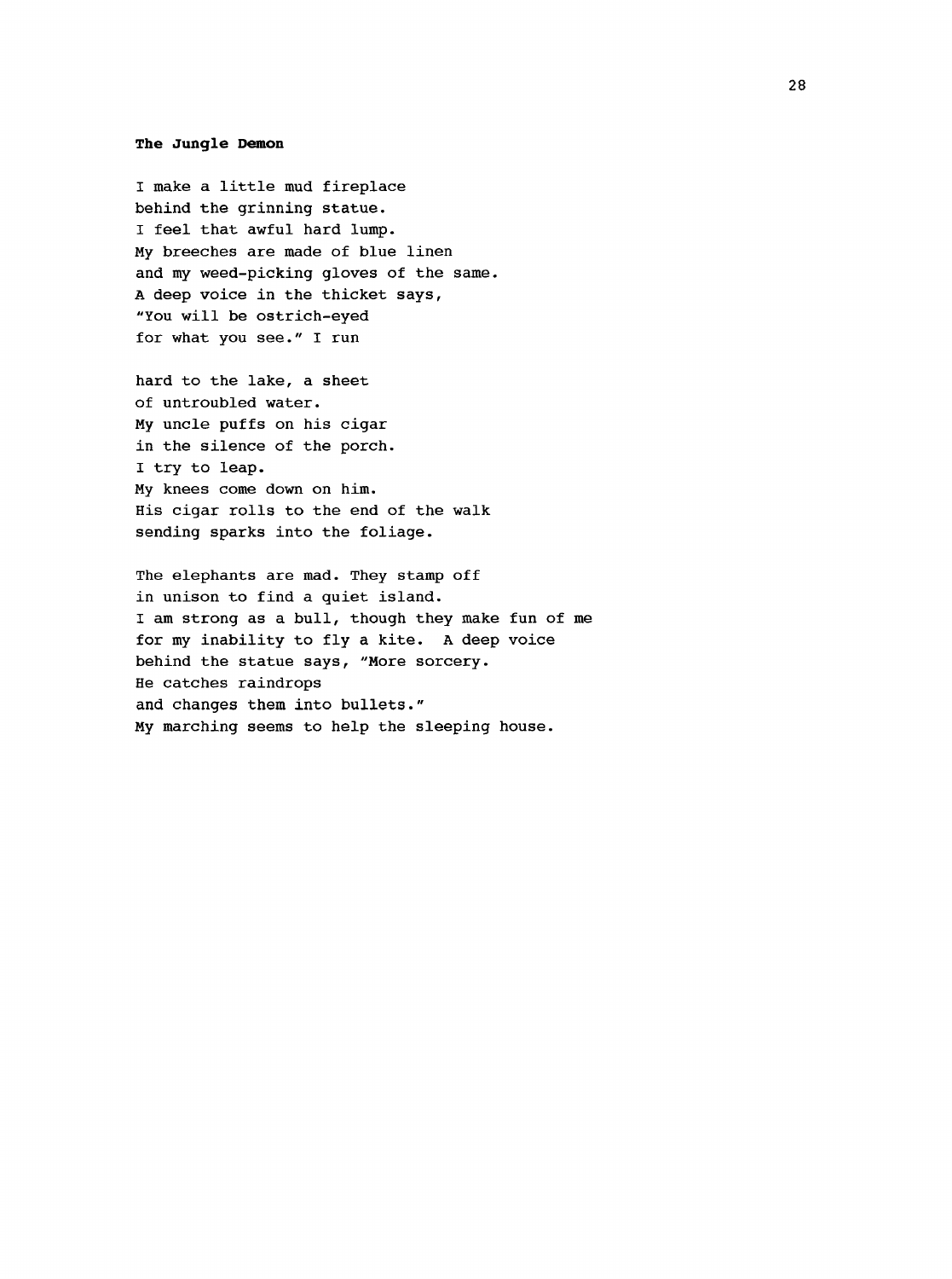#### **The Jungle Demon**

I make a little mud fireplace behind the grinning statue. I feel that awful hard lump. My breeches are made of blue linen and my weed-picking gloves of the same. A deep voice in the thicket says, "You will be ostrich-eyed for what you see." I run

hard to the lake, a sheet of untroubled water. My uncle puffs on his cigar in the silence of the porch. I try to leap. My knees come down on him. His cigar rolls to the end of the walk sending sparks into the foliage.

The elephants are mad. They stamp off in unison to find a quiet island. I am strong as a bull, though they make fun of me for my inability to fly a kite. A deep voice behind the statue says, "More sorcery. He catches raindrops and changes them into bullets." My marching seems to help the sleeping house.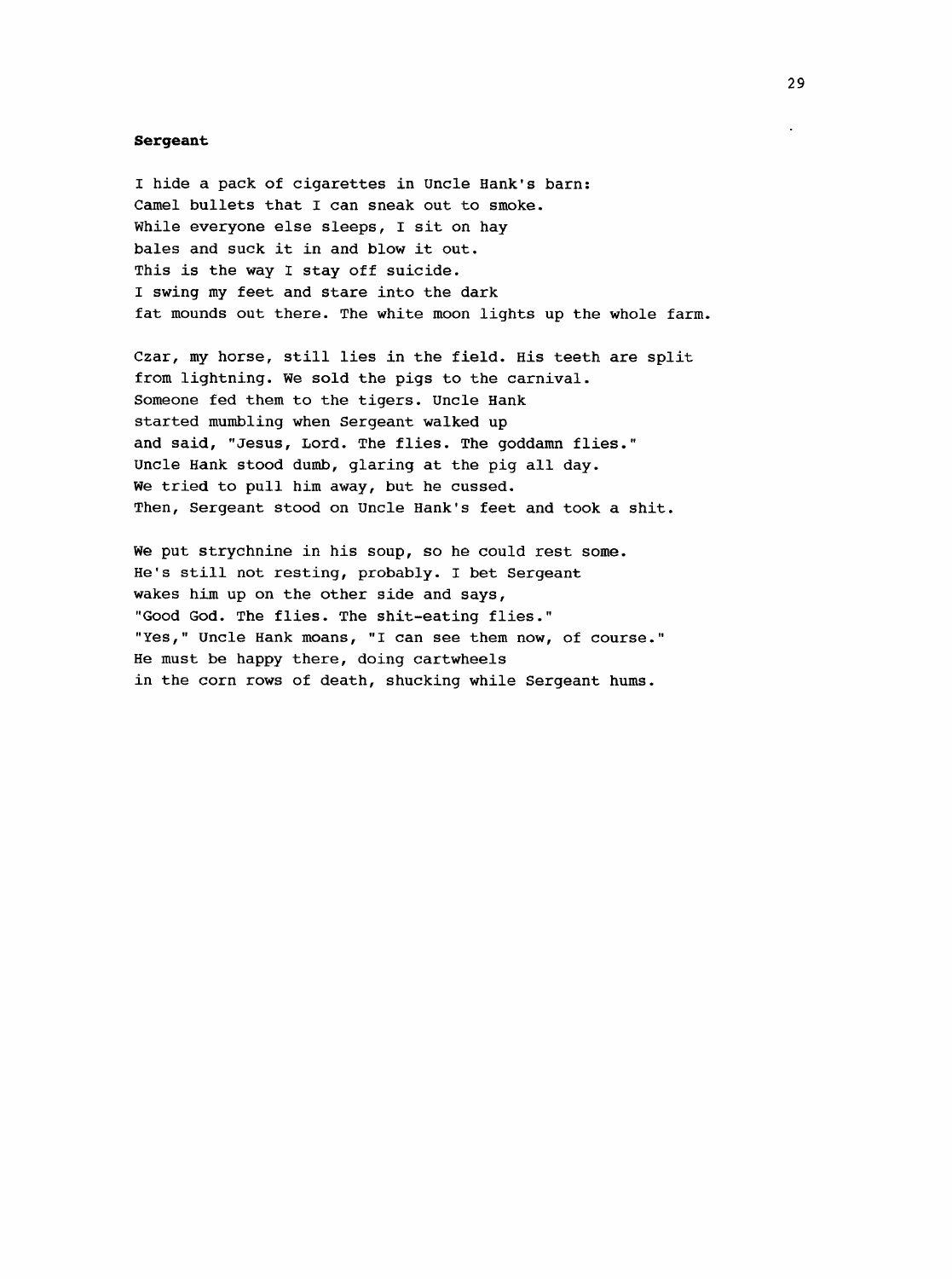#### <span id="page-37-0"></span>**Sergeant**

I hide a pack of cigarettes in Uncle Hank's barn: Camel bullets that I can sneak out to smoke. While everyone else sleeps, I sit on hay bales and suck it in and blow it out. This is the way I stay off suicide. I swing my feet and stare into the dark fat mounds out there. The white moon lights up the whole farm.

Czar, my horse, still lies in the field. His teeth are split from lightning. We sold the pigs to the carnival. Someone fed them to the tigers. Uncle Hank started mumbling when Sergeant walked up and said, "Jesus, Lord. The flies. The goddamn flies." Uncle Hank stood dumb, glaring at the pig all day. We tried to pull him away, but he cussed. Then, Sergeant stood on Uncle Hank's feet and took a shit.

We put strychnine in his soup, so he could rest some. He's still not resting, probably. I bet Sergeant wakes him up on the other side and says, "Good God. The flies. The shit-eating flies." "Yes," Uncle Hank moans, "I can see them now, of course." He must be happy there, doing cartwheels in the corn rows of death, shucking while Sergeant hums.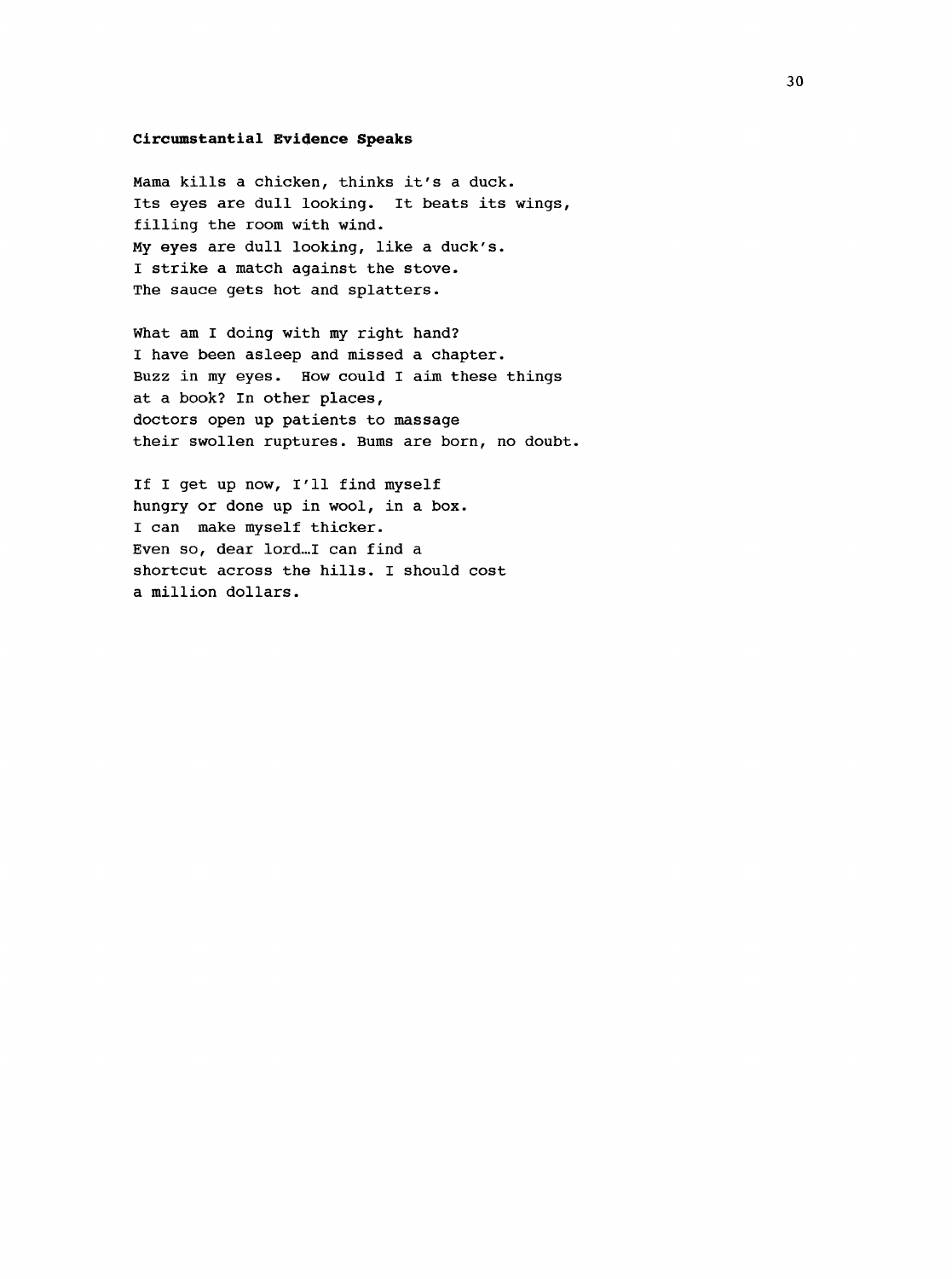#### <span id="page-38-0"></span>**Circumstantial Evidence Speaks**

Mama kills a chicken, thinks it's a duck. Its eyes are dull looking. It beats its wings, filling the room with wind. My eyes are dull looking, like a duck's. I strike a match against the stove. The sauce gets hot and splatters.

What am I doing with my right hand? I have been asleep and missed a chapter. Buzz in my eyes. How could I aim these things at a book? In other places, doctors open up patients to massage their swollen ruptures. Bums are born, no doubt.

If I get up now, I'll find myself hungry or done up in wool, in a box. I can make myself thicker. Even so, dear lord...I can find a shortcut across the hills. I should cost a million dollars.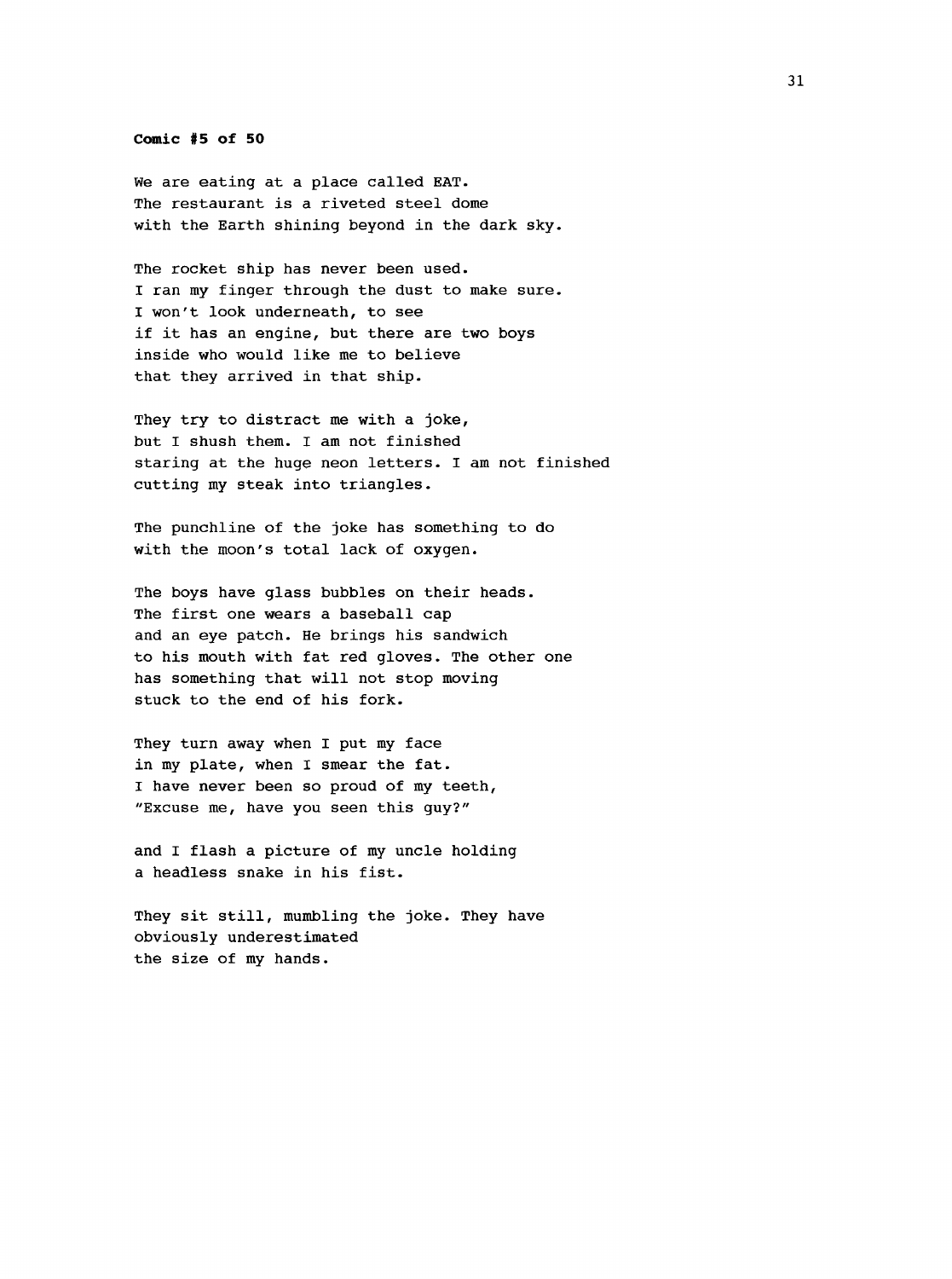#### **Comic #5 of 50**

We are eating at a place called EAT. The restaurant is a riveted steel dome with the Earth shining beyond in the dark sky.

The rocket ship has never been used. I ran my finger through the dust to make sure. I won't look underneath, to see if it has an engine, but there are two boys inside who would like me to believe that they arrived in that ship.

They try to distract me with a joke, but I shush them. I am not finished staring at the huge neon letters. I am not finished cutting my steak into triangles.

The punchline of the joke has something to do with the moon's total lack of oxygen.

The boys have glass bubbles on their heads. The first one wears a baseball cap and an eye patch. He brings his sandwich to his mouth with fat red gloves. The other one has something that will not stop moving stuck to the end of his fork.

They turn away when I put my face in my plate, when I smear the fat. I have never been so proud of my teeth, "Excuse me, have you seen this guy?"

and I flash a picture of my uncle holding a headless snake in his fist.

They sit still, mumbling the joke. They have obviously underestimated the size of my hands.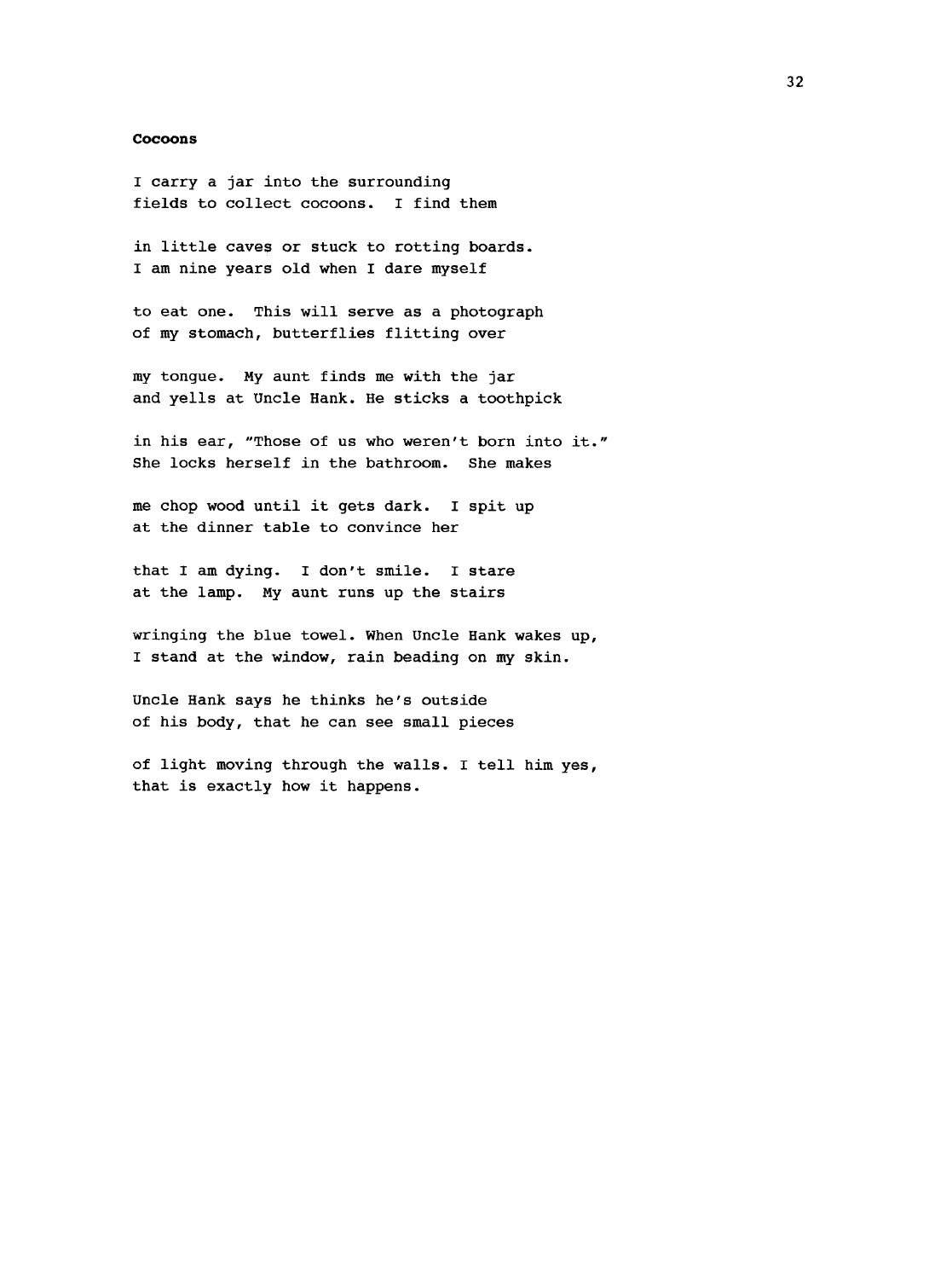#### <span id="page-40-0"></span>**Cocoons**

I carry a jar into the surrounding fields to collect cocoons. I find them

in little caves or stuck to rotting boards. I am nine years old when I dare myself

to eat one. This will serve as a photograph of my stomach, butterflies flitting over

my tongue. My aunt finds me with the jar and yells at Uncle Hank. He sticks a toothpick

in his ear, "Those of us who weren't born into it." She locks herself in the bathroom. She makes

me chop wood until it gets dark. I spit up at the dinner table to convince her

that I am dying. I don't smile. I stare at the lamp. My aunt runs up the stairs

wringing the blue towel. When Uncle Hank wakes up, I stand at the window, rain beading on my skin.

Uncle Hank says he thinks he's outside of his body, that he can see small pieces

of light moving through the walls. I tell him yes, that is exactly how it happens.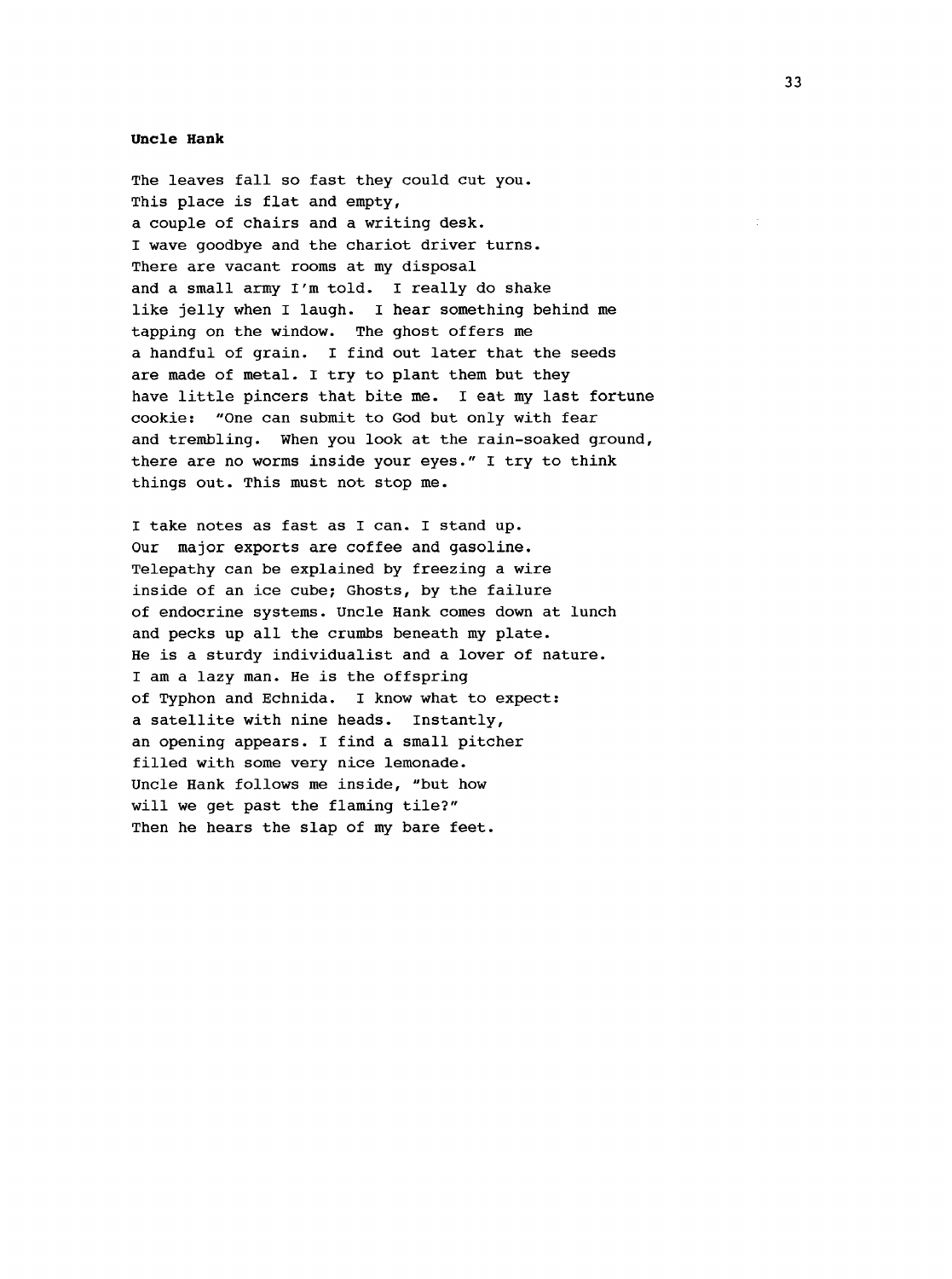#### **Uncle Hank**

The leaves fall so fast they could cut you. This place is flat and empty, a couple of chairs and a writing desk. I wave goodbye and the chariot driver turns. There are vacant rooms at my disposal and a small army I'm told. I really do shake like jelly when I laugh. I hear something behind me tapping on the window. The ghost offers me a handful of grain. I find out later that the seeds are made of metal. I try to plant them but they have little pincers that bite me. I eat my last fortune cookie; "One can submit to God but only with fear and trembling. When you look at the rain-soaked ground, there are no worms inside your eyes." I try to think things out. This must not stop me.

I take notes as fast as I can. I stand up. Our major exports are coffee and gasoline. Telepathy can be explained by freezing a wire inside of an ice cube; Ghosts, by the failure of endocrine systems. Uncle Hank comes down at lunch and pecks up all the crumbs beneath my plate. He is a sturdy individualist and a lover of nature. I am a lazy man. He is the offspring of Typhon and Echnida. I know what to expect: a satellite with nine heads. Instantly, an opening appears. I find a small pitcher filled with some very nice lemonade. Uncle Hank follows me inside, "but how will we get past the flaming tile?" Then he hears the slap of my bare feet.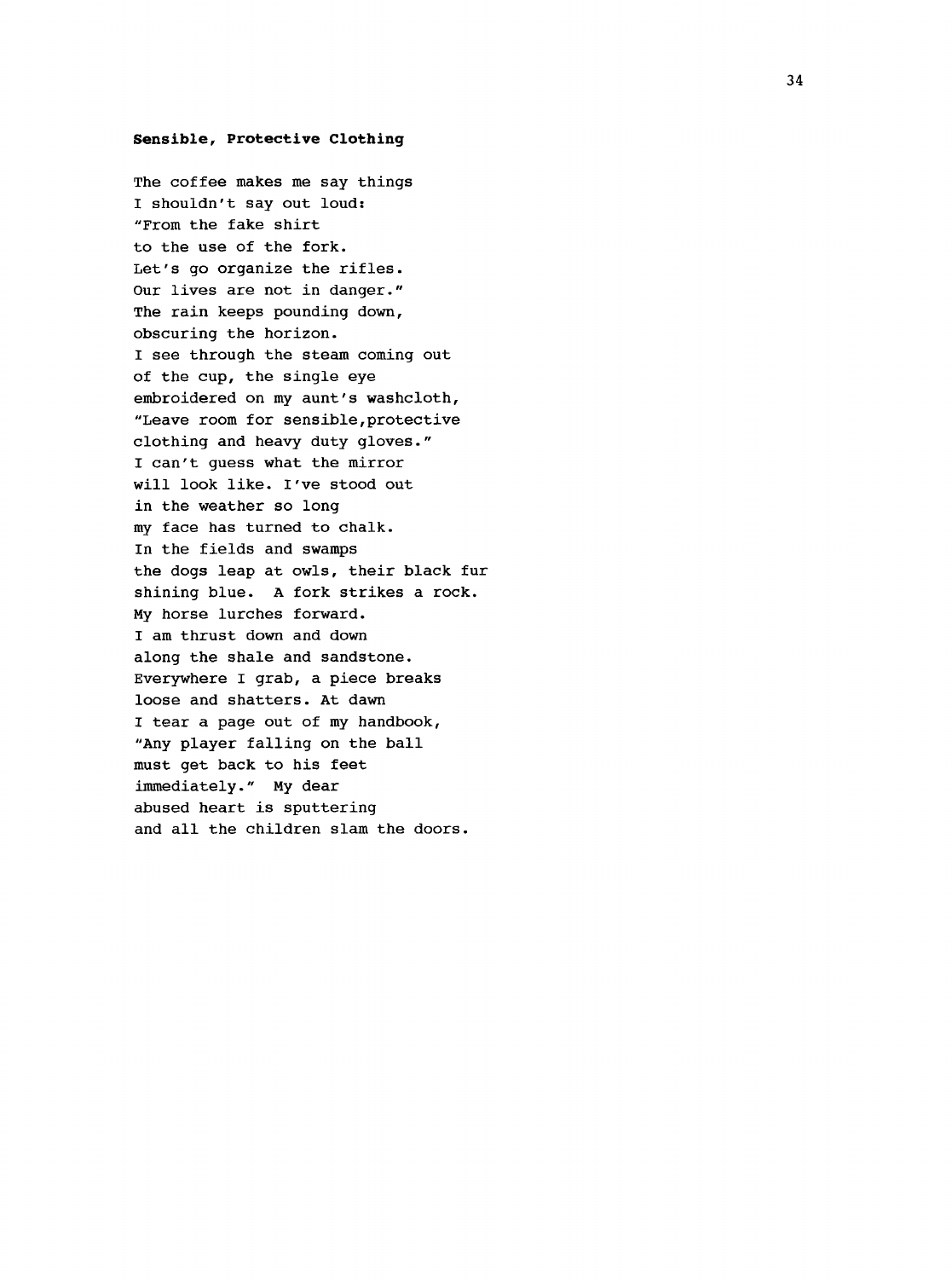#### <span id="page-42-0"></span>**Sensible, Protective Clothing**

The coffee makes me say things I shouldn't say out loud; "From the fake shirt to the use of the fork. Let's go organize the rifles. Our lives are not in danger." The rain keeps pounding down, obscuring the horizon. I see through the steam coming out of the cup, the single eye embroidered on my aunt's washcloth, "Leave room for sensible,protective clothing and heavy duty gloves." I can't guess what the mirror will look like. I've stood out in the weather so long my face has turned to chalk. in the fields and swamps the dogs leap at owls, their black fur shining blue. A fork strikes a rock. My horse lurches forward. I am thrust down and down along the shale and sandstone. Everywhere I grab, a piece breaks loose and shatters. At dawn I tear a page out of my handbook, "Any player falling on the ball must get back to his feet immediately." My dear abused heart is sputtering and all the children slam the doors.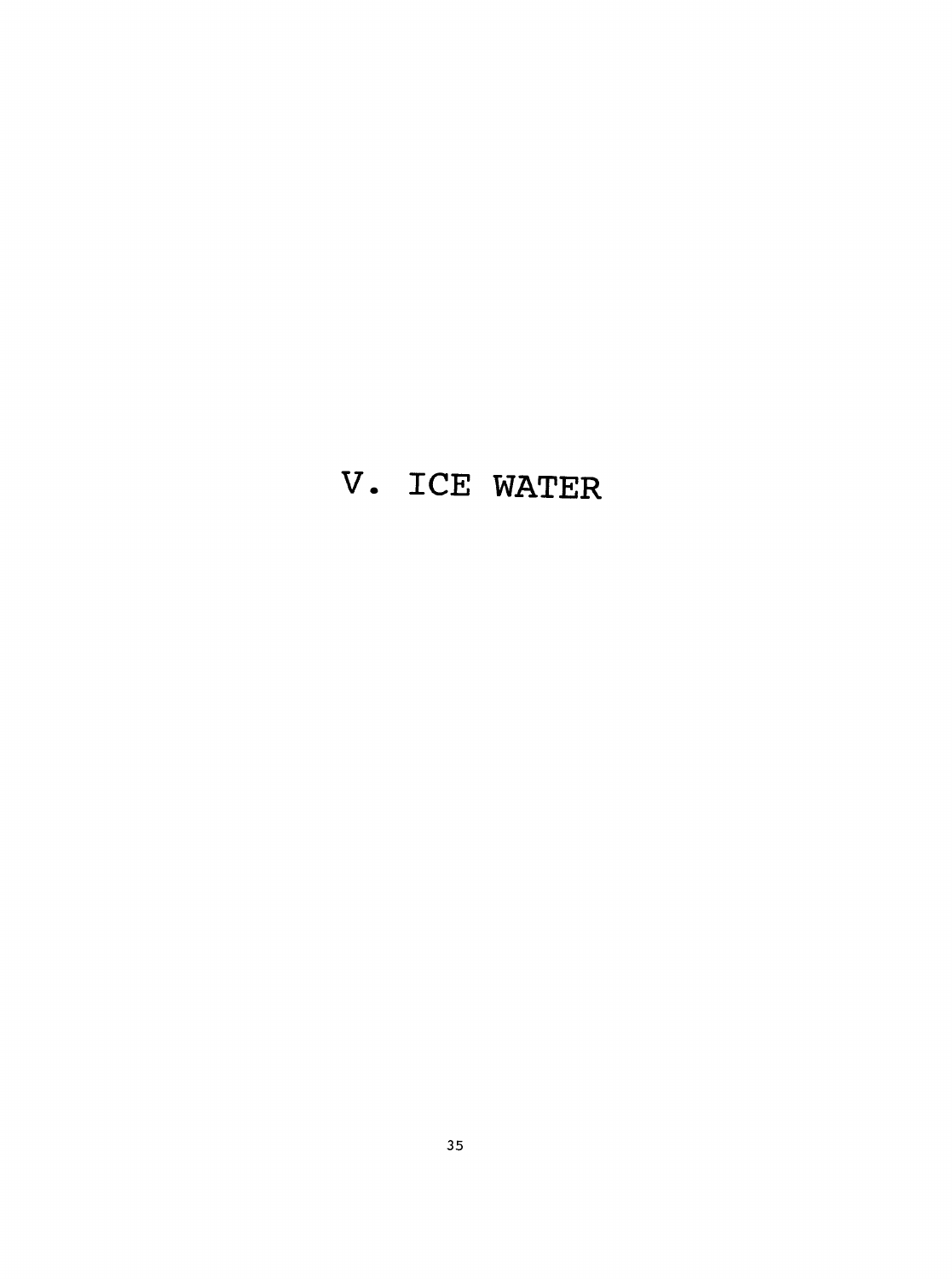### **V. ICE WATER**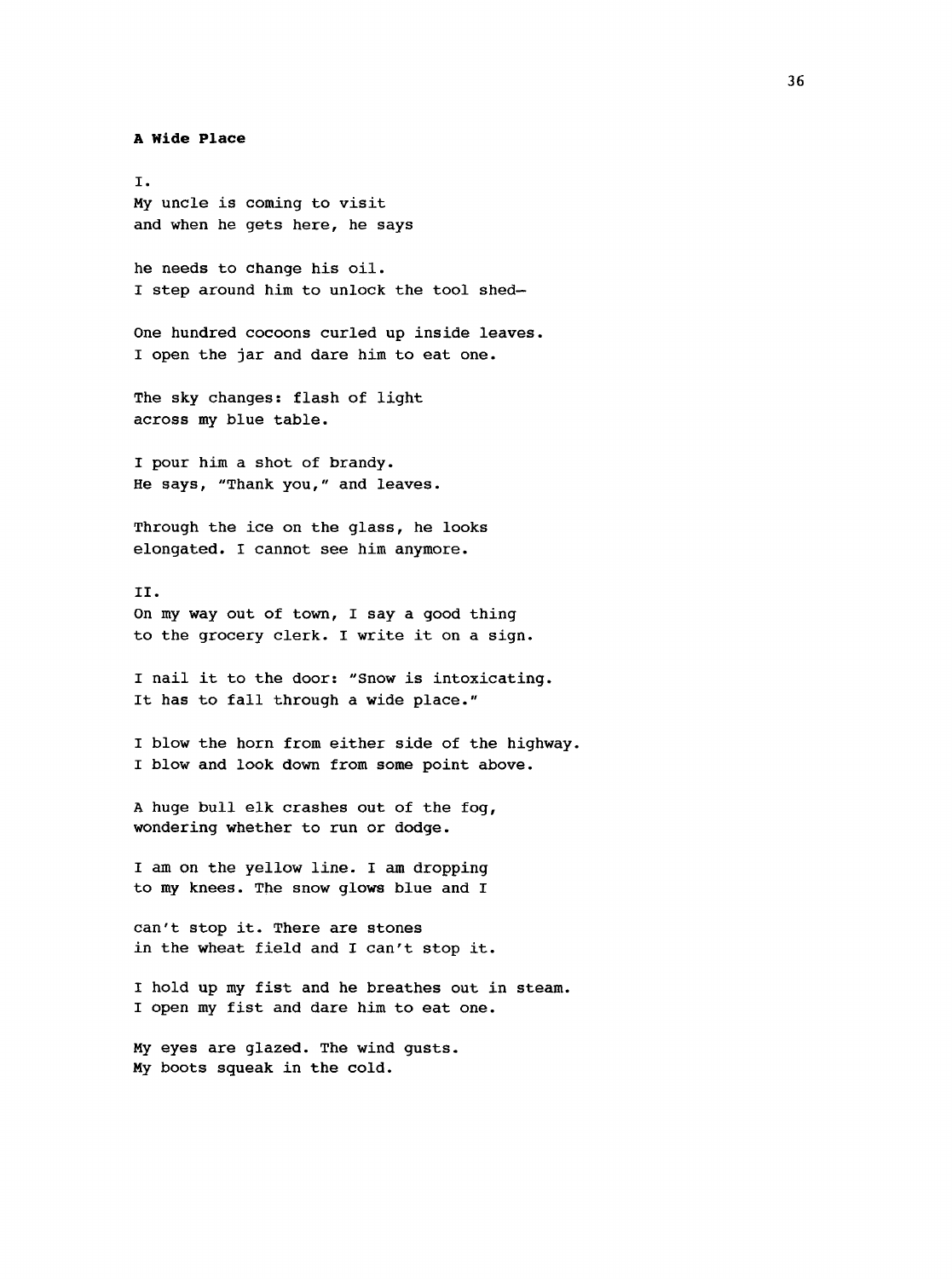#### **A Wide Place**

I. My uncle is coming to visit and when he gets here, he says

he needs to change his oil. I step around him to unlock the tool shed—

One hundred cocoons curled up inside leaves. I open the jar and dare him to eat one.

The sky changes: flash of light across my blue table.

I pour him a shot of brandy. He says, "Thank you," and leaves.

Through the ice on the glass, he looks elongated. I cannot see him anymore.

II. On my way out of town, I say a good thing to the grocery clerk. I write it on a sign.

I nail it to the door: "Snow is intoxicating. It has to fall through a wide place."

I blow the horn from either side of the highway. I blow and look down from some point above.

A huge bull elk crashes out of the fog, wondering whether to run or dodge.

I am on the yellow line. I am dropping to my knees. The snow glows blue and I

can't stop it. There are stones in the wheat field and I can't stop it.

I hold up my fist and he breathes out in steam. I open my fist and dare him to eat one.

My eyes are glazed. The wind gusts. My boots sgueak in the cold.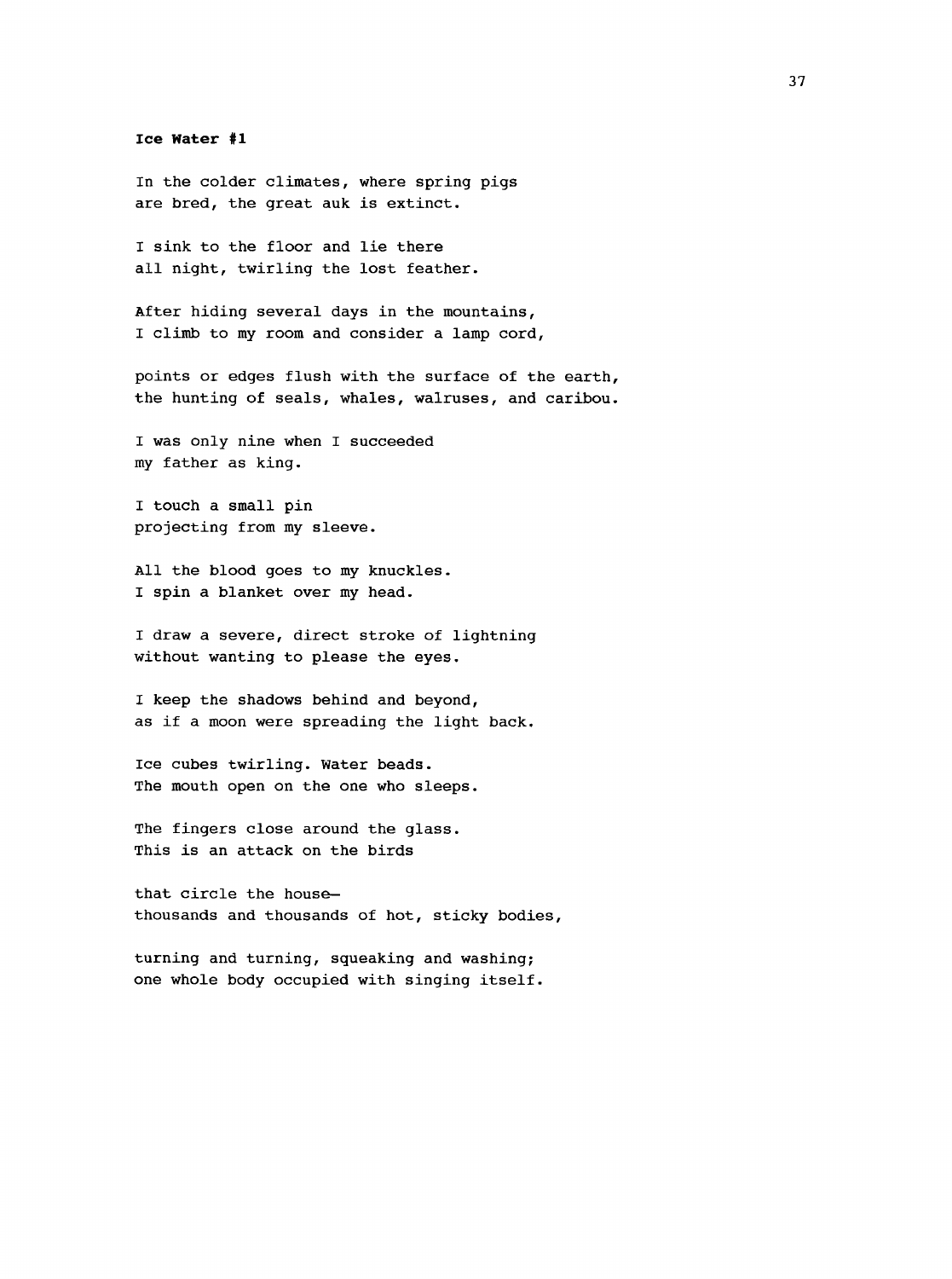**Ice Water #1**

In the colder climates, where spring pigs are bred, the great auk is extinct.

I sink to the floor and lie there all night, twirling the lost feather.

After hiding several days in the mountains, I climb to my room and consider a lamp cord,

points or edges flush with the surface of the earth, the hunting of seals, whales, walruses, and caribou.

I was only nine when I succeeded my father as king.

I touch a small pin projecting from my sleeve.

All the blood goes to my knuckles. I spin a blanket over my head.

I draw a severe, direct stroke of lightning without wanting to please the eyes.

I keep the shadows behind and beyond, as if a moon were spreading the light back.

Ice cubes twirling. Water beads. The mouth open on the one who sleeps.

The fingers close around the glass. This is an attack on the birds

that circle the house thousands and thousands of hot, sticky bodies,

turning and turning, squeaking and washing; one whole body occupied with singing itself.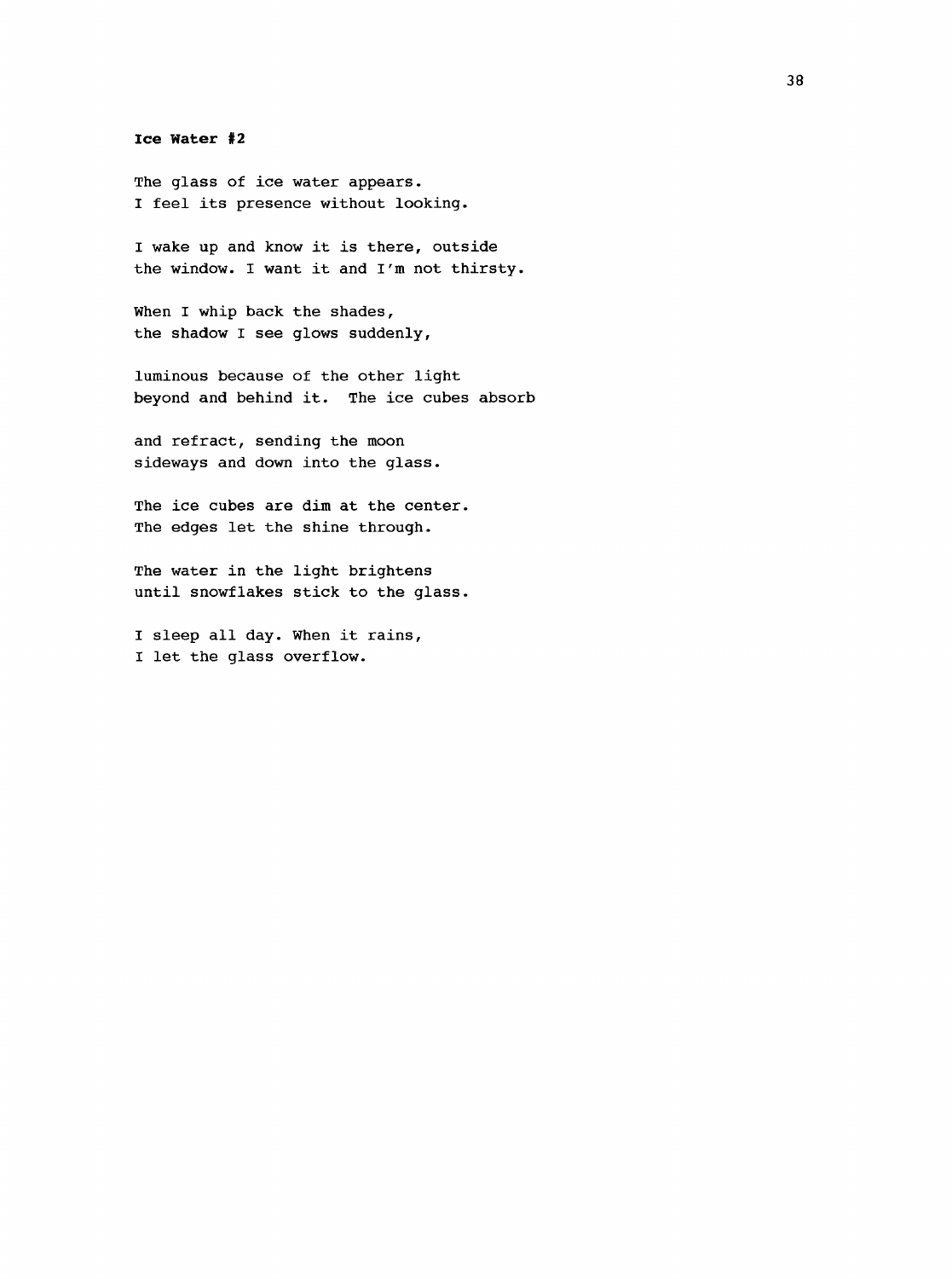<span id="page-46-0"></span>**Ice Water #2**

The glass of ice water appears. I feel its presence without looking.

I wake up and know it is there, outside the window. I want it and I'm not thirsty.

When I whip back the shades, the shadow I see glows suddenly,

luminous because of the other light beyond and behind it. The ice cubes absorb

and refract, sending the moon sideways and down into the glass.

The ice cubes are dim at the center. The edges let the shine through.

The water in the light brightens until snowflakes stick to the glass.

I sleep all day. When it rains, I let the glass overflow.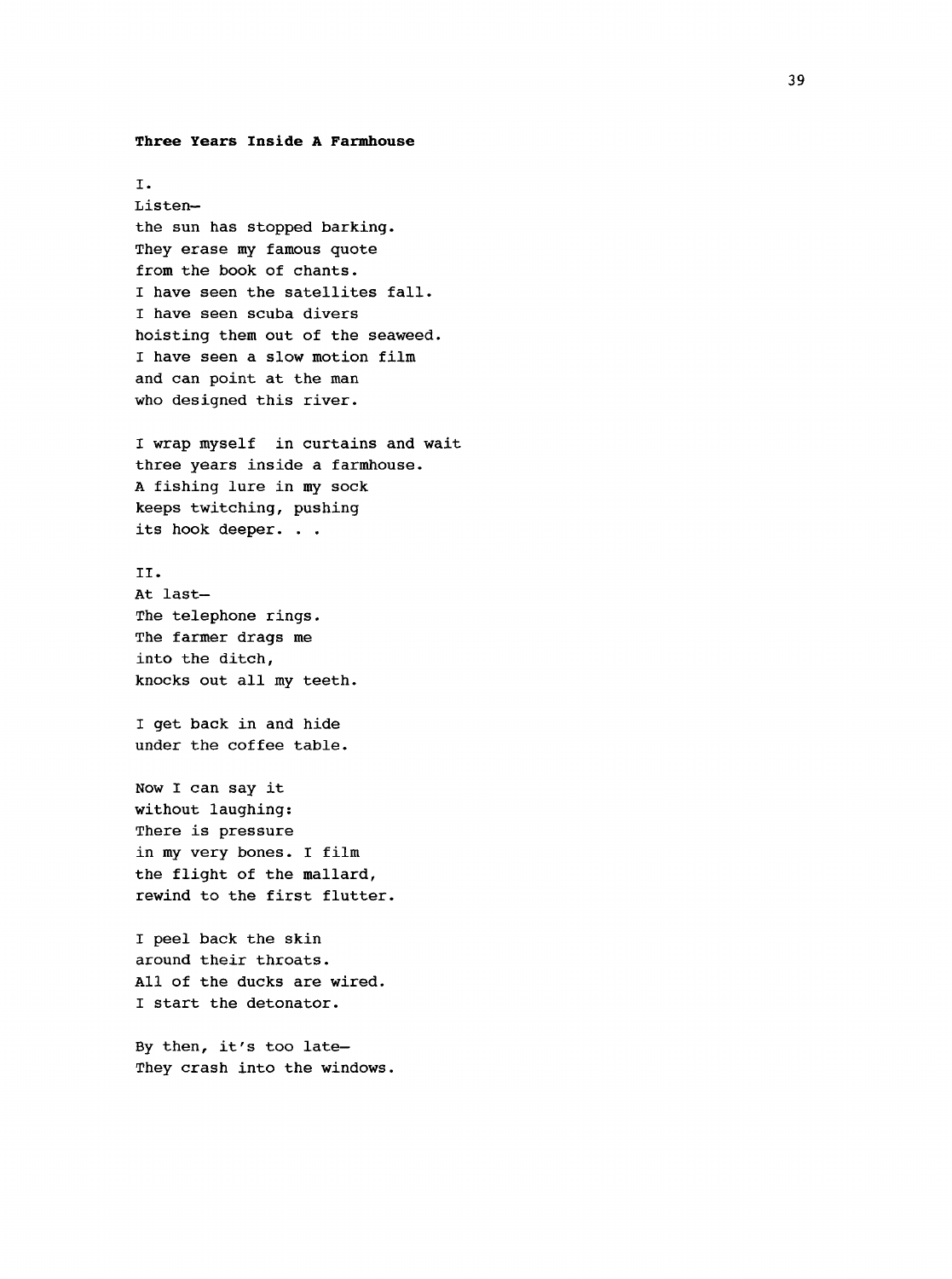#### <span id="page-47-0"></span>**Three Years Inside A Farmhouse**

I. Listen the sun has stopped barking. They erase my famous quote from the book of chants. I have seen the satellites fall. I have seen scuba divers hoisting them out of the seaweed. I have seen a slow motion film and can point at the man who designed this river. I wrap myself in curtains and wait three years inside a farmhouse. A fishing lure in my sock keeps twitching, pushing its hook deeper. . . II. At last— The telephone rings. The farmer drags me into the ditch, knocks out all my teeth. I get back in and hide under the coffee table. Now I can say it without laughing: There is pressure in my very bones. I film the flight of the mallard, rewind to the first flutter. I peel back the skin around their throats. All of the ducks are wired. I start the detonator.

By then, it's too late— They crash into the windows.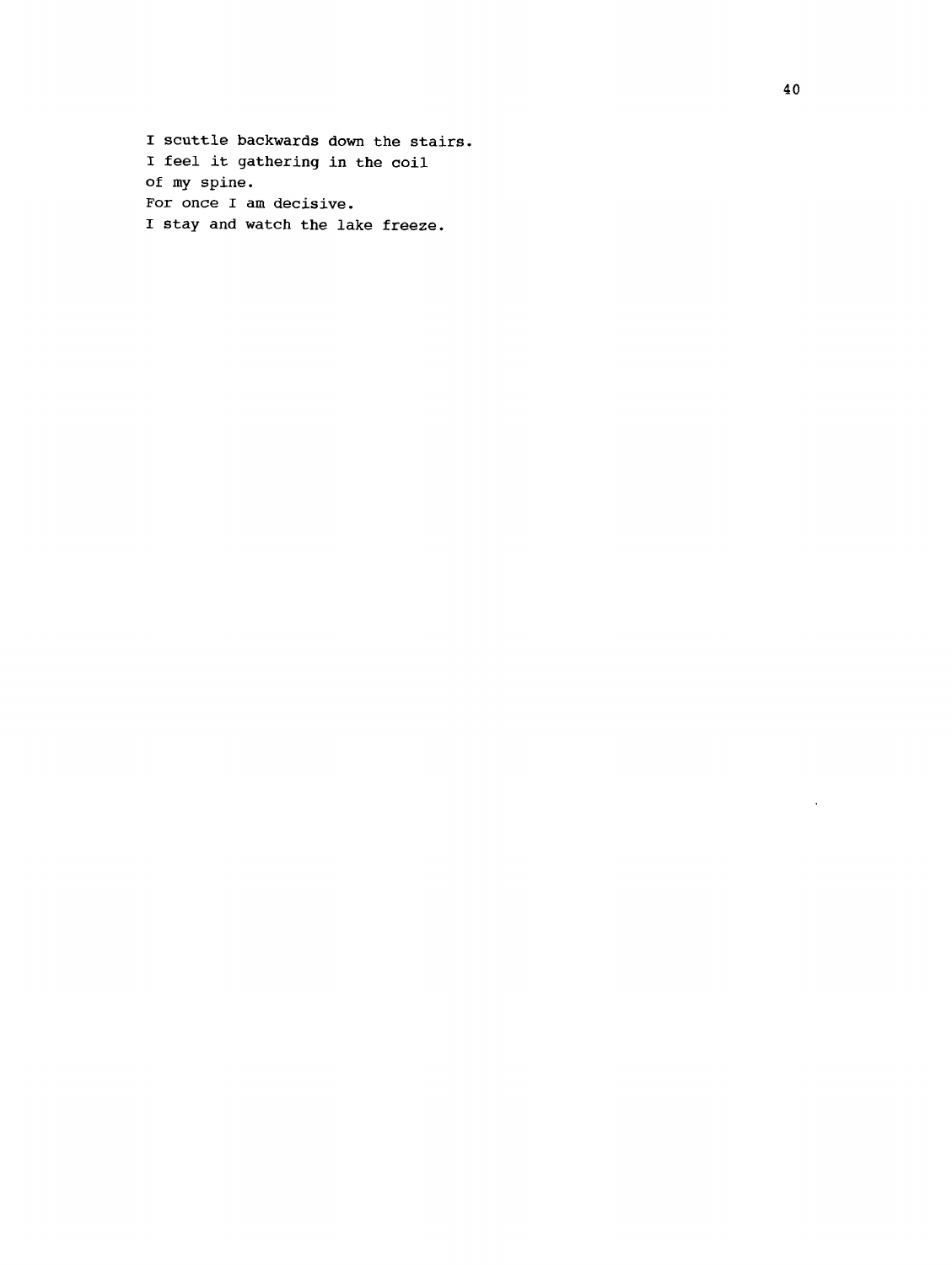I scuttle backwards down the stairs. 1 feel it gathering in the coil of my spine. For once I am decisive. I stay and watch the lake freeze.

 $\hat{\mathcal{A}}$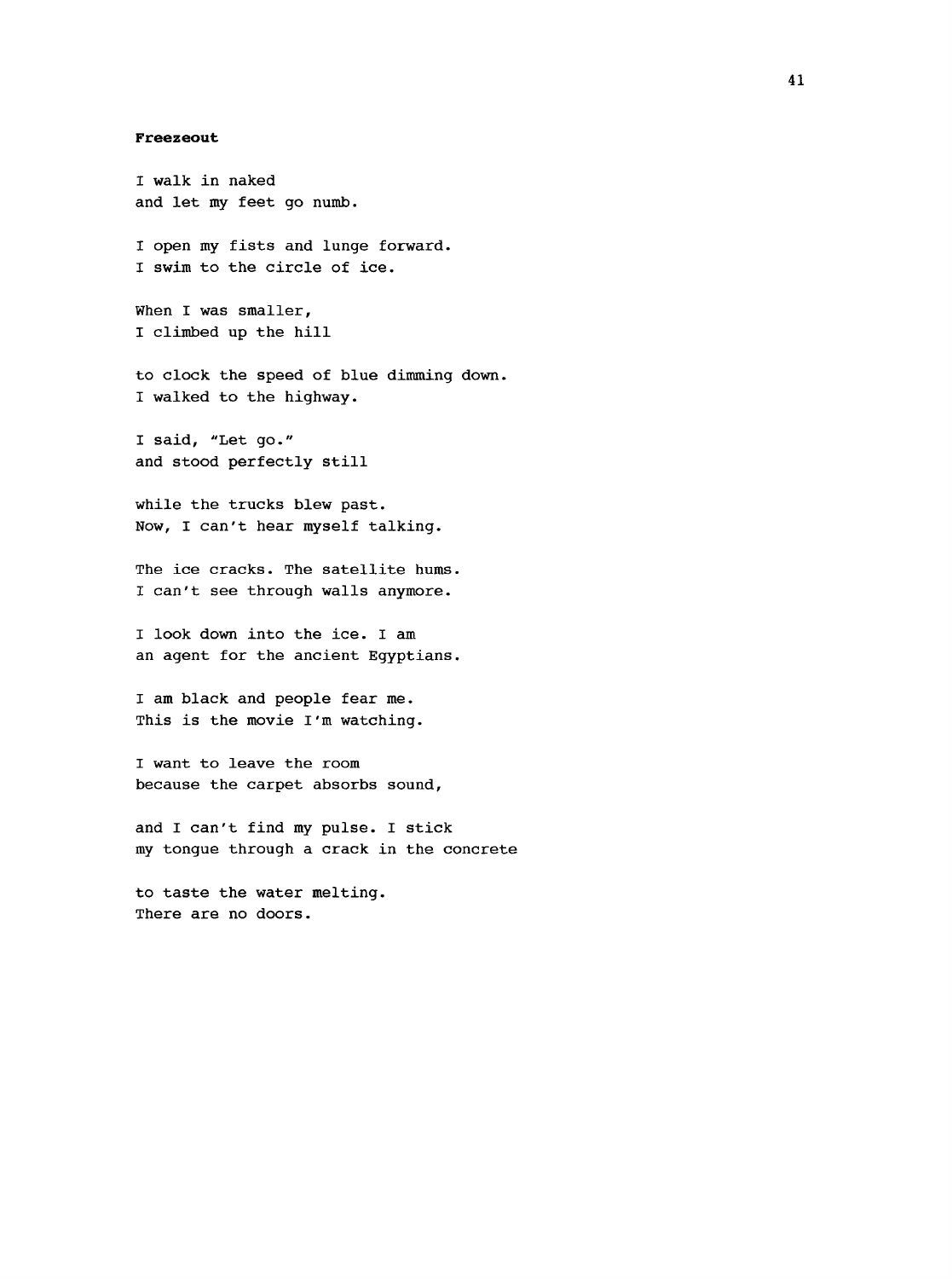#### <span id="page-49-0"></span>**Freezeout**

I walk in naked and let my feet go numb. I open my fists and lunge forward. I swim to the circle of ice. When I was smaller, I climbed up the hill to clock the speed of blue dimming down. I walked to the highway. I said, "Let go." and stood perfectly still while the trucks blew past. Now, I can't hear myself talking. The ice cracks. The satellite hums. I can't see through walls anymore. I look down into the ice. I am an agent for the ancient Egyptians. I am black and people fear me. This is the movie I'm watching. I want to leave the room because the carpet absorbs sound, and I can't find my pulse. I stick my tongue through a crack in the concrete to taste the water melting. There are no doors.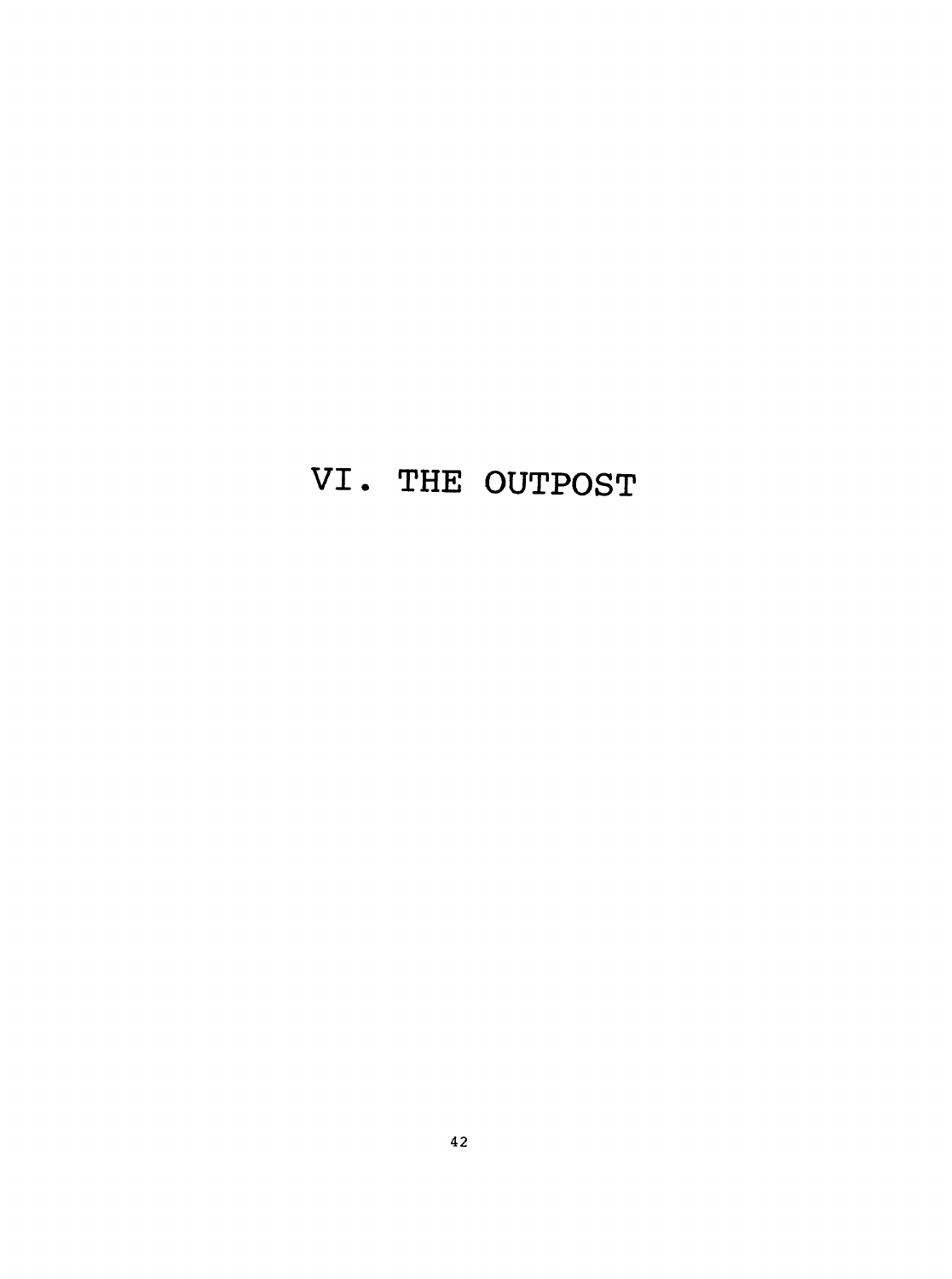# **VI. THE OUTPOST**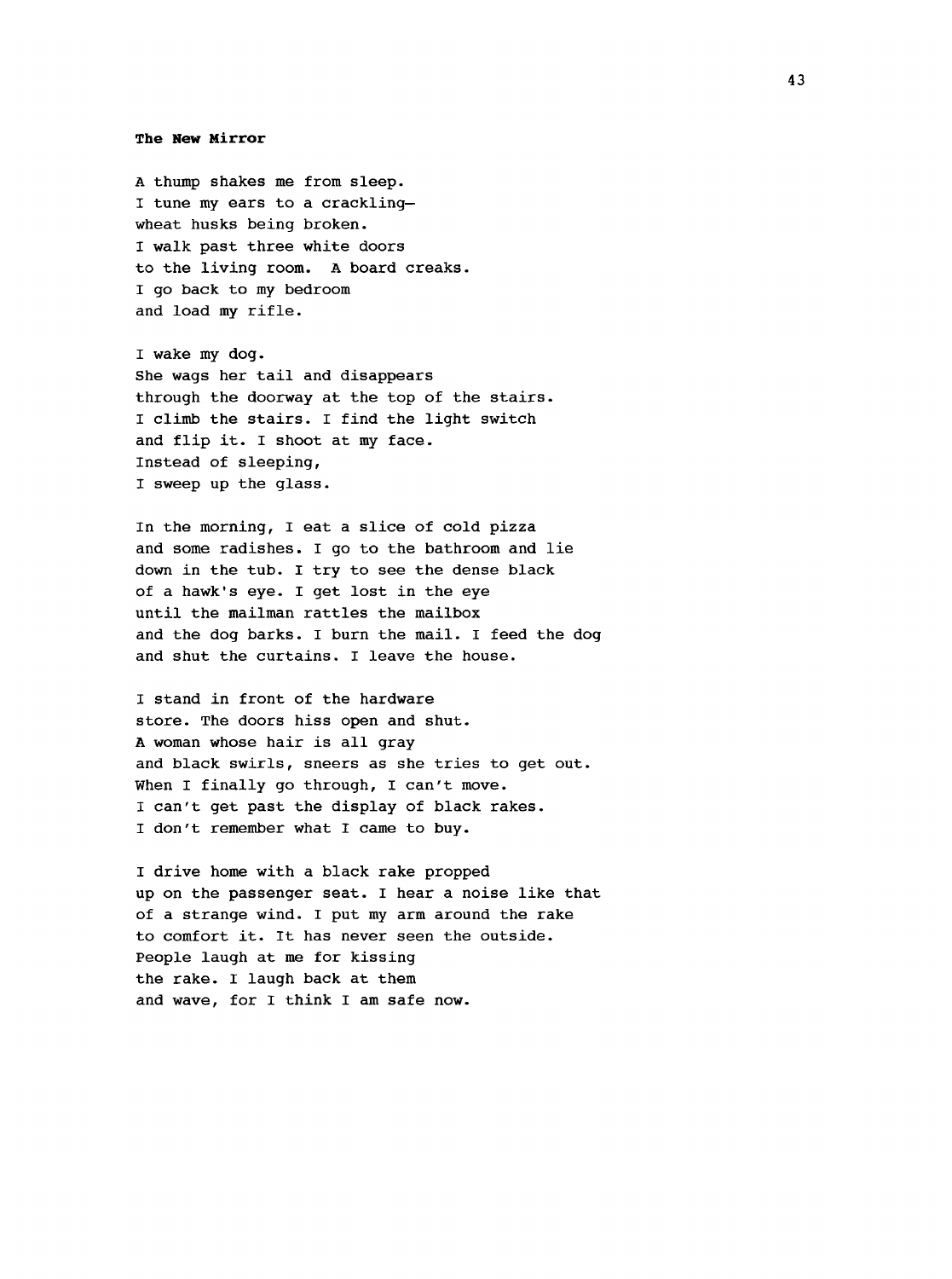#### **The New Mirror**

A thump shakes me from sleep. I tune my ears to a crackling wheat husks being broken. I walk past three white doors to the living room. A board creaks. I go back to my bedroom and load my rifle.

I wake my dog. She wags her tail and disappears through the doorway at the top of the stairs. I climb the stairs. I find the light switch and flip it. I shoot at my face. Instead of sleeping, I sweep up the glass.

In the morning, I eat a slice of cold pizza and some radishes. I go to the bathroom and lie down in the tub. I try to see the dense black of a hawk's eye. I get lost in the eye until the mailman rattles the mailbox and the dog barks. I burn the mail. I feed the dog and shut the curtains. I leave the house.

I stand in front of the hardware store. The doors hiss open and shut. A woman whose hair is all gray and black swirls, sneers as she tries to get out. When I finally go through, I can't move. I can't get past the display of black rakes. I don't remember what I came to buy.

I drive home with a black rake propped up on the passenger seat. I hear a noise like that of a strange wind. I put my arm around the rake to comfort it. It has never seen the outside. People laugh at me for kissing the rake. I laugh back at them and wave, for I think I am safe now.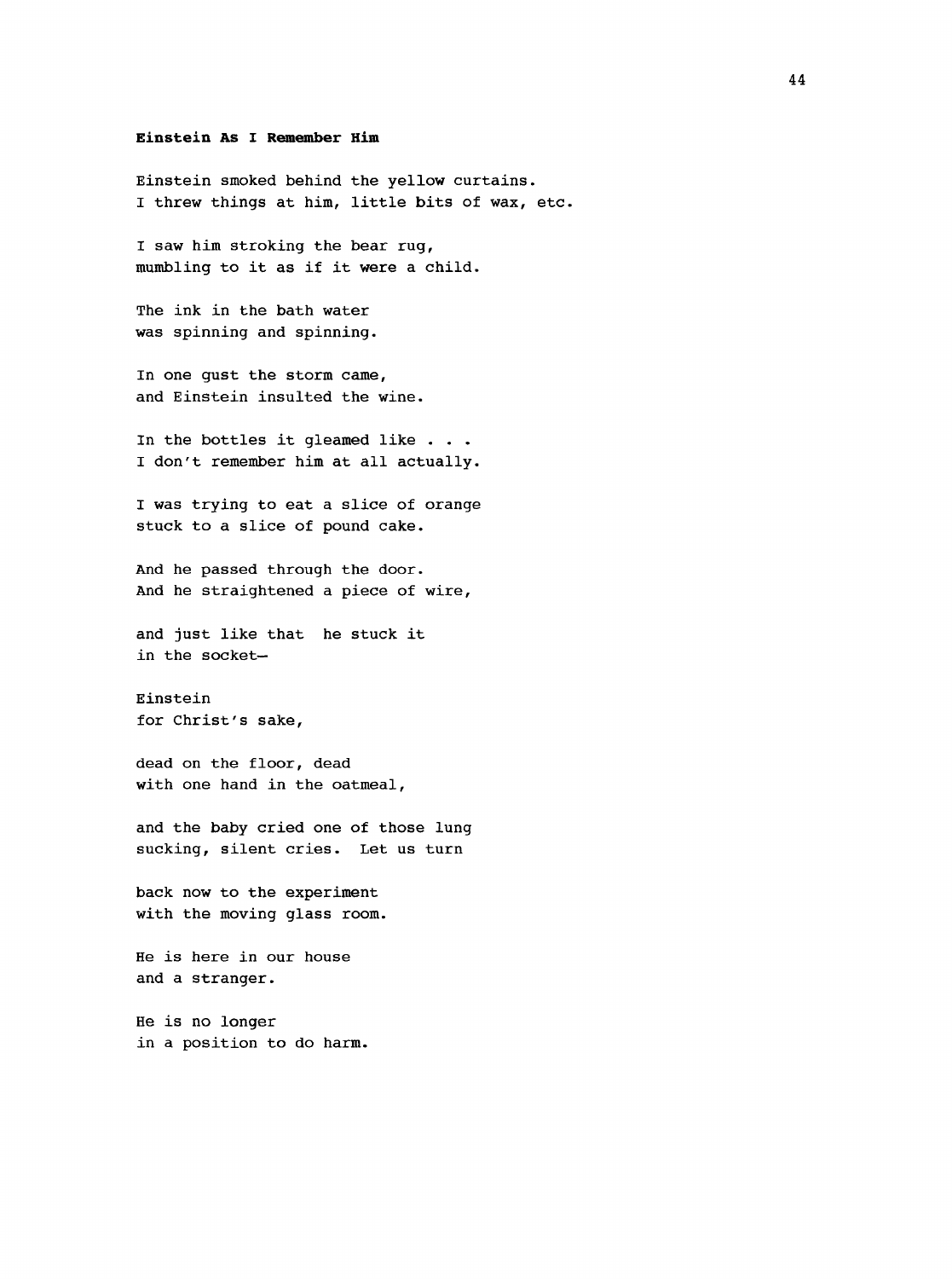#### **Einstein As I Remember Him**

Einstein smoked behind the yellow curtains. I threw things at him, little bits of wax, etc.

I saw him stroking the bear rug, mumbling to it as if it were a child.

The ink in the bath water was spinning and spinning.

In one gust the storm came, and Einstein insulted the wine.

In the bottles it gleamed like . . . I don't remember him at all actually.

I was trying to eat a slice of orange stuck to a slice of pound cake.

And he passed through the door. And he straightened a piece of wire,

and just like that he stuck it in the socket—

Einstein for Christ's sake,

dead on the floor, dead with one hand in the oatmeal,

and the baby cried one of those lung sucking, silent cries. Let us turn

back now to the experiment with the moving glass room.

He is here in our house and a stranger.

He is no longer in a position to do harm.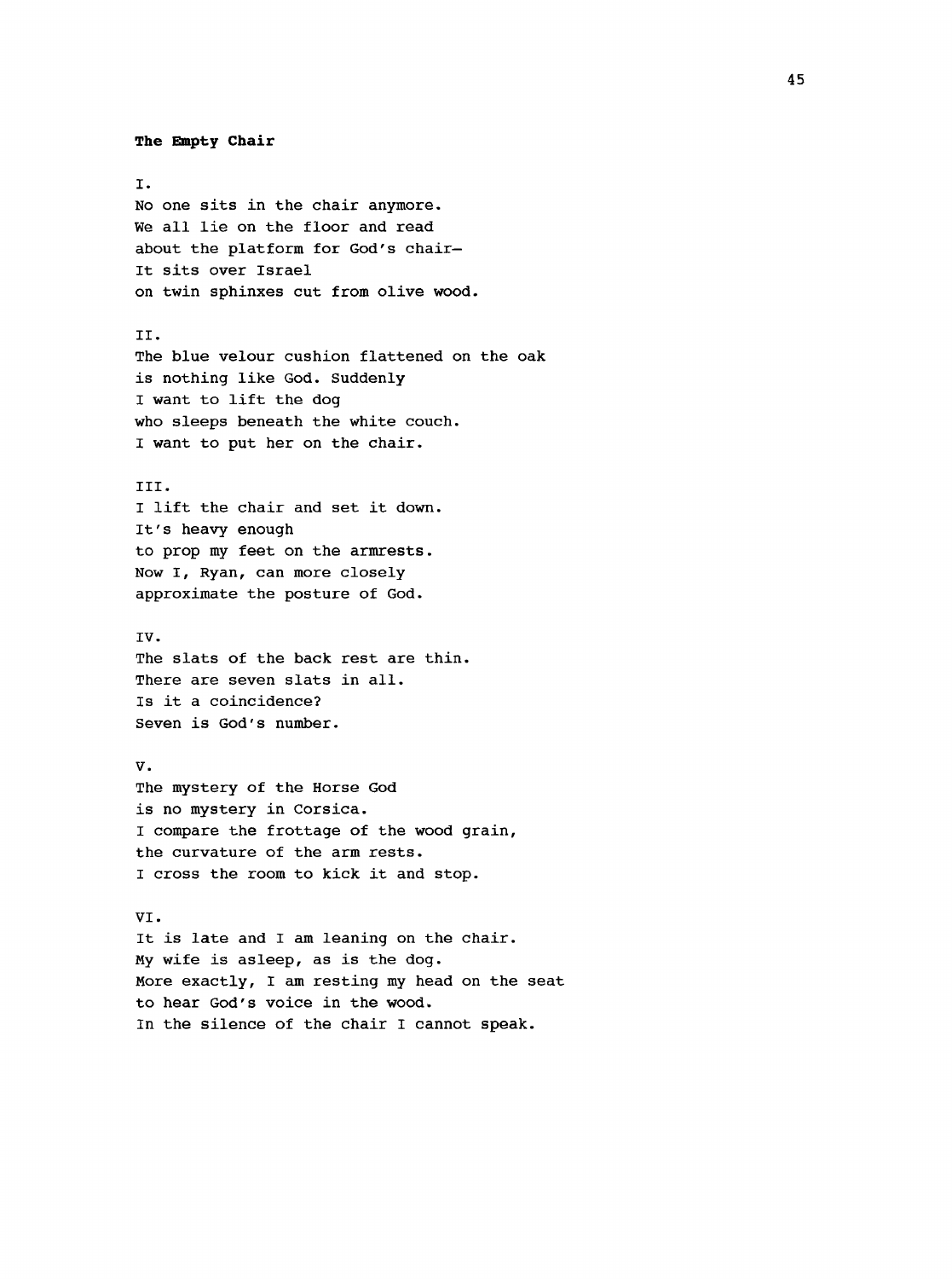```
The Empty Chair
I.
No one sits in the chair anymore.
We all lie on the floor and read 
about the platform for God's chair—
It sits over Israel
on twin sphinxes cut from olive wood.
II.
The blue velour cushion flattened on the oak
is nothing like God. Suddenly
I want to lift the dog
who sleeps beneath the white couch.
I want to put her on the chair.
III.
I lift the chair and set it down.
It's heavy enough
to prop my feet on the armrests.
Now I, Ryan, can more closely 
approximate the posture of God.
IV.
The slats of the back rest are thin.
There are seven slats in all.
Is it a coincidence?
Seven is God's number.
V.
The mystery of the Horse God 
is no mystery in Corsica.
I compare the frottage of the wood grain,
the curvature of the arm rests.
I cross the room to kick it and stop.
VI.
It is late and I am leaning on the chair.
My wife is asleep, as is the dog.
More exactly, I am resting my head on the seat
to hear God's voice in the wood.
In the silence of the chair I cannot speak.
```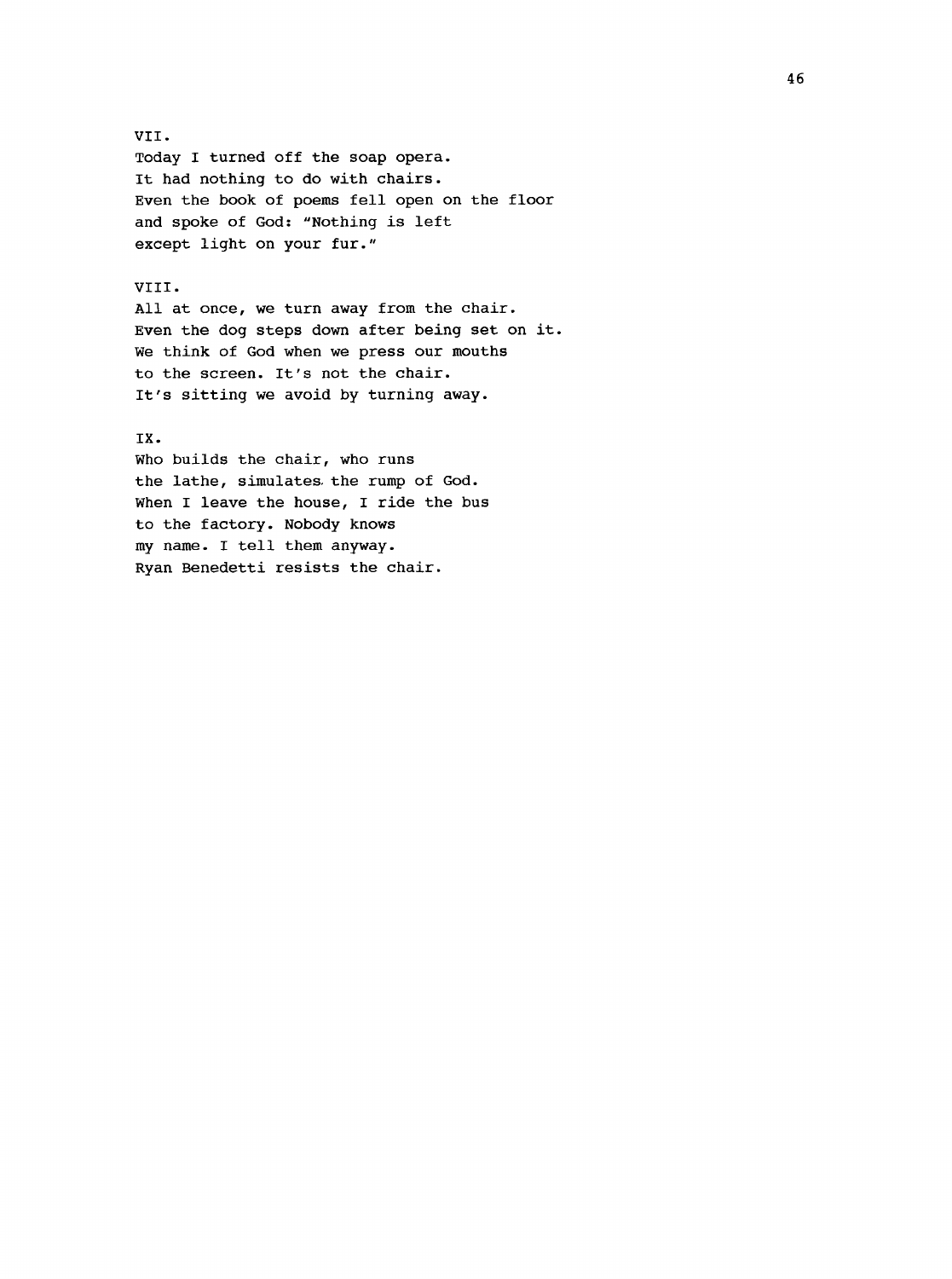#### VII.

Today I turned off the soap opera. It had nothing to do with chairs. Even the book of poems fell open on the floor and spoke of God; "Nothing is left except light on your fur."

#### VIII.

All at once, we turn away from the chair. Even the dog steps down after being set on it. We think of God when we press our mouths to the screen. It's not the chair. It's sitting we avoid by turning away.

#### IX.

who builds the chair, who runs the lathe, simulates, the rump of God. When I leave the house, I ride the bus to the factory. Nobody knows my name. I tell them anyway. Ryan Benedetti resists the chair.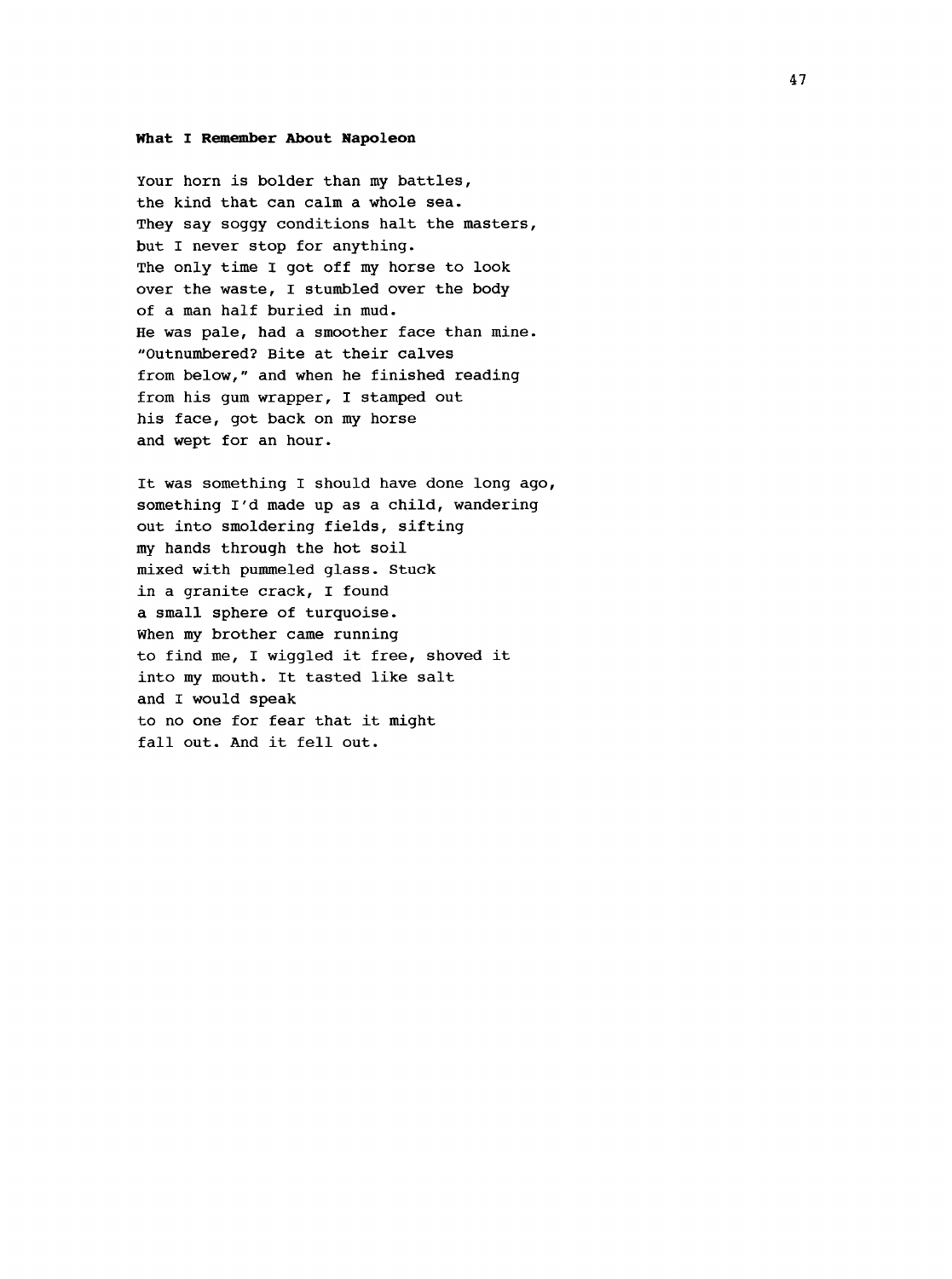#### **What I Remember About Napoleon**

Your horn is bolder than my battles, the kind that can calm a whole sea. They say soggy conditions halt the masters, but I never stop for anything. The only time I got off my horse to look over the waste, I stumbled over the body of a man half buried in mud. He was pale, had a smoother face than mine. "Outnumbered? Bite at their calves from below," and when he finished reading from his gum wrapper, I stamped out his face, got back on my horse and wept for an hour.

It was something I should have done long ago, something I'd made up as a child, wandering out into smoldering fields, sifting my hands through the hot soil mixed with pummeled glass. Stuck in a granite crack, I found a small sphere of turquoise. When my brother came running to find me, I wiggled it free, shoved it into my mouth. It tasted like salt and I would speak to no one for fear that it might fall out. And it fell out.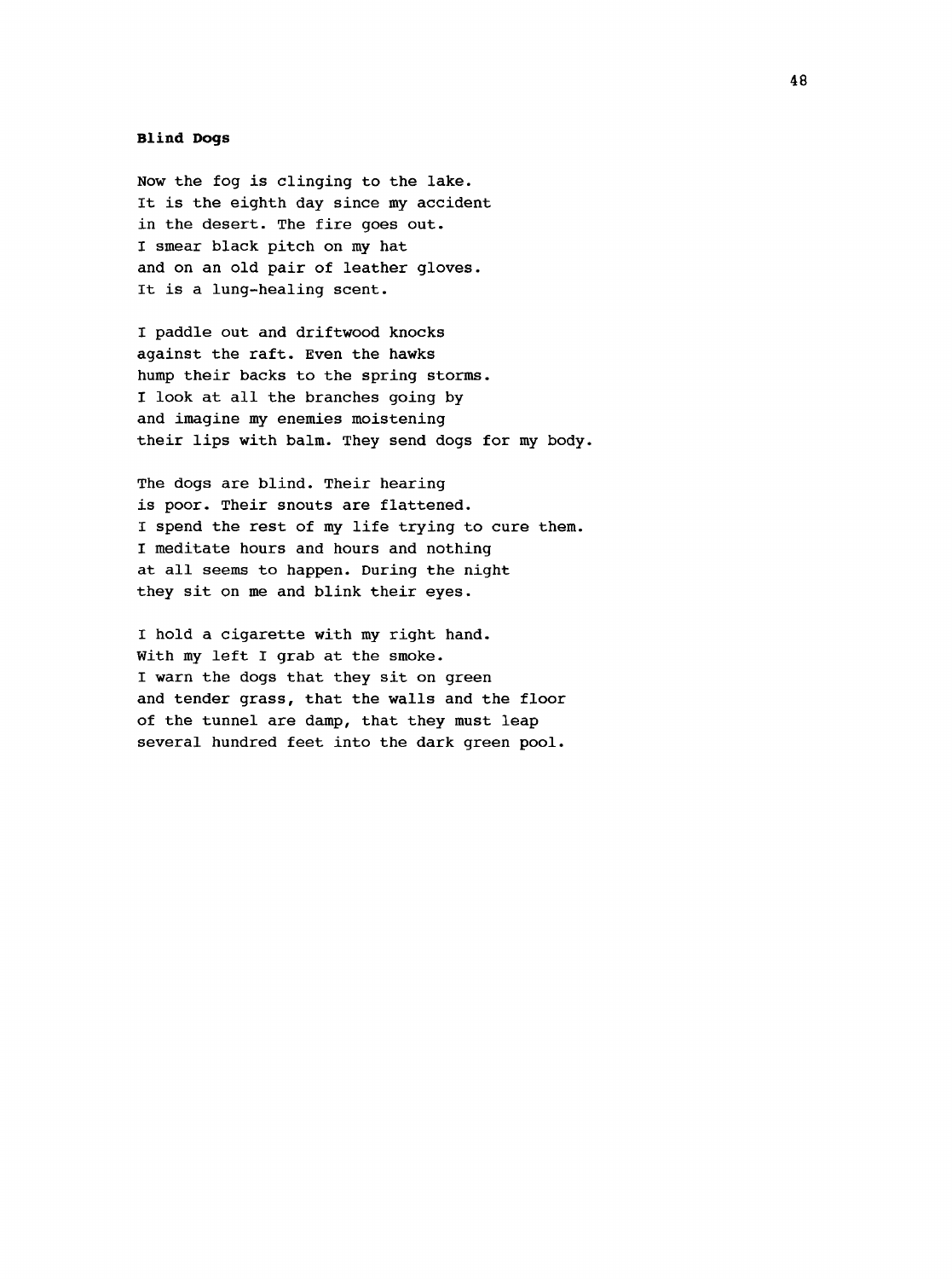#### **Blind Dogs**

Now the fog is clinging to the lake. It is the eighth day since my accident in the desert. The fire goes out. I smear black pitch on my hat and on an old pair of leather gloves. It is a lung-healing scent.

I paddle out and driftwood knocks against the raft. Even the hawks hump their backs to the spring storms. I look at all the branches going by and imagine my enemies moistening their lips with balm. They send dogs for my body.

The dogs are blind. Their hearing is poor. Their snouts are flattened. I spend the rest of my life trying to cure them. I meditate hours and hours and nothing at all seems to happen. During the night they sit on me and blink their eyes.

I hold a cigarette with my right hand. With my left I grab at the smoke. I warn the dogs that they sit on green and tender grass, that the walls and the floor of the tunnel are damp, that they must leap several hundred feet into the dark green pool.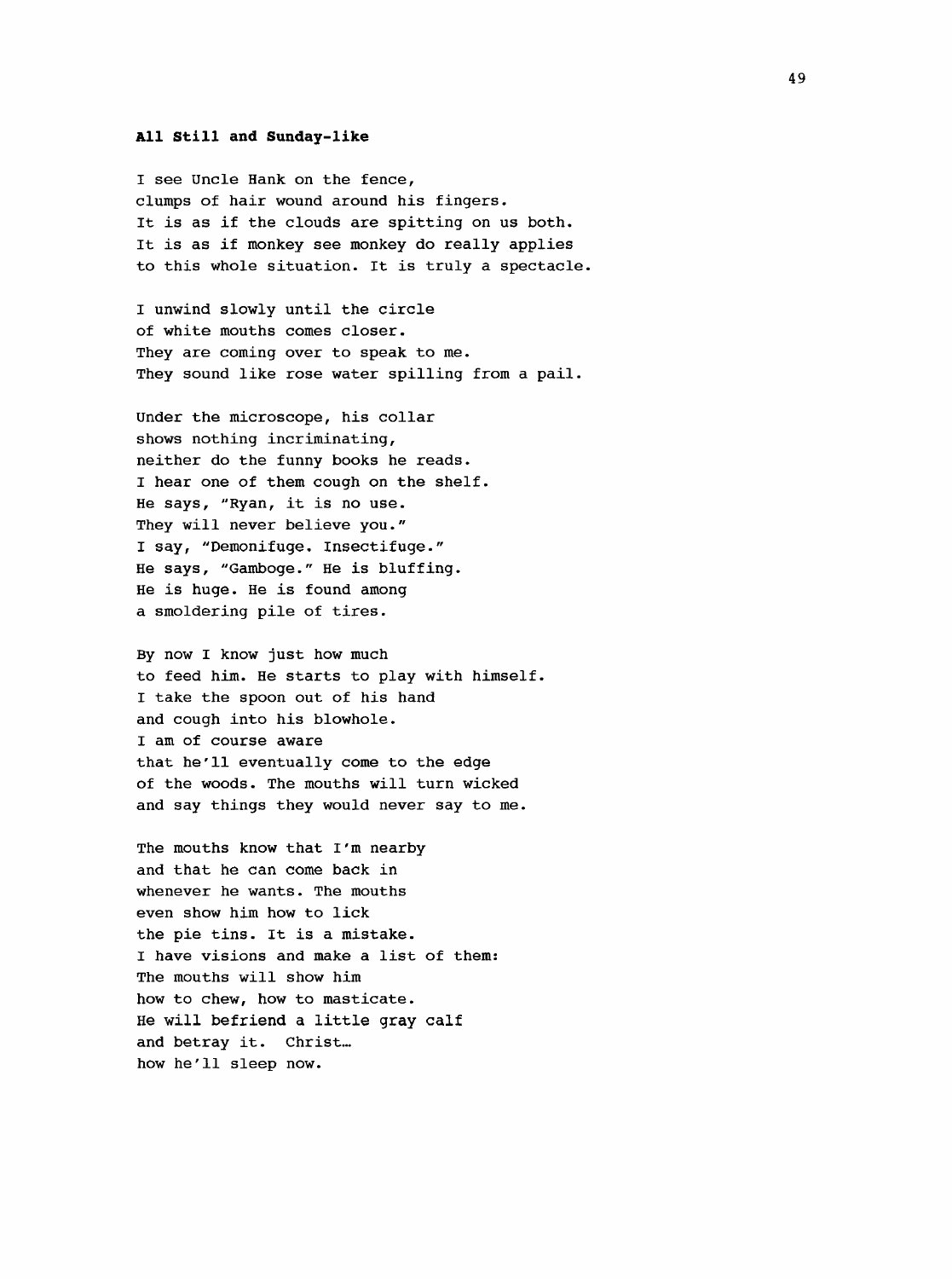#### <span id="page-57-0"></span>**All Still and Sunday-like**

I see Uncle Hank on the fence, clumps of hair wound around his fingers. It is as if the clouds are spitting on us both. It is as if monkey see monkey do really applies to this whole situation. It is truly a spectacle.

I unwind slowly until the circle of white mouths comes closer. They are coming over to speak to me. They sound like rose water spilling from a pail.

Under the microscope, his collar shows nothing incriminating, neither do the funny books he reads. I hear one of them cough on the shelf. He says, "Ryan, it is no use. They will never believe you." I say, "Demonifuge. insectifuge." He says, "Gamboge." He is bluffing. He is huge. He is found among a smoldering pile of tires.

By now I know just how much to feed him. He starts to play with himself. I take the spoon out of his hand and cough into his blowhole. I am of course aware that he'll eventually come to the edge of the woods. The mouths will turn wicked and say things they would never say to me.

The mouths know that I'm nearby and that he can come back in whenever he wants. The mouths even show him how to lick the pie tins. It is a mistake. I have visions and make a list of them: The mouths will show him how to chew, how to masticate. He will befriend a little gray calf and betray it. Christ... how he'll sleep now.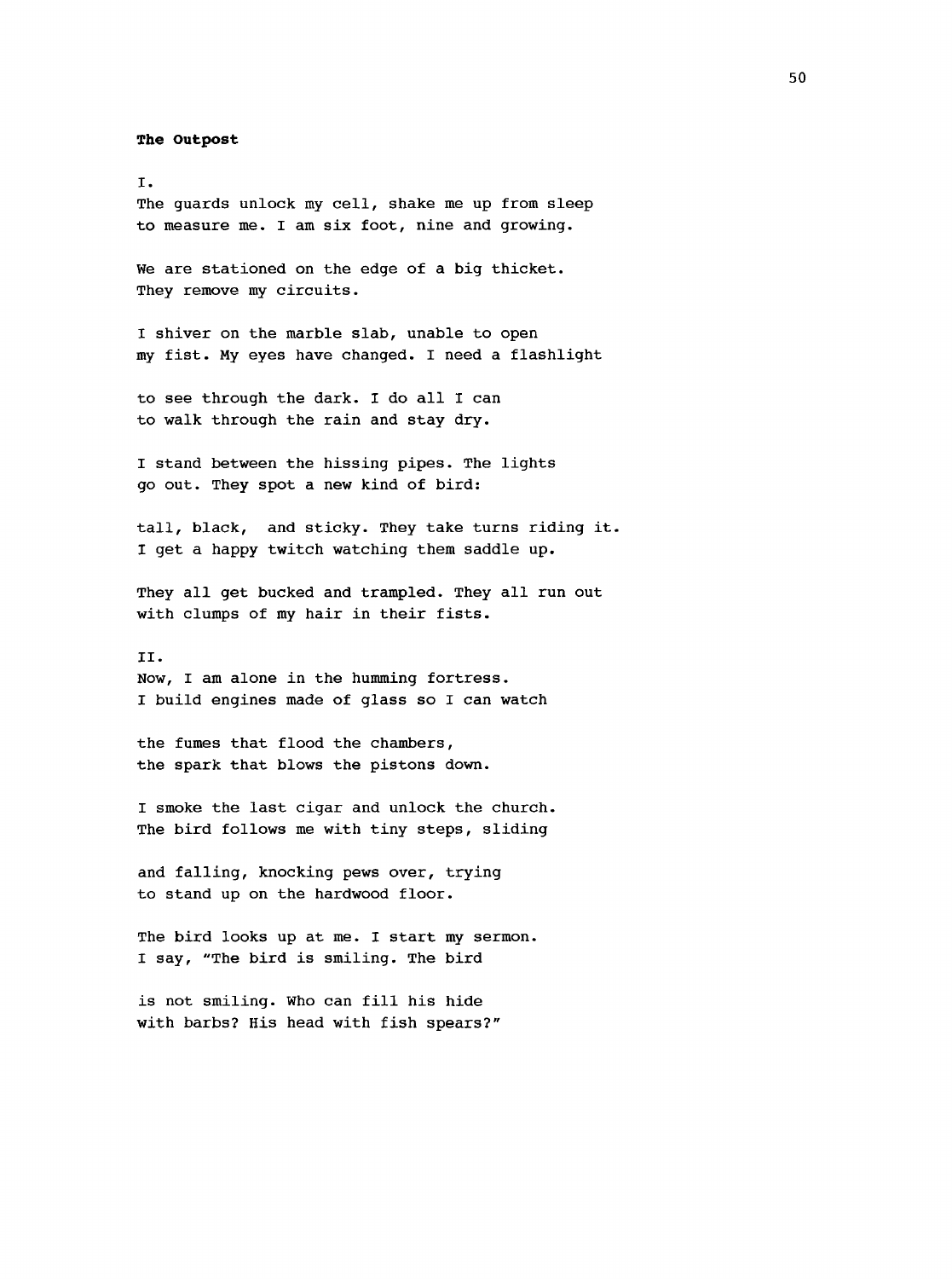**The Outpost**

I. The guards unlock my cell, shake me up from sleep to measure me. I am six foot, nine and growing.

We are stationed on the edge of a big thicket. They remove my circuits.

I shiver on the marble slab, unable to open my fist. My eyes have changed. I need a flashlight

to see through the dark. I do all I can to walk through the rain and stay dry.

I stand between the hissing pipes. The lights go out. They spot a new kind of bird:

tall, black, and sticky. They take turns riding it. I get a happy twitch watching them saddle up.

They all get bucked and trampled. They all run out with clumps of my hair in their fists.

II. Now, I am alone in the humming fortress. I build engines made of glass so I can watch

the fumes that flood the chambers, the spark that blows the pistons down.

I smoke the last cigar and unlock the church. The bird follows me with tiny steps, sliding

and falling, knocking pews over, trying to stand up on the hardwood floor.

The bird looks up at me. I start my sermon. I say, "The bird is smiling. The bird

is not smiling. Who can fill his hide with barbs? His head with fish spears?"